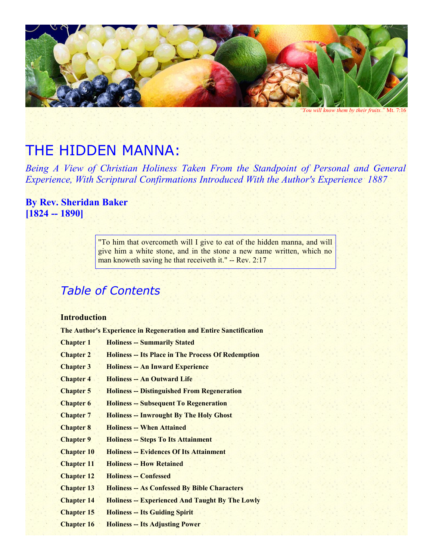

*"You will know them by their fruits."* Mt. 7:16

# THE HIDDEN MANNA:

*Being A View of Christian Holiness Taken From the Standpoint of Personal and General Experience, With Scriptural Confirmations Introduced With the Author's Experience 1887*

# **By Rev. Sheridan Baker [1824 -- 1890]**

"To him that overcometh will I give to eat of the hidden manna, and will give him a white stone, and in the stone a new name written, which no man knoweth saving he that receiveth it." -- Rev. 2:17

# *Table of Contents*

## **Introduction**

**The Author's Experience in Regeneration and Entire Sanctification**

| <b>Chapter 1</b>  | <b>Holiness -- Summarily Stated</b>                       |
|-------------------|-----------------------------------------------------------|
| <b>Chapter 2</b>  | <b>Holiness -- Its Place in The Process Of Redemption</b> |
| <b>Chapter 3</b>  | <b>Holiness -- An Inward Experience</b>                   |
| <b>Chapter 4</b>  | <b>Holiness -- An Outward Life</b>                        |
| <b>Chapter 5</b>  | <b>Holiness -- Distinguished From Regeneration</b>        |
| <b>Chapter 6</b>  | <b>Holiness -- Subsequent To Regeneration</b>             |
| <b>Chapter 7</b>  | <b>Holiness -- Inwrought By The Holy Ghost</b>            |
| <b>Chapter 8</b>  | <b>Holiness -- When Attained</b>                          |
| <b>Chapter 9</b>  | <b>Holiness -- Steps To Its Attainment</b>                |
| <b>Chapter 10</b> | <b>Holiness -- Evidences Of Its Attainment</b>            |
| <b>Chapter 11</b> | <b>Holiness -- How Retained</b>                           |
| <b>Chapter 12</b> | <b>Holiness -- Confessed</b>                              |
| <b>Chapter 13</b> | <b>Holiness -- As Confessed By Bible Characters</b>       |
| <b>Chapter 14</b> | <b>Holiness -- Experienced And Taught By The Lowly</b>    |
| <b>Chapter 15</b> | <b>Holiness -- Its Guiding Spirit</b>                     |
| <b>Chapter 16</b> | <b>Holiness -- Its Adjusting Power</b>                    |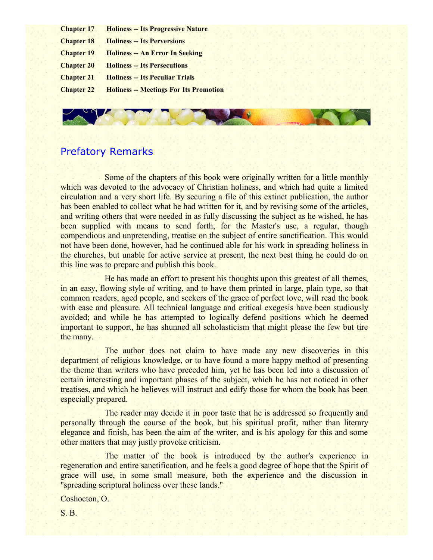- **Chapter 17 Holiness -- Its Progressive Nature**
- **Chapter 18 Holiness -- Its Perversions**
- **Chapter 19 Holiness -- An Error In Seeking**
- **Chapter 20 Holiness -- Its Persecutions**
- **Chapter 21 Holiness -- Its Peculiar Trials**
- **Chapter 22 Holiness -- Meetings For Its Promotion**

# Prefatory Remarks

Some of the chapters of this book were originally written for a little monthly which was devoted to the advocacy of Christian holiness, and which had quite a limited circulation and a very short life. By securing a file of this extinct publication, the author has been enabled to collect what he had written for it, and by revising some of the articles, and writing others that were needed in as fully discussing the subject as he wished, he has been supplied with means to send forth, for the Master's use, a regular, though compendious and unpretending, treatise on the subject of entire sanctification. This would not have been done, however, had he continued able for his work in spreading holiness in the churches, but unable for active service at present, the next best thing he could do on this line was to prepare and publish this book.

He has made an effort to present his thoughts upon this greatest of all themes, in an easy, flowing style of writing, and to have them printed in large, plain type, so that common readers, aged people, and seekers of the grace of perfect love, will read the book with ease and pleasure. All technical language and critical exegesis have been studiously avoided; and while he has attempted to logically defend positions which he deemed important to support, he has shunned all scholasticism that might please the few but tire the many.

The author does not claim to have made any new discoveries in this department of religious knowledge, or to have found a more happy method of presenting the theme than writers who have preceded him, yet he has been led into a discussion of certain interesting and important phases of the subject, which he has not noticed in other treatises, and which he believes will instruct and edify those for whom the book has been especially prepared.

The reader may decide it in poor taste that he is addressed so frequently and personally through the course of the book, but his spiritual profit, rather than literary elegance and finish, has been the aim of the writer, and is his apology for this and some other matters that may justly provoke criticism.

The matter of the book is introduced by the author's experience in regeneration and entire sanctification, and he feels a good degree of hope that the Spirit of grace will use, in some small measure, both the experience and the discussion in "spreading scriptural holiness over these lands."

Coshocton, O.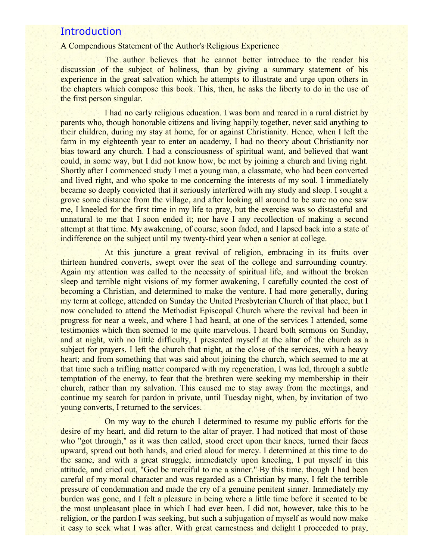## **Introduction**

## A Compendious Statement of the Author's Religious Experience

The author believes that he cannot better introduce to the reader his discussion of the subject of holiness, than by giving a summary statement of his experience in the great salvation which he attempts to illustrate and urge upon others in the chapters which compose this book. This, then, he asks the liberty to do in the use of the first person singular.

I had no early religious education. I was born and reared in a rural district by parents who, though honorable citizens and living happily together, never said anything to their children, during my stay at home, for or against Christianity. Hence, when I left the farm in my eighteenth year to enter an academy, I had no theory about Christianity nor bias toward any church. I had a consciousness of spiritual want, and believed that want could, in some way, but I did not know how, be met by joining a church and living right. Shortly after I commenced study I met a young man, a classmate, who had been converted and lived right, and who spoke to me concerning the interests of my soul. I immediately became so deeply convicted that it seriously interfered with my study and sleep. I sought a grove some distance from the village, and after looking all around to be sure no one saw me, I kneeled for the first time in my life to pray, but the exercise was so distasteful and unnatural to me that I soon ended it; nor have I any recollection of making a second attempt at that time. My awakening, of course, soon faded, and I lapsed back into a state of indifference on the subject until my twenty-third year when a senior at college.

At this juncture a great revival of religion, embracing in its fruits over thirteen hundred converts, swept over the seat of the college and surrounding country. Again my attention was called to the necessity of spiritual life, and without the broken sleep and terrible night visions of my former awakening, I carefully counted the cost of becoming a Christian, and determined to make the venture. I had more generally, during my term at college, attended on Sunday the United Presbyterian Church of that place, but I now concluded to attend the Methodist Episcopal Church where the revival had been in progress for near a week, and where I had heard, at one of the services I attended, some testimonies which then seemed to me quite marvelous. I heard both sermons on Sunday, and at night, with no little difficulty, I presented myself at the altar of the church as a subject for prayers. I left the church that night, at the close of the services, with a heavy heart; and from something that was said about joining the church, which seemed to me at that time such a trifling matter compared with my regeneration, I was led, through a subtle temptation of the enemy, to fear that the brethren were seeking my membership in their church, rather than my salvation. This caused me to stay away from the meetings, and continue my search for pardon in private, until Tuesday night, when, by invitation of two young converts, I returned to the services.

On my way to the church I determined to resume my public efforts for the desire of my heart, and did return to the altar of prayer. I had noticed that most of those who "got through," as it was then called, stood erect upon their knees, turned their faces upward, spread out both hands, and cried aloud for mercy. I determined at this time to do the same, and with a great struggle, immediately upon kneeling, I put myself in this attitude, and cried out, "God be merciful to me a sinner." By this time, though I had been careful of my moral character and was regarded as a Christian by many, I felt the terrible pressure of condemnation and made the cry of a genuine penitent sinner. Immediately my burden was gone, and I felt a pleasure in being where a little time before it seemed to be the most unpleasant place in which I had ever been. I did not, however, take this to be religion, or the pardon I was seeking, but such a subjugation of myself as would now make it easy to seek what I was after. With great earnestness and delight I proceeded to pray,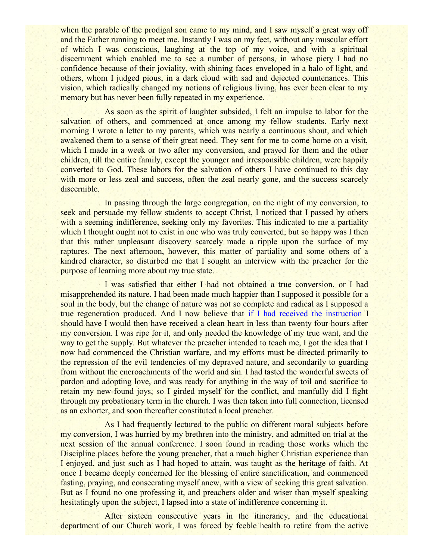when the parable of the prodigal son came to my mind, and I saw myself a great way off and the Father running to meet me. Instantly I was on my feet, without any muscular effort of which I was conscious, laughing at the top of my voice, and with a spiritual discernment which enabled me to see a number of persons, in whose piety I had no confidence because of their joviality, with shining faces enveloped in a halo of light, and others, whom I judged pious, in a dark cloud with sad and dejected countenances. This vision, which radically changed my notions of religious living, has ever been clear to my memory but has never been fully repeated in my experience.

As soon as the spirit of laughter subsided, I felt an impulse to labor for the salvation of others, and commenced at once among my fellow students. Early next morning I wrote a letter to my parents, which was nearly a continuous shout, and which awakened them to a sense of their great need. They sent for me to come home on a visit, which I made in a week or two after my conversion, and prayed for them and the other children, till the entire family, except the younger and irresponsible children, were happily converted to God. These labors for the salvation of others I have continued to this day with more or less zeal and success, often the zeal nearly gone, and the success scarcely discernible.

In passing through the large congregation, on the night of my conversion, to seek and persuade my fellow students to accept Christ, I noticed that I passed by others with a seeming indifference, seeking only my favorites. This indicated to me a partiality which I thought ought not to exist in one who was truly converted, but so happy was I then that this rather unpleasant discovery scarcely made a ripple upon the surface of my raptures. The next afternoon, however, this matter of partiality and some others of a kindred character, so disturbed me that I sought an interview with the preacher for the purpose of learning more about my true state.

I was satisfied that either I had not obtained a true conversion, or I had misapprehended its nature. I had been made much happier than I supposed it possible for a soul in the body, but the change of nature was not so complete and radical as I supposed a true regeneration produced. And I now believe that if I had received the instruction I should have I would then have received a clean heart in less than twenty four hours after my conversion. I was ripe for it, and only needed the knowledge of my true want, and the way to get the supply. But whatever the preacher intended to teach me, I got the idea that I now had commenced the Christian warfare, and my efforts must be directed primarily to the repression of the evil tendencies of my depraved nature, and secondarily to guarding from without the encroachments of the world and sin. I had tasted the wonderful sweets of pardon and adopting love, and was ready for anything in the way of toil and sacrifice to retain my new-found joys, so I girded myself for the conflict, and manfully did I fight through my probationary term in the church. I was then taken into full connection, licensed as an exhorter, and soon thereafter constituted a local preacher.

As I had frequently lectured to the public on different moral subjects before my conversion, I was hurried by my brethren into the ministry, and admitted on trial at the next session of the annual conference. I soon found in reading those works which the Discipline places before the young preacher, that a much higher Christian experience than I enjoyed, and just such as I had hoped to attain, was taught as the heritage of faith. At once I became deeply concerned for the blessing of entire sanctification, and commenced fasting, praying, and consecrating myself anew, with a view of seeking this great salvation. But as I found no one professing it, and preachers older and wiser than myself speaking hesitatingly upon the subject, I lapsed into a state of indifference concerning it.

After sixteen consecutive years in the itinerancy, and the educational department of our Church work, I was forced by feeble health to retire from the active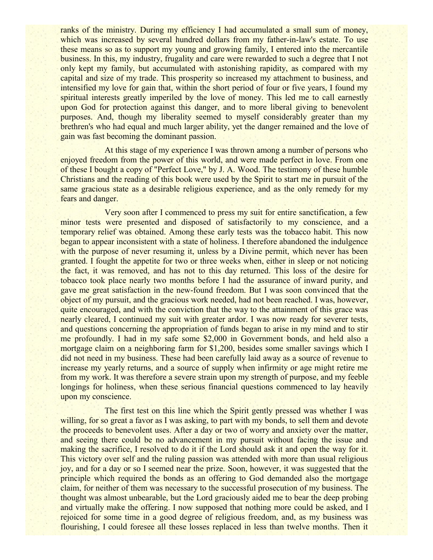ranks of the ministry. During my efficiency I had accumulated a small sum of money, which was increased by several hundred dollars from my father-in-law's estate. To use these means so as to support my young and growing family, I entered into the mercantile business. In this, my industry, frugality and care were rewarded to such a degree that I not only kept my family, but accumulated with astonishing rapidity, as compared with my capital and size of my trade. This prosperity so increased my attachment to business, and intensified my love for gain that, within the short period of four or five years, I found my spiritual interests greatly imperiled by the love of money. This led me to call earnestly upon God for protection against this danger, and to more liberal giving to benevolent purposes. And, though my liberality seemed to myself considerably greater than my brethren's who had equal and much larger ability, yet the danger remained and the love of gain was fast becoming the dominant passion.

At this stage of my experience I was thrown among a number of persons who enjoyed freedom from the power of this world, and were made perfect in love. From one of these I bought a copy of "Perfect Love," by J. A. Wood. The testimony of these humble Christians and the reading of this book were used by the Spirit to start me in pursuit of the same gracious state as a desirable religious experience, and as the only remedy for my fears and danger.

Very soon after I commenced to press my suit for entire sanctification, a few minor tests were presented and disposed of satisfactorily to my conscience, and a temporary relief was obtained. Among these early tests was the tobacco habit. This now began to appear inconsistent with a state of holiness. I therefore abandoned the indulgence with the purpose of never resuming it, unless by a Divine permit, which never has been granted. I fought the appetite for two or three weeks when, either in sleep or not noticing the fact, it was removed, and has not to this day returned. This loss of the desire for tobacco took place nearly two months before I had the assurance of inward purity, and gave me great satisfaction in the new-found freedom. But I was soon convinced that the object of my pursuit, and the gracious work needed, had not been reached. I was, however, quite encouraged, and with the conviction that the way to the attainment of this grace was nearly cleared, I continued my suit with greater ardor. I was now ready for severer tests, and questions concerning the appropriation of funds began to arise in my mind and to stir me profoundly. I had in my safe some \$2,000 in Government bonds, and held also a mortgage claim on a neighboring farm for \$1,200, besides some smaller savings which I did not need in my business. These had been carefully laid away as a source of revenue to increase my yearly returns, and a source of supply when infirmity or age might retire me from my work. It was therefore a severe strain upon my strength of purpose, and my feeble longings for holiness, when these serious financial questions commenced to lay heavily upon my conscience.

The first test on this line which the Spirit gently pressed was whether I was willing, for so great a favor as I was asking, to part with my bonds, to sell them and devote the proceeds to benevolent uses. After a day or two of worry and anxiety over the matter, and seeing there could be no advancement in my pursuit without facing the issue and making the sacrifice, I resolved to do it if the Lord should ask it and open the way for it. This victory over self and the ruling passion was attended with more than usual religious joy, and for a day or so I seemed near the prize. Soon, however, it was suggested that the principle which required the bonds as an offering to God demanded also the mortgage claim, for neither of them was necessary to the successful prosecution of my business. The thought was almost unbearable, but the Lord graciously aided me to bear the deep probing and virtually make the offering. I now supposed that nothing more could be asked, and I rejoiced for some time in a good degree of religious freedom, and, as my business was flourishing, I could foresee all these losses replaced in less than twelve months. Then it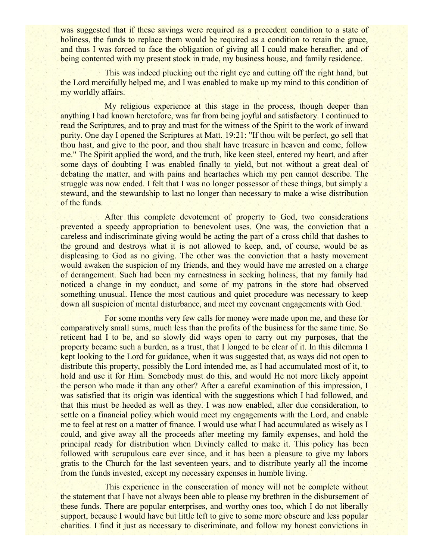was suggested that if these savings were required as a precedent condition to a state of holiness, the funds to replace them would be required as a condition to retain the grace, and thus I was forced to face the obligation of giving all I could make hereafter, and of being contented with my present stock in trade, my business house, and family residence.

This was indeed plucking out the right eye and cutting off the right hand, but the Lord mercifully helped me, and I was enabled to make up my mind to this condition of my worldly affairs.

My religious experience at this stage in the process, though deeper than anything I had known heretofore, was far from being joyful and satisfactory. I continued to read the Scriptures, and to pray and trust for the witness of the Spirit to the work of inward purity. One day I opened the Scriptures at Matt. 19:21: "If thou wilt be perfect, go sell that thou hast, and give to the poor, and thou shalt have treasure in heaven and come, follow me." The Spirit applied the word, and the truth, like keen steel, entered my heart, and after some days of doubting I was enabled finally to yield, but not without a great deal of debating the matter, and with pains and heartaches which my pen cannot describe. The struggle was now ended. I felt that I was no longer possessor of these things, but simply a steward, and the stewardship to last no longer than necessary to make a wise distribution of the funds.

After this complete devotement of property to God, two considerations prevented a speedy appropriation to benevolent uses. One was, the conviction that a careless and indiscriminate giving would be acting the part of a cross child that dashes to the ground and destroys what it is not allowed to keep, and, of course, would be as displeasing to God as no giving. The other was the conviction that a hasty movement would awaken the suspicion of my friends, and they would have me arrested on a charge of derangement. Such had been my earnestness in seeking holiness, that my family had noticed a change in my conduct, and some of my patrons in the store had observed something unusual. Hence the most cautious and quiet procedure was necessary to keep down all suspicion of mental disturbance, and meet my covenant engagements with God.

For some months very few calls for money were made upon me, and these for comparatively small sums, much less than the profits of the business for the same time. So reticent had I to be, and so slowly did ways open to carry out my purposes, that the property became such a burden, as a trust, that I longed to be clear of it. In this dilemma I kept looking to the Lord for guidance, when it was suggested that, as ways did not open to distribute this property, possibly the Lord intended me, as I had accumulated most of it, to hold and use it for Him. Somebody must do this, and would He not more likely appoint the person who made it than any other? After a careful examination of this impression, I was satisfied that its origin was identical with the suggestions which I had followed, and that this must be heeded as well as they. I was now enabled, after due consideration, to settle on a financial policy which would meet my engagements with the Lord, and enable me to feel at rest on a matter of finance. I would use what I had accumulated as wisely as I could, and give away all the proceeds after meeting my family expenses, and hold the principal ready for distribution when Divinely called to make it. This policy has been followed with scrupulous care ever since, and it has been a pleasure to give my labors gratis to the Church for the last seventeen years, and to distribute yearly all the income from the funds invested, except my necessary expenses in humble living.

This experience in the consecration of money will not be complete without the statement that I have not always been able to please my brethren in the disbursement of these funds. There are popular enterprises, and worthy ones too, which I do not liberally support, because I would have but little left to give to some more obscure and less popular charities. I find it just as necessary to discriminate, and follow my honest convictions in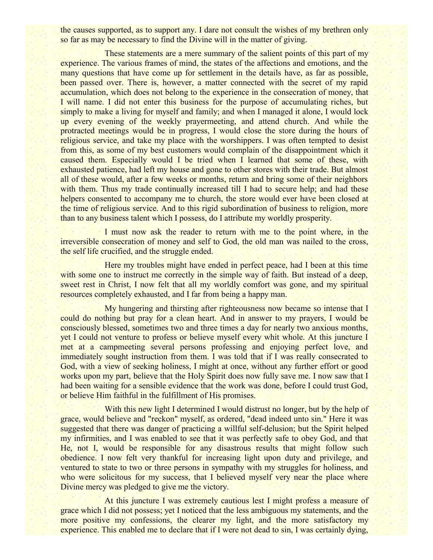the causes supported, as to support any. I dare not consult the wishes of my brethren only so far as may be necessary to find the Divine will in the matter of giving.

These statements are a mere summary of the salient points of this part of my experience. The various frames of mind, the states of the affections and emotions, and the many questions that have come up for settlement in the details have, as far as possible, been passed over. There is, however, a matter connected with the secret of my rapid accumulation, which does not belong to the experience in the consecration of money, that I will name. I did not enter this business for the purpose of accumulating riches, but simply to make a living for myself and family; and when I managed it alone, I would lock up every evening of the weekly prayermeeting, and attend church. And while the protracted meetings would be in progress, I would close the store during the hours of religious service, and take my place with the worshippers. I was often tempted to desist from this, as some of my best customers would complain of the disappointment which it caused them. Especially would I be tried when I learned that some of these, with exhausted patience, had left my house and gone to other stores with their trade. But almost all of these would, after a few weeks or months, return and bring some of their neighbors with them. Thus my trade continually increased till I had to secure help; and had these helpers consented to accompany me to church, the store would ever have been closed at the time of religious service. And to this rigid subordination of business to religion, more than to any business talent which I possess, do I attribute my worldly prosperity.

I must now ask the reader to return with me to the point where, in the irreversible consecration of money and self to God, the old man was nailed to the cross, the self life crucified, and the struggle ended.

Here my troubles might have ended in perfect peace, had I been at this time with some one to instruct me correctly in the simple way of faith. But instead of a deep, sweet rest in Christ, I now felt that all my worldly comfort was gone, and my spiritual resources completely exhausted, and I far from being a happy man.

My hungering and thirsting after righteousness now became so intense that I could do nothing but pray for a clean heart. And in answer to my prayers, I would be consciously blessed, sometimes two and three times a day for nearly two anxious months, yet I could not venture to profess or believe myself every whit whole. At this juncture I met at a campmeeting several persons professing and enjoying perfect love, and immediately sought instruction from them. I was told that if I was really consecrated to God, with a view of seeking holiness, I might at once, without any further effort or good works upon my part, believe that the Holy Spirit does now fully save me. I now saw that I had been waiting for a sensible evidence that the work was done, before I could trust God, or believe Him faithful in the fulfillment of His promises.

With this new light I determined I would distrust no longer, but by the help of grace, would believe and "reckon" myself, as ordered, "dead indeed unto sin." Here it was suggested that there was danger of practicing a willful self-delusion; but the Spirit helped my infirmities, and I was enabled to see that it was perfectly safe to obey God, and that He, not I, would be responsible for any disastrous results that might follow such obedience. I now felt very thankful for increasing light upon duty and privilege, and ventured to state to two or three persons in sympathy with my struggles for holiness, and who were solicitous for my success, that I believed myself very near the place where Divine mercy was pledged to give me the victory.

At this juncture I was extremely cautious lest I might profess a measure of grace which I did not possess; yet I noticed that the less ambiguous my statements, and the more positive my confessions, the clearer my light, and the more satisfactory my experience. This enabled me to declare that if I were not dead to sin, I was certainly dying,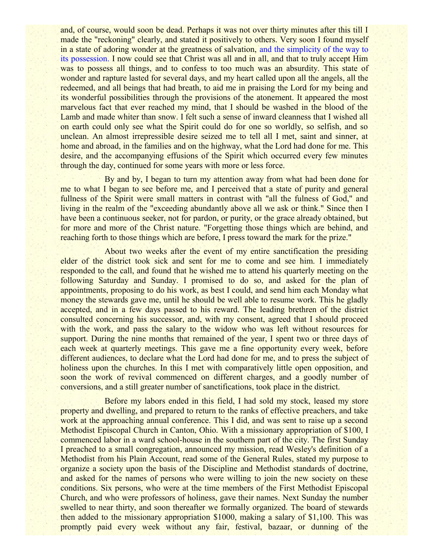and, of course, would soon be dead. Perhaps it was not over thirty minutes after this till I made the "reckoning" clearly, and stated it positively to others. Very soon I found myself in a state of adoring wonder at the greatness of salvation, and the simplicity of the way to its possession. I now could see that Christ was all and in all, and that to truly accept Him was to possess all things, and to confess to too much was an absurdity. This state of wonder and rapture lasted for several days, and my heart called upon all the angels, all the redeemed, and all beings that had breath, to aid me in praising the Lord for my being and its wonderful possibilities through the provisions of the atonement. It appeared the most marvelous fact that ever reached my mind, that I should be washed in the blood of the Lamb and made whiter than snow. I felt such a sense of inward cleanness that I wished all on earth could only see what the Spirit could do for one so worldly, so selfish, and so unclean. An almost irrepressible desire seized me to tell all I met, saint and sinner, at home and abroad, in the families and on the highway, what the Lord had done for me. This desire, and the accompanying effusions of the Spirit which occurred every few minutes through the day, continued for some years with more or less force.

By and by, I began to turn my attention away from what had been done for me to what I began to see before me, and I perceived that a state of purity and general fullness of the Spirit were small matters in contrast with "all the fulness of God," and living in the realm of the "exceeding abundantly above all we ask or think." Since then I have been a continuous seeker, not for pardon, or purity, or the grace already obtained, but for more and more of the Christ nature. "Forgetting those things which are behind, and reaching forth to those things which are before, I press toward the mark for the prize."

About two weeks after the event of my entire sanctification the presiding elder of the district took sick and sent for me to come and see him. I immediately responded to the call, and found that he wished me to attend his quarterly meeting on the following Saturday and Sunday. I promised to do so, and asked for the plan of appointments, proposing to do his work, as best I could, and send him each Monday what money the stewards gave me, until he should be well able to resume work. This he gladly accepted, and in a few days passed to his reward. The leading brethren of the district consulted concerning his successor, and, with my consent, agreed that I should proceed with the work, and pass the salary to the widow who was left without resources for support. During the nine months that remained of the year, I spent two or three days of each week at quarterly meetings. This gave me a fine opportunity every week, before different audiences, to declare what the Lord had done for me, and to press the subject of holiness upon the churches. In this I met with comparatively little open opposition, and soon the work of revival commenced on different charges, and a goodly number of conversions, and a still greater number of sanctifications, took place in the district.

Before my labors ended in this field, I had sold my stock, leased my store property and dwelling, and prepared to return to the ranks of effective preachers, and take work at the approaching annual conference. This I did, and was sent to raise up a second Methodist Episcopal Church in Canton, Ohio. With a missionary appropriation of \$100, I commenced labor in a ward school-house in the southern part of the city. The first Sunday I preached to a small congregation, announced my mission, read Wesley's definition of a Methodist from his Plain Account, read some of the General Rules, stated my purpose to organize a society upon the basis of the Discipline and Methodist standards of doctrine, and asked for the names of persons who were willing to join the new society on these conditions. Six persons, who were at the time members of the First Methodist Episcopal Church, and who were professors of holiness, gave their names. Next Sunday the number swelled to near thirty, and soon thereafter we formally organized. The board of stewards then added to the missionary appropriation \$1000, making a salary of \$1,100. This was promptly paid every week without any fair, festival, bazaar, or dunning of the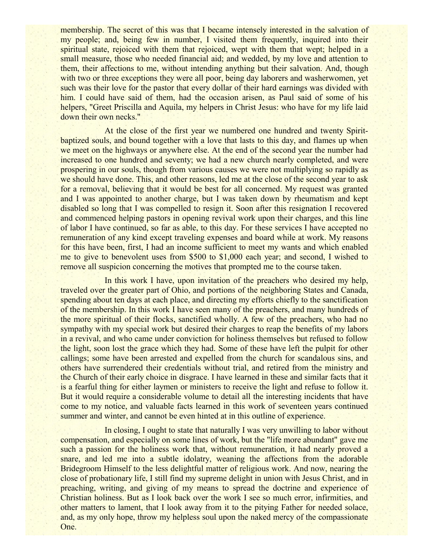membership. The secret of this was that I became intensely interested in the salvation of my people; and, being few in number, I visited them frequently, inquired into their spiritual state, rejoiced with them that rejoiced, wept with them that wept; helped in a small measure, those who needed financial aid; and wedded, by my love and attention to them, their affections to me, without intending anything but their salvation. And, though with two or three exceptions they were all poor, being day laborers and washerwomen, yet such was their love for the pastor that every dollar of their hard earnings was divided with him. I could have said of them, had the occasion arisen, as Paul said of some of his helpers, "Greet Priscilla and Aquila, my helpers in Christ Jesus: who have for my life laid down their own necks."

At the close of the first year we numbered one hundred and twenty Spiritbaptized souls, and bound together with a love that lasts to this day, and flames up when we meet on the highways or anywhere else. At the end of the second year the number had increased to one hundred and seventy; we had a new church nearly completed, and were prospering in our souls, though from various causes we were not multiplying so rapidly as we should have done. This, and other reasons, led me at the close of the second year to ask for a removal, believing that it would be best for all concerned. My request was granted and I was appointed to another charge, but I was taken down by rheumatism and kept disabled so long that I was compelled to resign it. Soon after this resignation I recovered and commenced helping pastors in opening revival work upon their charges, and this line of labor I have continued, so far as able, to this day. For these services I have accepted no remuneration of any kind except traveling expenses and board while at work. My reasons for this have been, first, I had an income sufficient to meet my wants and which enabled me to give to benevolent uses from \$500 to \$1,000 each year; and second, I wished to remove all suspicion concerning the motives that prompted me to the course taken.

In this work I have, upon invitation of the preachers who desired my help, traveled over the greater part of Ohio, and portions of the neighboring States and Canada, spending about ten days at each place, and directing my efforts chiefly to the sanctification of the membership. In this work I have seen many of the preachers, and many hundreds of the more spiritual of their flocks, sanctified wholly. A few of the preachers, who had no sympathy with my special work but desired their charges to reap the benefits of my labors in a revival, and who came under conviction for holiness themselves but refused to follow the light, soon lost the grace which they had. Some of these have left the pulpit for other callings; some have been arrested and expelled from the church for scandalous sins, and others have surrendered their credentials without trial, and retired from the ministry and the Church of their early choice in disgrace. I have learned in these and similar facts that it is a fearful thing for either laymen or ministers to receive the light and refuse to follow it. But it would require a considerable volume to detail all the interesting incidents that have come to my notice, and valuable facts learned in this work of seventeen years continued summer and winter, and cannot be even hinted at in this outline of experience.

In closing, I ought to state that naturally I was very unwilling to labor without compensation, and especially on some lines of work, but the "life more abundant" gave me such a passion for the holiness work that, without remuneration, it had nearly proved a snare, and led me into a subtle idolatry, weaning the affections from the adorable Bridegroom Himself to the less delightful matter of religious work. And now, nearing the close of probationary life, I still find my supreme delight in union with Jesus Christ, and in preaching, writing, and giving of my means to spread the doctrine and experience of Christian holiness. But as I look back over the work I see so much error, infirmities, and other matters to lament, that I look away from it to the pitying Father for needed solace, and, as my only hope, throw my helpless soul upon the naked mercy of the compassionate One.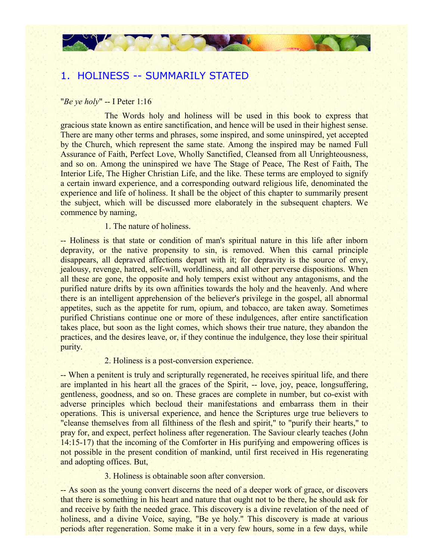# 1. HOLINESS -- SUMMARILY STATED

#### "*Be ye holy*" -- I Peter 1:16

The Words holy and holiness will be used in this book to express that gracious state known as entire sanctification, and hence will be used in their highest sense. There are many other terms and phrases, some inspired, and some uninspired, yet accepted by the Church, which represent the same state. Among the inspired may be named Full Assurance of Faith, Perfect Love, Wholly Sanctified, Cleansed from all Unrighteousness, and so on. Among the uninspired we have The Stage of Peace, The Rest of Faith, The Interior Life, The Higher Christian Life, and the like. These terms are employed to signify a certain inward experience, and a corresponding outward religious life, denominated the experience and life of holiness. It shall be the object of this chapter to summarily present the subject, which will be discussed more elaborately in the subsequent chapters. We commence by naming,

## 1. The nature of holiness.

-- Holiness is that state or condition of man's spiritual nature in this life after inborn depravity, or the native propensity to sin, is removed. When this carnal principle disappears, all depraved affections depart with it; for depravity is the source of envy, jealousy, revenge, hatred, self-will, worldliness, and all other perverse dispositions. When all these are gone, the opposite and holy tempers exist without any antagonisms, and the purified nature drifts by its own affinities towards the holy and the heavenly. And where there is an intelligent apprehension of the believer's privilege in the gospel, all abnormal appetites, such as the appetite for rum, opium, and tobacco, are taken away. Sometimes purified Christians continue one or more of these indulgences, after entire sanctification takes place, but soon as the light comes, which shows their true nature, they abandon the practices, and the desires leave, or, if they continue the indulgence, they lose their spiritual purity.

#### 2. Holiness is a post-conversion experience.

-- When a penitent is truly and scripturally regenerated, he receives spiritual life, and there are implanted in his heart all the graces of the Spirit, -- love, joy, peace, longsuffering, gentleness, goodness, and so on. These graces are complete in number, but co-exist with adverse principles which becloud their manifestations and embarrass them in their operations. This is universal experience, and hence the Scriptures urge true believers to "cleanse themselves from all filthiness of the flesh and spirit," to "purify their hearts," to pray for, and expect, perfect holiness after regeneration. The Saviour clearly teaches (John 14:15-17) that the incoming of the Comforter in His purifying and empowering offices is not possible in the present condition of mankind, until first received in His regenerating and adopting offices. But,

## 3. Holiness is obtainable soon after conversion.

-- As soon as the young convert discerns the need of a deeper work of grace, or discovers that there is something in his heart and nature that ought not to be there, he should ask for and receive by faith the needed grace. This discovery is a divine revelation of the need of holiness, and a divine Voice, saying, "Be ye holy." This discovery is made at various periods after regeneration. Some make it in a very few hours, some in a few days, while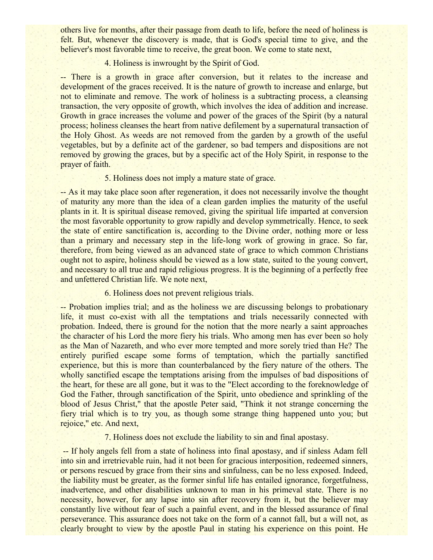others live for months, after their passage from death to life, before the need of holiness is felt. But, whenever the discovery is made, that is God's special time to give, and the believer's most favorable time to receive, the great boon. We come to state next,

## 4. Holiness is inwrought by the Spirit of God.

-- There is a growth in grace after conversion, but it relates to the increase and development of the graces received. It is the nature of growth to increase and enlarge, but not to eliminate and remove. The work of holiness is a subtracting process, a cleansing transaction, the very opposite of growth, which involves the idea of addition and increase. Growth in grace increases the volume and power of the graces of the Spirit (by a natural process; holiness cleanses the heart from native defilement by a supernatural transaction of the Holy Ghost. As weeds are not removed from the garden by a growth of the useful vegetables, but by a definite act of the gardener, so bad tempers and dispositions are not removed by growing the graces, but by a specific act of the Holy Spirit, in response to the prayer of faith.

#### 5. Holiness does not imply a mature state of grace.

-- As it may take place soon after regeneration, it does not necessarily involve the thought of maturity any more than the idea of a clean garden implies the maturity of the useful plants in it. It is spiritual disease removed, giving the spiritual life imparted at conversion the most favorable opportunity to grow rapidly and develop symmetrically. Hence, to seek the state of entire sanctification is, according to the Divine order, nothing more or less than a primary and necessary step in the life-long work of growing in grace. So far, therefore, from being viewed as an advanced state of grace to which common Christians ought not to aspire, holiness should be viewed as a low state, suited to the young convert, and necessary to all true and rapid religious progress. It is the beginning of a perfectly free and unfettered Christian life. We note next,

## 6. Holiness does not prevent religious trials.

-- Probation implies trial; and as the holiness we are discussing belongs to probationary life, it must co-exist with all the temptations and trials necessarily connected with probation. Indeed, there is ground for the notion that the more nearly a saint approaches the character of his Lord the more fiery his trials. Who among men has ever been so holy as the Man of Nazareth, and who ever more tempted and more sorely tried than He? The entirely purified escape some forms of temptation, which the partially sanctified experience, but this is more than counterbalanced by the fiery nature of the others. The wholly sanctified escape the temptations arising from the impulses of bad dispositions of the heart, for these are all gone, but it was to the "Elect according to the foreknowledge of God the Father, through sanctification of the Spirit, unto obedience and sprinkling of the blood of Jesus Christ," that the apostle Peter said, "Think it not strange concerning the fiery trial which is to try you, as though some strange thing happened unto you; but rejoice," etc. And next,

## 7. Holiness does not exclude the liability to sin and final apostasy.

 -- If holy angels fell from a state of holiness into final apostasy, and if sinless Adam fell into sin and irretrievable ruin, had it not been for gracious interposition, redeemed sinners, or persons rescued by grace from their sins and sinfulness, can be no less exposed. Indeed, the liability must be greater, as the former sinful life has entailed ignorance, forgetfulness, inadvertence, and other disabilities unknown to man in his primeval state. There is no necessity, however, for any lapse into sin after recovery from it, but the believer may constantly live without fear of such a painful event, and in the blessed assurance of final perseverance. This assurance does not take on the form of a cannot fall, but a will not, as clearly brought to view by the apostle Paul in stating his experience on this point. He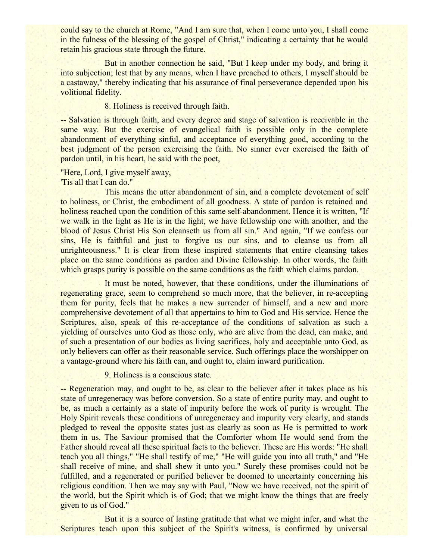could say to the church at Rome, "And I am sure that, when I come unto you, I shall come in the fulness of the blessing of the gospel of Christ," indicating a certainty that he would retain his gracious state through the future.

But in another connection he said, "But I keep under my body, and bring it into subjection; lest that by any means, when I have preached to others, I myself should be a castaway," thereby indicating that his assurance of final perseverance depended upon his volitional fidelity.

## 8. Holiness is received through faith.

-- Salvation is through faith, and every degree and stage of salvation is receivable in the same way. But the exercise of evangelical faith is possible only in the complete abandonment of everything sinful, and acceptance of everything good, according to the best judgment of the person exercising the faith. No sinner ever exercised the faith of pardon until, in his heart, he said with the poet,

#### "Here, Lord, I give myself away,

'Tis all that I can do."

This means the utter abandonment of sin, and a complete devotement of self to holiness, or Christ, the embodiment of all goodness. A state of pardon is retained and holiness reached upon the condition of this same self-abandonment. Hence it is written, "If we walk in the light as He is in the light, we have fellowship one with another, and the blood of Jesus Christ His Son cleanseth us from all sin." And again, "If we confess our sins, He is faithful and just to forgive us our sins, and to cleanse us from all unrighteousness." It is clear from these inspired statements that entire cleansing takes place on the same conditions as pardon and Divine fellowship. In other words, the faith which grasps purity is possible on the same conditions as the faith which claims pardon.

It must be noted, however, that these conditions, under the illuminations of regenerating grace, seem to comprehend so much more, that the believer, in re-accepting them for purity, feels that he makes a new surrender of himself, and a new and more comprehensive devotement of all that appertains to him to God and His service. Hence the Scriptures, also, speak of this re-acceptance of the conditions of salvation as such a yielding of ourselves unto God as those only, who are alive from the dead, can make, and of such a presentation of our bodies as living sacrifices, holy and acceptable unto God, as only believers can offer as their reasonable service. Such offerings place the worshipper on a vantage-ground where his faith can, and ought to, claim inward purification.

9. Holiness is a conscious state.

-- Regeneration may, and ought to be, as clear to the believer after it takes place as his state of unregeneracy was before conversion. So a state of entire purity may, and ought to be, as much a certainty as a state of impurity before the work of purity is wrought. The Holy Spirit reveals these conditions of unregeneracy and impurity very clearly, and stands pledged to reveal the opposite states just as clearly as soon as He is permitted to work them in us. The Saviour promised that the Comforter whom He would send from the Father should reveal all these spiritual facts to the believer. These are His words: "He shall teach you all things," "He shall testify of me," "He will guide you into all truth," and "He shall receive of mine, and shall shew it unto you." Surely these promises could not be fulfilled, and a regenerated or purified believer be doomed to uncertainty concerning his religious condition. Then we may say with Paul, "Now we have received, not the spirit of the world, but the Spirit which is of God; that we might know the things that are freely given to us of God."

But it is a source of lasting gratitude that what we might infer, and what the Scriptures teach upon this subject of the Spirit's witness, is confirmed by universal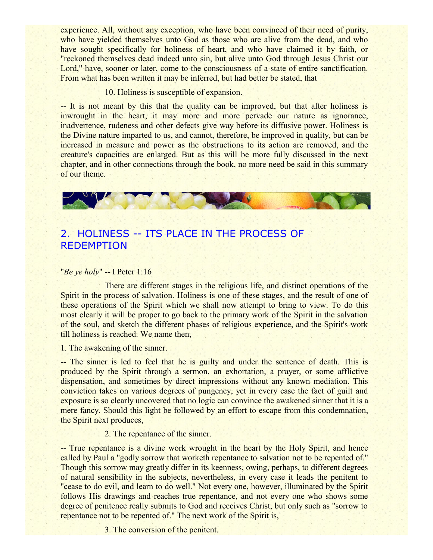experience. All, without any exception, who have been convinced of their need of purity, who have yielded themselves unto God as those who are alive from the dead, and who have sought specifically for holiness of heart, and who have claimed it by faith, or "reckoned themselves dead indeed unto sin, but alive unto God through Jesus Christ our Lord," have, sooner or later, come to the consciousness of a state of entire sanctification. From what has been written it may be inferred, but had better be stated, that

10. Holiness is susceptible of expansion.

-- It is not meant by this that the quality can be improved, but that after holiness is inwrought in the heart, it may more and more pervade our nature as ignorance, inadvertence, rudeness and other defects give way before its diffusive power. Holiness is the Divine nature imparted to us, and cannot, therefore, be improved in quality, but can be increased in measure and power as the obstructions to its action are removed, and the creature's capacities are enlarged. But as this will be more fully discussed in the next chapter, and in other connections through the book, no more need be said in this summary of our theme.



# 2. HOLINESS -- ITS PLACE IN THE PROCESS OF REDEMPTION

## "*Be ye holy*" -- I Peter 1:16

There are different stages in the religious life, and distinct operations of the Spirit in the process of salvation. Holiness is one of these stages, and the result of one of these operations of the Spirit which we shall now attempt to bring to view. To do this most clearly it will be proper to go back to the primary work of the Spirit in the salvation of the soul, and sketch the different phases of religious experience, and the Spirit's work till holiness is reached. We name then,

1. The awakening of the sinner.

-- The sinner is led to feel that he is guilty and under the sentence of death. This is produced by the Spirit through a sermon, an exhortation, a prayer, or some afflictive dispensation, and sometimes by direct impressions without any known mediation. This conviction takes on various degrees of pungency, yet in every case the fact of guilt and exposure is so clearly uncovered that no logic can convince the awakened sinner that it is a mere fancy. Should this light be followed by an effort to escape from this condemnation, the Spirit next produces,

2. The repentance of the sinner.

-- True repentance is a divine work wrought in the heart by the Holy Spirit, and hence called by Paul a "godly sorrow that worketh repentance to salvation not to be repented of." Though this sorrow may greatly differ in its keenness, owing, perhaps, to different degrees of natural sensibility in the subjects, nevertheless, in every case it leads the penitent to "cease to do evil, and learn to do well." Not every one, however, illuminated by the Spirit follows His drawings and reaches true repentance, and not every one who shows some degree of penitence really submits to God and receives Christ, but only such as "sorrow to repentance not to be repented of." The next work of the Spirit is,

3. The conversion of the penitent.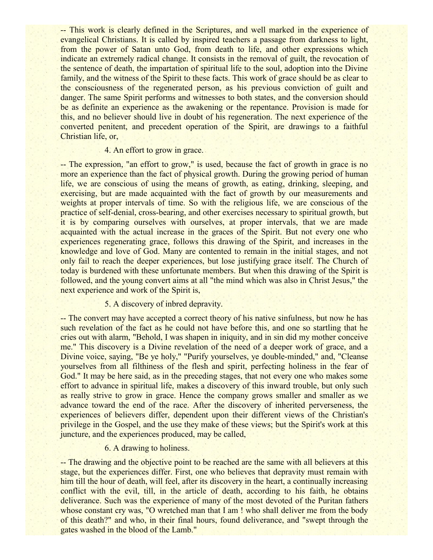-- This work is clearly defined in the Scriptures, and well marked in the experience of evangelical Christians. It is called by inspired teachers a passage from darkness to light, from the power of Satan unto God, from death to life, and other expressions which indicate an extremely radical change. It consists in the removal of guilt, the revocation of the sentence of death, the impartation of spiritual life to the soul, adoption into the Divine family, and the witness of the Spirit to these facts. This work of grace should be as clear to the consciousness of the regenerated person, as his previous conviction of guilt and danger. The same Spirit performs and witnesses to both states, and the conversion should be as definite an experience as the awakening or the repentance. Provision is made for this, and no believer should live in doubt of his regeneration. The next experience of the converted penitent, and precedent operation of the Spirit, are drawings to a faithful Christian life, or,

#### 4. An effort to grow in grace.

-- The expression, "an effort to grow," is used, because the fact of growth in grace is no more an experience than the fact of physical growth. During the growing period of human life, we are conscious of using the means of growth, as eating, drinking, sleeping, and exercising, but are made acquainted with the fact of growth by our measurements and weights at proper intervals of time. So with the religious life, we are conscious of the practice of self-denial, cross-bearing, and other exercises necessary to spiritual growth, but it is by comparing ourselves with ourselves, at proper intervals, that we are made acquainted with the actual increase in the graces of the Spirit. But not every one who experiences regenerating grace, follows this drawing of the Spirit, and increases in the knowledge and love of God. Many are contented to remain in the initial stages, and not only fail to reach the deeper experiences, but lose justifying grace itself. The Church of today is burdened with these unfortunate members. But when this drawing of the Spirit is followed, and the young convert aims at all "the mind which was also in Christ Jesus," the next experience and work of the Spirit is,

5. A discovery of inbred depravity.

-- The convert may have accepted a correct theory of his native sinfulness, but now he has such revelation of the fact as he could not have before this, and one so startling that he cries out with alarm, "Behold, I was shapen in iniquity, and in sin did my mother conceive me." This discovery is a Divine revelation of the need of a deeper work of grace, and a Divine voice, saying, "Be ye holy," "Purify yourselves, ye double-minded," and, "Cleanse yourselves from all filthiness of the flesh and spirit, perfecting holiness in the fear of God." It may be here said, as in the preceding stages, that not every one who makes some effort to advance in spiritual life, makes a discovery of this inward trouble, but only such as really strive to grow in grace. Hence the company grows smaller and smaller as we advance toward the end of the race. After the discovery of inherited perverseness, the experiences of believers differ, dependent upon their different views of the Christian's privilege in the Gospel, and the use they make of these views; but the Spirit's work at this juncture, and the experiences produced, may be called,

## 6. A drawing to holiness.

-- The drawing and the objective point to be reached are the same with all believers at this stage, but the experiences differ. First, one who believes that depravity must remain with him till the hour of death, will feel, after its discovery in the heart, a continually increasing conflict with the evil, till, in the article of death, according to his faith, he obtains deliverance. Such was the experience of many of the most devoted of the Puritan fathers whose constant cry was, "O wretched man that I am ! who shall deliver me from the body of this death?" and who, in their final hours, found deliverance, and "swept through the gates washed in the blood of the Lamb."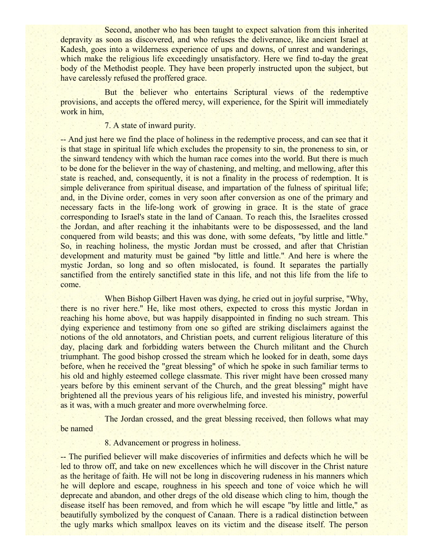Second, another who has been taught to expect salvation from this inherited depravity as soon as discovered, and who refuses the deliverance, like ancient Israel at Kadesh, goes into a wilderness experience of ups and downs, of unrest and wanderings, which make the religious life exceedingly unsatisfactory. Here we find to-day the great body of the Methodist people. They have been properly instructed upon the subject, but have carelessly refused the proffered grace.

But the believer who entertains Scriptural views of the redemptive provisions, and accepts the offered mercy, will experience, for the Spirit will immediately work in him,

7. A state of inward purity.

-- And just here we find the place of holiness in the redemptive process, and can see that it is that stage in spiritual life which excludes the propensity to sin, the proneness to sin, or the sinward tendency with which the human race comes into the world. But there is much to be done for the believer in the way of chastening, and melting, and mellowing, after this state is reached, and, consequently, it is not a finality in the process of redemption. It is simple deliverance from spiritual disease, and impartation of the fulness of spiritual life; and, in the Divine order, comes in very soon after conversion as one of the primary and necessary facts in the life-long work of growing in grace. It is the state of grace corresponding to Israel's state in the land of Canaan. To reach this, the Israelites crossed the Jordan, and after reaching it the inhabitants were to be dispossessed, and the land conquered from wild beasts; and this was done, with some defeats, "by little and little." So, in reaching holiness, the mystic Jordan must be crossed, and after that Christian development and maturity must be gained "by little and little." And here is where the mystic Jordan, so long and so often mislocated, is found. It separates the partially sanctified from the entirely sanctified state in this life, and not this life from the life to come.

When Bishop Gilbert Haven was dying, he cried out in joyful surprise, "Why, there is no river here." He, like most others, expected to cross this mystic Jordan in reaching his home above, but was happily disappointed in finding no such stream. This dying experience and testimony from one so gifted are striking disclaimers against the notions of the old annotators, and Christian poets, and current religious literature of this day, placing dark and forbidding waters between the Church militant and the Church triumphant. The good bishop crossed the stream which he looked for in death, some days before, when he received the "great blessing" of which he spoke in such familiar terms to his old and highly esteemed college classmate. This river might have been crossed many years before by this eminent servant of the Church, and the great blessing" might have brightened all the previous years of his religious life, and invested his ministry, powerful as it was, with a much greater and more overwhelming force.

The Jordan crossed, and the great blessing received, then follows what may be named

8. Advancement or progress in holiness.

-- The purified believer will make discoveries of infirmities and defects which he will be led to throw off, and take on new excellences which he will discover in the Christ nature as the heritage of faith. He will not be long in discovering rudeness in his manners which he will deplore and escape, roughness in his speech and tone of voice which he will deprecate and abandon, and other dregs of the old disease which cling to him, though the disease itself has been removed, and from which he will escape "by little and little," as beautifully symbolized by the conquest of Canaan. There is a radical distinction between the ugly marks which smallpox leaves on its victim and the disease itself. The person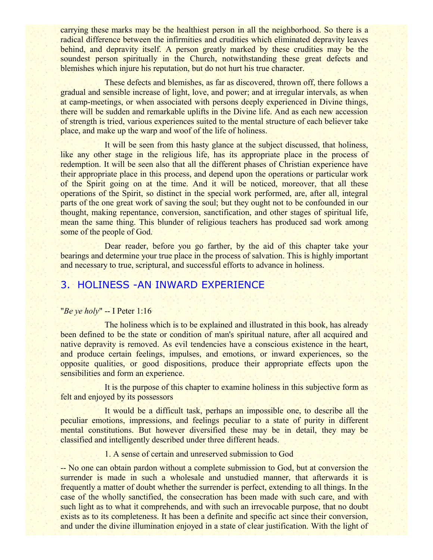carrying these marks may be the healthiest person in all the neighborhood. So there is a radical difference between the infirmities and crudities which eliminated depravity leaves behind, and depravity itself. A person greatly marked by these crudities may be the soundest person spiritually in the Church, notwithstanding these great defects and blemishes which injure his reputation, but do not hurt his true character.

These defects and blemishes, as far as discovered, thrown off, there follows a gradual and sensible increase of light, love, and power; and at irregular intervals, as when at camp-meetings, or when associated with persons deeply experienced in Divine things, there will be sudden and remarkable uplifts in the Divine life. And as each new accession of strength is tried, various experiences suited to the mental structure of each believer take place, and make up the warp and woof of the life of holiness.

It will be seen from this hasty glance at the subject discussed, that holiness, like any other stage in the religious life, has its appropriate place in the process of redemption. It will be seen also that all the different phases of Christian experience have their appropriate place in this process, and depend upon the operations or particular work of the Spirit going on at the time. And it will be noticed, moreover, that all these operations of the Spirit, so distinct in the special work performed, are, after all, integral parts of the one great work of saving the soul; but they ought not to be confounded in our thought, making repentance, conversion, sanctification, and other stages of spiritual life, mean the same thing. This blunder of religious teachers has produced sad work among some of the people of God.

Dear reader, before you go farther, by the aid of this chapter take your bearings and determine your true place in the process of salvation. This is highly important and necessary to true, scriptural, and successful efforts to advance in holiness.

# 3. HOLINESS -AN INWARD EXPERIENCE

## "*Be ye holy*" -- I Peter 1:16

The holiness which is to be explained and illustrated in this book, has already been defined to be the state or condition of man's spiritual nature, after all acquired and native depravity is removed. As evil tendencies have a conscious existence in the heart, and produce certain feelings, impulses, and emotions, or inward experiences, so the opposite qualities, or good dispositions, produce their appropriate effects upon the sensibilities and form an experience.

It is the purpose of this chapter to examine holiness in this subjective form as felt and enjoyed by its possessors

It would be a difficult task, perhaps an impossible one, to describe all the peculiar emotions, impressions, and feelings peculiar to a state of purity in different mental constitutions. But however diversified these may be in detail, they may be classified and intelligently described under three different heads.

1. A sense of certain and unreserved submission to God

-- No one can obtain pardon without a complete submission to God, but at conversion the surrender is made in such a wholesale and unstudied manner, that afterwards it is frequently a matter of doubt whether the surrender is perfect, extending to all things. In the case of the wholly sanctified, the consecration has been made with such care, and with such light as to what it comprehends, and with such an irrevocable purpose, that no doubt exists as to its completeness. It has been a definite and specific act since their conversion, and under the divine illumination enjoyed in a state of clear justification. With the light of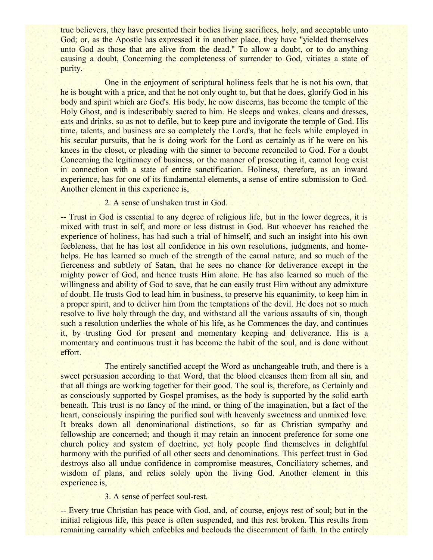true believers, they have presented their bodies living sacrifices, holy, and acceptable unto God; or, as the Apostle has expressed it in another place, they have "vielded themselves" unto God as those that are alive from the dead." To allow a doubt, or to do anything causing a doubt, Concerning the completeness of surrender to God, vitiates a state of purity.

One in the enjoyment of scriptural holiness feels that he is not his own, that he is bought with a price, and that he not only ought to, but that he does, glorify God in his body and spirit which are God's. His body, he now discerns, has become the temple of the Holy Ghost, and is indescribably sacred to him. He sleeps and wakes, cleans and dresses, eats and drinks, so as not to defile, but to keep pure and invigorate the temple of God. His time, talents, and business are so completely the Lord's, that he feels while employed in his secular pursuits, that he is doing work for the Lord as certainly as if he were on his knees in the closet, or pleading with the sinner to become reconciled to God. For a doubt Concerning the legitimacy of business, or the manner of prosecuting it, cannot long exist in connection with a state of entire sanctification. Holiness, therefore, as an inward experience, has for one of its fundamental elements, a sense of entire submission to God. Another element in this experience is,

## 2. A sense of unshaken trust in God.

-- Trust in God is essential to any degree of religious life, but in the lower degrees, it is mixed with trust in self, and more or less distrust in God. But whoever has reached the experience of holiness, has had such a trial of himself, and such an insight into his own feebleness, that he has lost all confidence in his own resolutions, judgments, and homehelps. He has learned so much of the strength of the carnal nature, and so much of the fierceness and subtlety of Satan, that he sees no chance for deliverance except in the mighty power of God, and hence trusts Him alone. He has also learned so much of the willingness and ability of God to save, that he can easily trust Him without any admixture of doubt. He trusts God to lead him in business, to preserve his equanimity, to keep him in a proper spirit, and to deliver him from the temptations of the devil. He does not so much resolve to live holy through the day, and withstand all the various assaults of sin, though such a resolution underlies the whole of his life, as he Commences the day, and continues it, by trusting God for present and momentary keeping and deliverance. His is a momentary and continuous trust it has become the habit of the soul, and is done without effort.

The entirely sanctified accept the Word as unchangeable truth, and there is a sweet persuasion according to that Word, that the blood cleanses them from all sin, and that all things are working together for their good. The soul is, therefore, as Certainly and as consciously supported by Gospel promises, as the body is supported by the solid earth beneath. This trust is no fancy of the mind, or thing of the imagination, but a fact of the heart, consciously inspiring the purified soul with heavenly sweetness and unmixed love. It breaks down all denominational distinctions, so far as Christian sympathy and fellowship are concerned; and though it may retain an innocent preference for some one church policy and system of doctrine, yet holy people find themselves in delightful harmony with the purified of all other sects and denominations. This perfect trust in God destroys also all undue confidence in compromise measures, Conciliatory schemes, and wisdom of plans, and relies solely upon the living God. Another element in this experience is,

## 3. A sense of perfect soul-rest.

-- Every true Christian has peace with God, and, of course, enjoys rest of soul; but in the initial religious life, this peace is often suspended, and this rest broken. This results from remaining carnality which enfeebles and beclouds the discernment of faith. In the entirely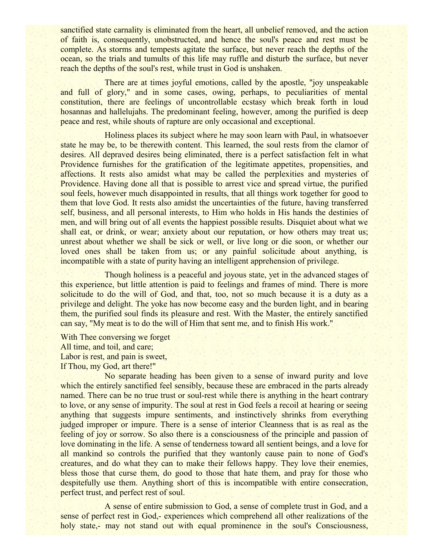sanctified state carnality is eliminated from the heart, all unbelief removed, and the action of faith is, consequently, unobstructed, and hence the soul's peace and rest must be complete. As storms and tempests agitate the surface, but never reach the depths of the ocean, so the trials and tumults of this life may ruffle and disturb the surface, but never reach the depths of the soul's rest, while trust in God is unshaken.

There are at times joyful emotions, called by the apostle, "joy unspeakable and full of glory," and in some cases, owing, perhaps, to peculiarities of mental constitution, there are feelings of uncontrollable ecstasy which break forth in loud hosannas and hallelujahs. The predominant feeling, however, among the purified is deep peace and rest, while shouts of rapture are only occasional and exceptional.

Holiness places its subject where he may soon learn with Paul, in whatsoever state he may be, to be therewith content. This learned, the soul rests from the clamor of desires. All depraved desires being eliminated, there is a perfect satisfaction felt in what Providence furnishes for the gratification of the legitimate appetites, propensities, and affections. It rests also amidst what may be called the perplexities and mysteries of Providence. Having done all that is possible to arrest vice and spread virtue, the purified soul feels, however much disappointed in results, that all things work together for good to them that love God. It rests also amidst the uncertainties of the future, having transferred self, business, and all personal interests, to Him who holds in His hands the destinies of men, and will bring out of all events the happiest possible results. Disquiet about what we shall eat, or drink, or wear; anxiety about our reputation, or how others may treat us; unrest about whether we shall be sick or well, or live long or die soon, or whether our loved ones shall be taken from us; or any painful solicitude about anything, is incompatible with a state of purity having an intelligent apprehension of privilege.

Though holiness is a peaceful and joyous state, yet in the advanced stages of this experience, but little attention is paid to feelings and frames of mind. There is more solicitude to do the will of God, and that, too, not so much because it is a duty as a privilege and delight. The yoke has now become easy and the burden light, and in bearing them, the purified soul finds its pleasure and rest. With the Master, the entirely sanctified can say, "My meat is to do the will of Him that sent me, and to finish His work."

With Thee conversing we forget All time, and toil, and care; Labor is rest, and pain is sweet, If Thou, my God, art there!"

No separate heading has been given to a sense of inward purity and love which the entirely sanctified feel sensibly, because these are embraced in the parts already named. There can be no true trust or soul-rest while there is anything in the heart contrary to love, or any sense of impurity. The soul at rest in God feels a recoil at hearing or seeing anything that suggests impure sentiments, and instinctively shrinks from everything judged improper or impure. There is a sense of interior Cleanness that is as real as the feeling of joy or sorrow. So also there is a consciousness of the principle and passion of love dominating in the life. A sense of tenderness toward all sentient beings, and a love for all mankind so controls the purified that they wantonly cause pain to none of God's creatures, and do what they can to make their fellows happy. They love their enemies, bless those that curse them, do good to those that hate them, and pray for those who despitefully use them. Anything short of this is incompatible with entire consecration, perfect trust, and perfect rest of soul.

A sense of entire submission to God, a sense of complete trust in God, and a sense of perfect rest in God,- experiences which comprehend all other realizations of the holy state,- may not stand out with equal prominence in the soul's Consciousness,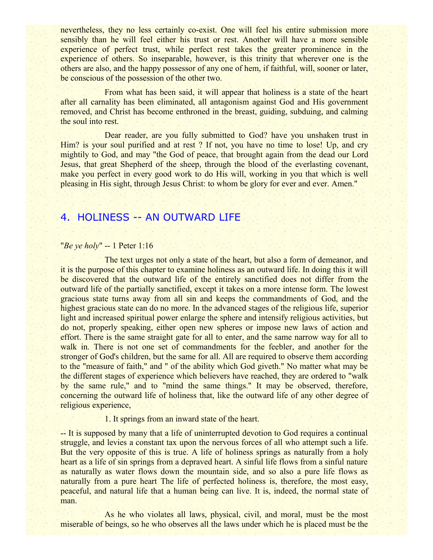nevertheless, they no less certainly co-exist. One will feel his entire submission more sensibly than he will feel either his trust or rest. Another will have a more sensible experience of perfect trust, while perfect rest takes the greater prominence in the experience of others. So inseparable, however, is this trinity that wherever one is the others are also, and the happy possessor of any one of hem, if faithful, will, sooner or later, be conscious of the possession of the other two.

From what has been said, it will appear that holiness is a state of the heart after all carnality has been eliminated, all antagonism against God and His government removed, and Christ has become enthroned in the breast, guiding, subduing, and calming the soul into rest.

Dear reader, are you fully submitted to God? have you unshaken trust in Him? is your soul purified and at rest? If not, you have no time to lose! Up, and cry mightily to God, and may "the God of peace, that brought again from the dead our Lord Jesus, that great Shepherd of the sheep, through the blood of the everlasting covenant, make you perfect in every good work to do His will, working in you that which is well pleasing in His sight, through Jesus Christ: to whom be glory for ever and ever. Amen."

# 4. HOLINESS -- AN OUTWARD LIFE

## "*Be ye holy*" -- 1 Peter 1:16

The text urges not only a state of the heart, but also a form of demeanor, and it is the purpose of this chapter to examine holiness as an outward life. In doing this it will be discovered that the outward life of the entirely sanctified does not differ from the outward life of the partially sanctified, except it takes on a more intense form. The lowest gracious state turns away from all sin and keeps the commandments of God, and the highest gracious state can do no more. In the advanced stages of the religious life, superior light and increased spiritual power enlarge the sphere and intensify religious activities, but do not, properly speaking, either open new spheres or impose new laws of action and effort. There is the same straight gate for all to enter, and the same narrow way for all to walk in. There is not one set of commandments for the feebler, and another for the stronger of God's children, but the same for all. All are required to observe them according to the "measure of faith," and " of the ability which God giveth." No matter what may be the different stages of experience which believers have reached, they are ordered to "walk by the same rule," and to "mind the same things." It may be observed, therefore, concerning the outward life of holiness that, like the outward life of any other degree of religious experience,

1. It springs from an inward state of the heart.

-- It is supposed by many that a life of uninterrupted devotion to God requires a continual struggle, and levies a constant tax upon the nervous forces of all who attempt such a life. But the very opposite of this is true. A life of holiness springs as naturally from a holy heart as a life of sin springs from a depraved heart. A sinful life flows from a sinful nature as naturally as water flows down the mountain side, and so also a pure life flows as naturally from a pure heart The life of perfected holiness is, therefore, the most easy, peaceful, and natural life that a human being can live. It is, indeed, the normal state of man.

As he who violates all laws, physical, civil, and moral, must be the most miserable of beings, so he who observes all the laws under which he is placed must be the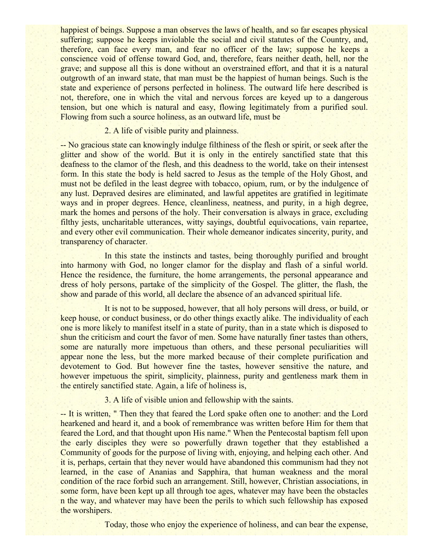happiest of beings. Suppose a man observes the laws of health, and so far escapes physical suffering; suppose he keeps inviolable the social and civil statutes of the Country, and, therefore, can face every man, and fear no officer of the law; suppose he keeps a conscience void of offense toward God, and, therefore, fears neither death, hell, nor the grave; and suppose all this is done without an overstrained effort, and that it is a natural outgrowth of an inward state, that man must be the happiest of human beings. Such is the state and experience of persons perfected in holiness. The outward life here described is not, therefore, one in which the vital and nervous forces are keyed up to a dangerous tension, but one which is natural and easy, flowing legitimately from a purified soul. Flowing from such a source holiness, as an outward life, must be

2. A life of visible purity and plainness.

-- No gracious state can knowingly indulge filthiness of the flesh or spirit, or seek after the glitter and show of the world. But it is only in the entirely sanctified state that this deafness to the clamor of the flesh, and this deadness to the world, take on their intensest form. In this state the body is held sacred to Jesus as the temple of the Holy Ghost, and must not be defiled in the least degree with tobacco, opium, rum, or by the indulgence of any lust. Depraved desires are eliminated, and lawful appetites are gratified in legitimate ways and in proper degrees. Hence, cleanliness, neatness, and purity, in a high degree, mark the homes and persons of the holy. Their conversation is always in grace, excluding filthy jests, uncharitable utterances, witty sayings, doubtful equivocations, vain repartee, and every other evil communication. Their whole demeanor indicates sincerity, purity, and transparency of character.

In this state the instincts and tastes, being thoroughly purified and brought into harmony with God, no longer clamor for the display and flash of a sinful world. Hence the residence, the furniture, the home arrangements, the personal appearance and dress of holy persons, partake of the simplicity of the Gospel. The glitter, the flash, the show and parade of this world, all declare the absence of an advanced spiritual life.

It is not to be supposed, however, that all holy persons will dress, or build, or keep house, or conduct business, or do other things exactly alike. The individuality of each one is more likely to manifest itself in a state of purity, than in a state which is disposed to shun the criticism and court the favor of men. Some have naturally finer tastes than others, some are naturally more impetuous than others, and these personal peculiarities will appear none the less, but the more marked because of their complete purification and devotement to God. But however fine the tastes, however sensitive the nature, and however impetuous the spirit, simplicity, plainness, purity and gentleness mark them in the entirely sanctified state. Again, a life of holiness is,

3. A life of visible union and fellowship with the saints.

-- It is written, " Then they that feared the Lord spake often one to another: and the Lord hearkened and heard it, and a book of remembrance was written before Him for them that feared the Lord, and that thought upon His name." When the Pentecostal baptism fell upon the early disciples they were so powerfully drawn together that they established a Community of goods for the purpose of living with, enjoying, and helping each other. And it is, perhaps, certain that they never would have abandoned this communism had they not learned, in the case of Ananias and Sapphira, that human weakness and the moral condition of the race forbid such an arrangement. Still, however, Christian associations, in some form, have been kept up all through toe ages, whatever may have been the obstacles n the way, and whatever may have been the perils to which such fellowship has exposed the worshipers.

Today, those who enjoy the experience of holiness, and can bear the expense,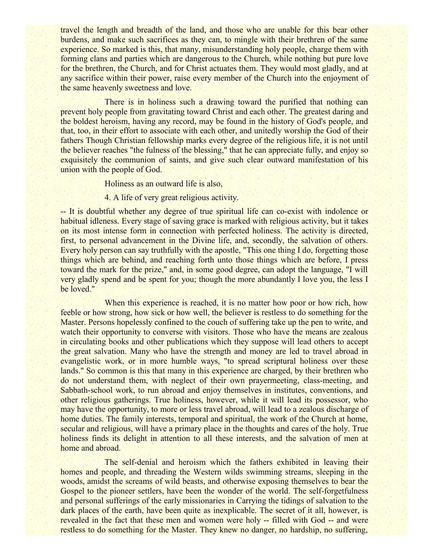travel the length and breadth of the land, and those who are unable for this bear other burdens, and make such sacrifices as they can, to mingle with their brethren of the same experience. So marked is this, that many, misunderstanding holy people, charge them with forming clans and parties which are dangerous to the Church, while nothing but pure love for the brethren, the Church, and for Christ actuates them. They would most gladly, and at any sacrifice within their power, raise every member of the Church into the enjoyment of the same heavenly sweetness and love.

There is in holiness such a drawing toward the purified that nothing can prevent holy people from gravitating toward Christ and each other. The greatest daring and the boldest heroism, having any record, may be found in the history of God's people, and that, too, in their effort to associate with each other, and unitedly worship the God of their fathers Though Christian fellowship marks every degree of the religious life, it is not until the believer reaches "the fulness of the blessing," that he can appreciate fully, and enjoy so exquisitely the communion of saints, and give such clear outward manifestation of his union with the people of God.

Holiness as an outward life is also,

4. A life of very great religious activity.

-- It is doubtful whether any degree of true spiritual life can co-exist with indolence or habitual idleness. Every stage of saving grace is marked with religious activity, but it takes on its most intense form in connection with perfected holiness. The activity is directed, first, to personal advancement in the Divine life, and, secondly, the salvation of others. Every holy person can say truthfully with the apostle, "This one thing I do, forgetting those things which are behind, and reaching forth unto those things which are before, I press toward the mark for the prize," and, in some good degree, can adopt the language, "I will very gladly spend and be spent for you; though the more abundantly I love you, the less I be loved."

When this experience is reached, it is no matter how poor or how rich, how feeble or how strong, how sick or how well, the believer is restless to do something for the Master. Persons hopelessly confined to the couch of suffering take up the pen to write, and watch their opportunity to converse with visitors. Those who have the means are zealous in circulating books and other publications which they suppose will lead others to accept the great salvation. Many who have the strength and money are led to travel abroad in evangelistic work, or in more humble ways, "to spread scriptural holiness over these lands." So common is this that many in this experience are charged, by their brethren who do not understand them, with neglect of their own prayermeeting, class-meeting, and Sabbath-school work, to run abroad and enjoy themselves in institutes, conventions, and other religious gatherings. True holiness, however, while it will lead its possessor, who may have the opportunity, to more or less travel abroad, will lead to a zealous discharge of home duties. The family interests, temporal and spiritual, the work of the Church at home, secular and religious, will have a primary place in the thoughts and cares of the holy. True holiness finds its delight in attention to all these interests, and the salvation of men at home and abroad.

The self-denial and heroism which the fathers exhibited in leaving their homes and people, and threading the Western wilds swimming streams, sleeping in the woods, amidst the screams of wild beasts, and otherwise exposing themselves to bear the Gospel to the pioneer settlers, have been the wonder of the world. The self-forgetfulness and personal sufferings of the early missionaries in Carrying the tidings of salvation to the dark places of the earth, have been quite as inexplicable. The secret of it all, however, is revealed in the fact that these men and women were holy -- filled with God -- and were restless to do something for the Master. They knew no danger, no hardship, no suffering,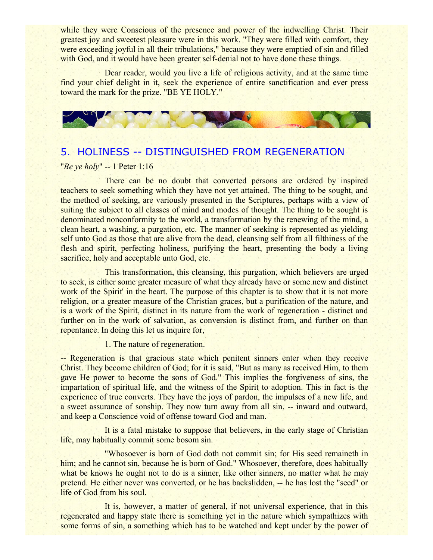while they were Conscious of the presence and power of the indwelling Christ. Their greatest joy and sweetest pleasure were in this work. "They were filled with comfort, they were exceeding joyful in all their tribulations," because they were emptied of sin and filled with God, and it would have been greater self-denial not to have done these things.

Dear reader, would you live a life of religious activity, and at the same time find your chief delight in it, seek the experience of entire sanctification and ever press toward the mark for the prize. "BE YE HOLY."



# 5. HOLINESS -- DISTINGUISHED FROM REGENERATION

## "*Be ye holy*" -- 1 Peter 1:16

There can be no doubt that converted persons are ordered by inspired teachers to seek something which they have not yet attained. The thing to be sought, and the method of seeking, are variously presented in the Scriptures, perhaps with a view of suiting the subject to all classes of mind and modes of thought. The thing to be sought is denominated nonconformity to the world, a transformation by the renewing of the mind, a clean heart, a washing, a purgation, etc. The manner of seeking is represented as yielding self unto God as those that are alive from the dead, cleansing self from all filthiness of the flesh and spirit, perfecting holiness, purifying the heart, presenting the body a living sacrifice, holy and acceptable unto God, etc.

This transformation, this cleansing, this purgation, which believers are urged to seek, is either some greater measure of what they already have or some new and distinct work of the Spirit' in the heart. The purpose of this chapter is to show that it is not more religion, or a greater measure of the Christian graces, but a purification of the nature, and is a work of the Spirit, distinct in its nature from the work of regeneration - distinct and further on in the work of salvation, as conversion is distinct from, and further on than repentance. In doing this let us inquire for,

1. The nature of regeneration.

-- Regeneration is that gracious state which penitent sinners enter when they receive Christ. They become children of God; for it is said, "But as many as received Him, to them gave He power to become the sons of God." This implies the forgiveness of sins, the impartation of spiritual life, and the witness of the Spirit to adoption. This in fact is the experience of true converts. They have the joys of pardon, the impulses of a new life, and a sweet assurance of sonship. They now turn away from all sin, -- inward and outward, and keep a Conscience void of offense toward God and man.

It is a fatal mistake to suppose that believers, in the early stage of Christian life, may habitually commit some bosom sin.

"Whosoever is born of God doth not commit sin; for His seed remaineth in him; and he cannot sin, because he is born of God." Whosoever, therefore, does habitually what be knows he ought not to do is a sinner, like other sinners, no matter what he may pretend. He either never was converted, or he has backslidden, -- he has lost the "seed" or life of God from his soul.

It is, however, a matter of general, if not universal experience, that in this regenerated and happy state there is something yet in the nature which sympathizes with some forms of sin, a something which has to be watched and kept under by the power of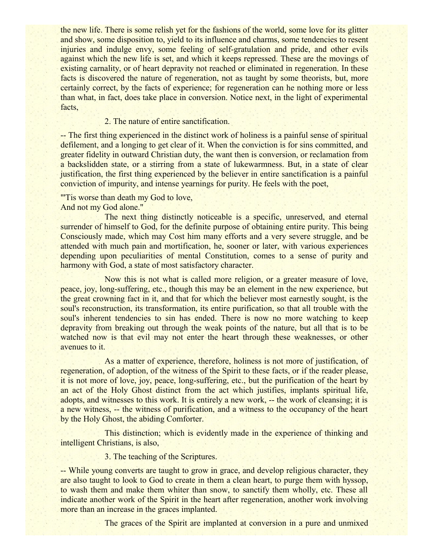the new life. There is some relish yet for the fashions of the world, some love for its glitter and show, some disposition to, yield to its influence and charms, some tendencies to resent injuries and indulge envy, some feeling of self-gratulation and pride, and other evils against which the new life is set, and which it keeps repressed. These are the movings of existing carnality, or of heart depravity not reached or eliminated in regeneration. In these facts is discovered the nature of regeneration, not as taught by some theorists, but, more certainly correct, by the facts of experience; for regeneration can he nothing more or less than what, in fact, does take place in conversion. Notice next, in the light of experimental facts,

## 2. The nature of entire sanctification.

-- The first thing experienced in the distinct work of holiness is a painful sense of spiritual defilement, and a longing to get clear of it. When the conviction is for sins committed, and greater fidelity in outward Christian duty, the want then is conversion, or reclamation from a backslidden state, or a stirring from a state of lukewarmness. But, in a state of clear justification, the first thing experienced by the believer in entire sanctification is a painful conviction of impurity, and intense yearnings for purity. He feels with the poet,

## "'Tis worse than death my God to love,

And not my God alone."

The next thing distinctly noticeable is a specific, unreserved, and eternal surrender of himself to God, for the definite purpose of obtaining entire purity. This being Consciously made, which may Cost him many efforts and a very severe struggle, and be attended with much pain and mortification, he, sooner or later, with various experiences depending upon peculiarities of mental Constitution, comes to a sense of purity and harmony with God, a state of most satisfactory character.

Now this is not what is called more religion, or a greater measure of love, peace, joy, long-suffering, etc., though this may be an element in the new experience, but the great crowning fact in it, and that for which the believer most earnestly sought, is the soul's reconstruction, its transformation, its entire purification, so that all trouble with the soul's inherent tendencies to sin has ended. There is now no more watching to keep depravity from breaking out through the weak points of the nature, but all that is to be watched now is that evil may not enter the heart through these weaknesses, or other avenues to it.

As a matter of experience, therefore, holiness is not more of justification, of regeneration, of adoption, of the witness of the Spirit to these facts, or if the reader please, it is not more of love, joy, peace, long-suffering, etc., but the purification of the heart by an act of the Holy Ghost distinct from the act which justifies, implants spiritual life, adopts, and witnesses to this work. It is entirely a new work, -- the work of cleansing; it is a new witness, -- the witness of purification, and a witness to the occupancy of the heart by the Holy Ghost, the abiding Comforter.

This distinction; which is evidently made in the experience of thinking and intelligent Christians, is also,

3. The teaching of the Scriptures.

-- While young converts are taught to grow in grace, and develop religious character, they are also taught to look to God to create in them a clean heart, to purge them with hyssop, to wash them and make them whiter than snow, to sanctify them wholly, etc. These all indicate another work of the Spirit in the heart after regeneration, another work involving more than an increase in the graces implanted.

The graces of the Spirit are implanted at conversion in a pure and unmixed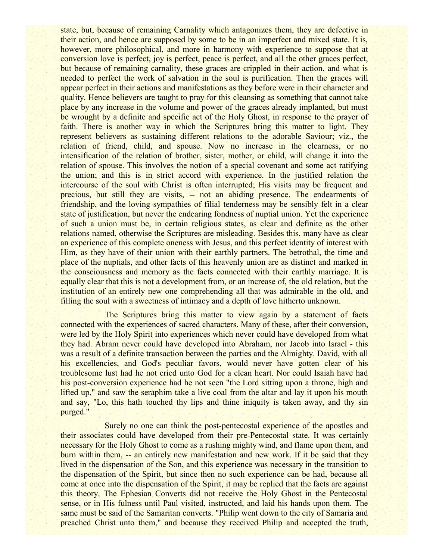state, but, because of remaining Carnality which antagonizes them, they are defective in their action, and hence are supposed by some to be in an imperfect and mixed state. It is, however, more philosophical, and more in harmony with experience to suppose that at conversion love is perfect, joy is perfect, peace is perfect, and all the other graces perfect, but because of remaining carnality, these graces are crippled in their action, and what is needed to perfect the work of salvation in the soul is purification. Then the graces will appear perfect in their actions and manifestations as they before were in their character and quality. Hence believers are taught to pray for this cleansing as something that cannot take place by any increase in the volume and power of the graces already implanted, but must be wrought by a definite and specific act of the Holy Ghost, in response to the prayer of faith. There is another way in which the Scriptures bring this matter to light. They represent believers as sustaining different relations to the adorable Saviour; viz., the relation of friend, child, and spouse. Now no increase in the clearness, or no intensification of the relation of brother, sister, mother, or child, will change it into the relation of spouse. This involves the notion of a special covenant and some act ratifying the union; and this is in strict accord with experience. In the justified relation the intercourse of the soul with Christ is often interrupted; His visits may be frequent and precious, but still they are visits, -- not an abiding presence. The endearments of friendship, and the loving sympathies of filial tenderness may be sensibly felt in a clear state of justification, but never the endearing fondness of nuptial union. Yet the experience of such a union must be, in certain religious states, as clear and definite as the other relations named, otherwise the Scriptures are misleading. Besides this, many have as clear an experience of this complete oneness with Jesus, and this perfect identity of interest with Him, as they have of their union with their earthly partners. The betrothal, the time and place of the nuptials, and other facts of this heavenly union are as distinct and marked in the consciousness and memory as the facts connected with their earthly marriage. It is equally clear that this is not a development from, or an increase of, the old relation, but the institution of an entirely new one comprehending all that was admirable in the old, and filling the soul with a sweetness of intimacy and a depth of love hitherto unknown.

The Scriptures bring this matter to view again by a statement of facts connected with the experiences of sacred characters. Many of these, after their conversion, were led by the Holy Spirit into experiences which never could have developed from what they had. Abram never could have developed into Abraham, nor Jacob into Israel - this was a result of a definite transaction between the parties and the Almighty. David, with all his excellencies, and God's peculiar favors, would never have gotten clear of his troublesome lust had he not cried unto God for a clean heart. Nor could Isaiah have had his post-conversion experience had he not seen "the Lord sitting upon a throne, high and lifted up," and saw the seraphim take a live coal from the altar and lay it upon his mouth and say, "Lo, this hath touched thy lips and thine iniquity is taken away, and thy sin purged."

Surely no one can think the post-pentecostal experience of the apostles and their associates could have developed from their pre-Pentecostal state. It was certainly necessary for the Holy Ghost to come as a rushing mighty wind, and flame upon them, and burn within them, -- an entirely new manifestation and new work. If it be said that they lived in the dispensation of the Son, and this experience was necessary in the transition to the dispensation of the Spirit, but since then no such experience can be had, because all come at once into the dispensation of the Spirit, it may be replied that the facts are against this theory. The Ephesian Converts did not receive the Holy Ghost in the Pentecostal sense, or in His fulness until Paul visited, instructed, and laid his hands upon them. The same must be said of the Samaritan converts. "Philip went down to the city of Samaria and preached Christ unto them," and because they received Philip and accepted the truth,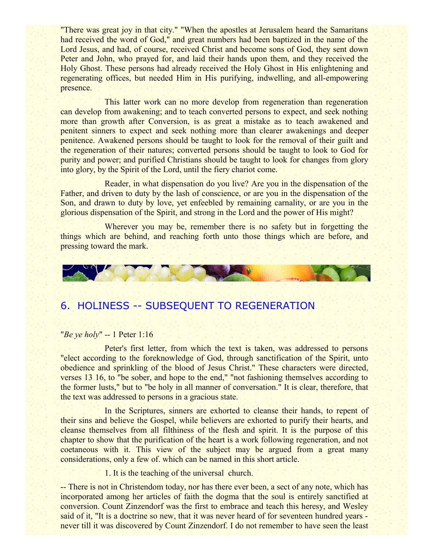"There was great joy in that city." "When the apostles at Jerusalem heard the Samaritans had received the word of God," and great numbers had been baptized in the name of the Lord Jesus, and had, of course, received Christ and become sons of God, they sent down Peter and John, who prayed for, and laid their hands upon them, and they received the Holy Ghost. These persons had already received the Holy Ghost in His enlightening and regenerating offices, but needed Him in His purifying, indwelling, and all-empowering presence.

This latter work can no more develop from regeneration than regeneration can develop from awakening; and to teach converted persons to expect, and seek nothing more than growth after Conversion, is as great a mistake as to teach awakened and penitent sinners to expect and seek nothing more than clearer awakenings and deeper penitence. Awakened persons should be taught to look for the removal of their guilt and the regeneration of their natures; converted persons should be taught to look to God for purity and power; and purified Christians should be taught to look for changes from glory into glory, by the Spirit of the Lord, until the fiery chariot come.

Reader, in what dispensation do you live? Are you in the dispensation of the Father, and driven to duty by the lash of conscience, or are you in the dispensation of the Son, and drawn to duty by love, yet enfeebled by remaining carnality, or are you in the glorious dispensation of the Spirit, and strong in the Lord and the power of His might?

Wherever you may be, remember there is no safety but in forgetting the things which are behind, and reaching forth unto those things which are before, and pressing toward the mark.



# 6. HOLINESS -- SUBSEQUENT TO REGENERATION

## "*Be ye holy*" -- 1 Peter 1:16

Peter's first letter, from which the text is taken, was addressed to persons "elect according to the foreknowledge of God, through sanctification of the Spirit, unto obedience and sprinkling of the blood of Jesus Christ." These characters were directed, verses 13 16, to "be sober, and hope to the end," "not fashioning themselves according to the former lusts," but to "be holy in all manner of conversation." It is clear, therefore, that the text was addressed to persons in a gracious state.

In the Scriptures, sinners are exhorted to cleanse their hands, to repent of their sins and believe the Gospel, while believers are exhorted to purify their hearts, and cleanse themselves from all filthiness of the flesh and spirit. It is the purpose of this chapter to show that the purification of the heart is a work following regeneration, and not coetaneous with it. This view of the subject may be argued from a great many considerations, only a few of. which can be named in this short article.

1. It is the teaching of the universal church.

-- There is not in Christendom today, nor has there ever been, a sect of any note, which has incorporated among her articles of faith the dogma that the soul is entirely sanctified at conversion. Count Zinzendorf was the first to embrace and teach this heresy, and Wesley said of it, "It is a doctrine so new, that it was never heard of for seventeen hundred years never till it was discovered by Count Zinzendorf. I do not remember to have seen the least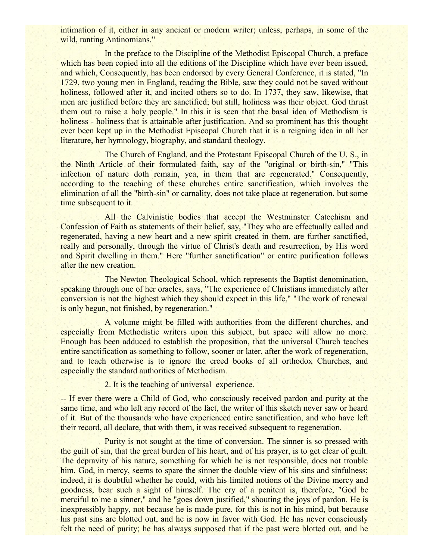intimation of it, either in any ancient or modern writer; unless, perhaps, in some of the wild, ranting Antinomians."

In the preface to the Discipline of the Methodist Episcopal Church, a preface which has been copied into all the editions of the Discipline which have ever been issued, and which, Consequently, has been endorsed by every General Conference, it is stated, "In 1729, two young men in England, reading the Bible, saw they could not be saved without holiness, followed after it, and incited others so to do. In 1737, they saw, likewise, that men are justified before they are sanctified; but still, holiness was their object. God thrust them out to raise a holy people." In this it is seen that the basal idea of Methodism is holiness - holiness that is attainable after justification. And so prominent has this thought ever been kept up in the Methodist Episcopal Church that it is a reigning idea in all her literature, her hymnology, biography, and standard theology.

The Church of England, and the Protestant Episcopal Church of the U. S., in the Ninth Article of their formulated faith, say of the "original or birth-sin," "This infection of nature doth remain, yea, in them that are regenerated." Consequently, according to the teaching of these churches entire sanctification, which involves the elimination of all the "birth-sin" or carnality, does not take place at regeneration, but some time subsequent to it.

All the Calvinistic bodies that accept the Westminster Catechism and Confession of Faith as statements of their belief, say, "They who are effectually called and regenerated, having a new heart and a new spirit created in them, are further sanctified, really and personally, through the virtue of Christ's death and resurrection, by His word and Spirit dwelling in them." Here "further sanctification" or entire purification follows after the new creation.

The Newton Theological School, which represents the Baptist denomination, speaking through one of her oracles, says, "The experience of Christians immediately after conversion is not the highest which they should expect in this life," "The work of renewal is only begun, not finished, by regeneration."

A volume might be filled with authorities from the different churches, and especially from Methodistic writers upon this subject, but space will allow no more. Enough has been adduced to establish the proposition, that the universal Church teaches entire sanctification as something to follow, sooner or later, after the work of regeneration, and to teach otherwise is to ignore the creed books of all orthodox Churches, and especially the standard authorities of Methodism.

2. It is the teaching of universal experience.

-- If ever there were a Child of God, who consciously received pardon and purity at the same time, and who left any record of the fact, the writer of this sketch never saw or heard of it. But of the thousands who have experienced entire sanctification, and who have left their record, all declare, that with them, it was received subsequent to regeneration.

Purity is not sought at the time of conversion. The sinner is so pressed with the guilt of sin, that the great burden of his heart, and of his prayer, is to get clear of guilt. The depravity of his nature, something for which he is not responsible, does not trouble him. God, in mercy, seems to spare the sinner the double view of his sins and sinfulness; indeed, it is doubtful whether he could, with his limited notions of the Divine mercy and goodness, bear such a sight of himself. The cry of a penitent is, therefore, "God be merciful to me a sinner," and he "goes down justified," shouting the joys of pardon. He is inexpressibly happy, not because he is made pure, for this is not in his mind, but because his past sins are blotted out, and he is now in favor with God. He has never consciously felt the need of purity; he has always supposed that if the past were blotted out, and he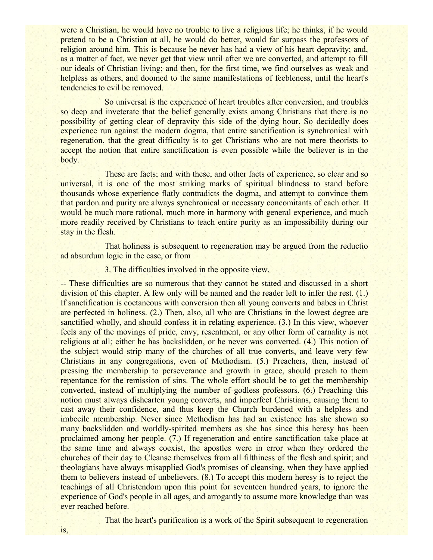were a Christian, he would have no trouble to live a religious life; he thinks, if he would pretend to be a Christian at all, he would do better, would far surpass the professors of religion around him. This is because he never has had a view of his heart depravity; and, as a matter of fact, we never get that view until after we are converted, and attempt to fill our ideals of Christian living; and then, for the first time, we find ourselves as weak and helpless as others, and doomed to the same manifestations of feebleness, until the heart's tendencies to evil be removed.

So universal is the experience of heart troubles after conversion, and troubles so deep and inveterate that the belief generally exists among Christians that there is no possibility of getting clear of depravity this side of the dying hour. So decidedly does experience run against the modern dogma, that entire sanctification is synchronical with regeneration, that the great difficulty is to get Christians who are not mere theorists to accept the notion that entire sanctification is even possible while the believer is in the body.

These are facts; and with these, and other facts of experience, so clear and so universal, it is one of the most striking marks of spiritual blindness to stand before thousands whose experience flatly contradicts the dogma, and attempt to convince them that pardon and purity are always synchronical or necessary concomitants of each other. It would be much more rational, much more in harmony with general experience, and much more readily received by Christians to teach entire purity as an impossibility during our stay in the flesh.

That holiness is subsequent to regeneration may be argued from the reductio ad absurdum logic in the case, or from

## 3. The difficulties involved in the opposite view.

-- These difficulties are so numerous that they cannot be stated and discussed in a short division of this chapter. A few only will be named and the reader left to infer the rest. (1.) If sanctification is coetaneous with conversion then all young converts and babes in Christ are perfected in holiness. (2.) Then, also, all who are Christians in the lowest degree are sanctified wholly, and should confess it in relating experience. (3.) In this view, whoever feels any of the movings of pride, envy, resentment, or any other form of carnality is not religious at all; either he has backslidden, or he never was converted. (4.) This notion of the subject would strip many of the churches of all true converts, and leave very few Christians in any congregations, even of Methodism. (5.) Preachers, then, instead of pressing the membership to perseverance and growth in grace, should preach to them repentance for the remission of sins. The whole effort should be to get the membership converted, instead of multiplying the number of godless professors. (6.) Preaching this notion must always dishearten young converts, and imperfect Christians, causing them to cast away their confidence, and thus keep the Church burdened with a helpless and imbecile membership. Never since Methodism has had an existence has she shown so many backslidden and worldly-spirited members as she has since this heresy has been proclaimed among her people. (7.) If regeneration and entire sanctification take place at the same time and always coexist, the apostles were in error when they ordered the churches of their day to Cleanse themselves from all filthiness of the flesh and spirit; and theologians have always misapplied God's promises of cleansing, when they have applied them to believers instead of unbelievers. (8.) To accept this modern heresy is to reject the teachings of all Christendom upon this point for seventeen hundred years, to ignore the experience of God's people in all ages, and arrogantly to assume more knowledge than was ever reached before.

That the heart's purification is a work of the Spirit subsequent to regeneration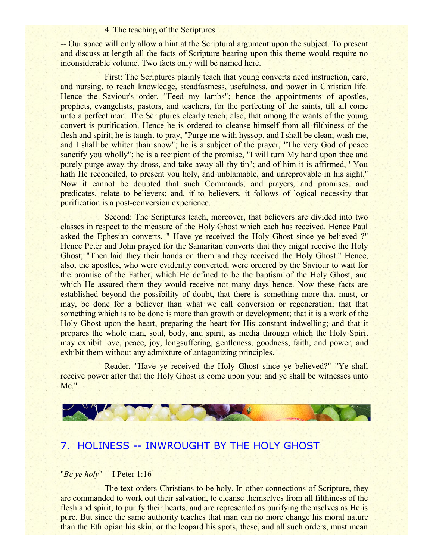#### 4. The teaching of the Scriptures.

-- Our space will only allow a hint at the Scriptural argument upon the subject. To present and discuss at length all the facts of Scripture bearing upon this theme would require no inconsiderable volume. Two facts only will be named here.

First: The Scriptures plainly teach that young converts need instruction, care, and nursing, to reach knowledge, steadfastness, usefulness, and power in Christian life. Hence the Saviour's order, "Feed my lambs"; hence the appointments of apostles, prophets, evangelists, pastors, and teachers, for the perfecting of the saints, till all come unto a perfect man. The Scriptures clearly teach, also, that among the wants of the young convert is purification. Hence he is ordered to cleanse himself from all filthiness of the flesh and spirit; he is taught to pray, "Purge me with hyssop, and I shall be clean; wash me, and I shall be whiter than snow"; he is a subject of the prayer, "The very God of peace sanctify you wholly"; he is a recipient of the promise, "I will turn My hand upon thee and purely purge away thy dross, and take away all thy tin"; and of him it is affirmed, ' You hath He reconciled, to present you holy, and unblamable, and unreprovable in his sight." Now it cannot be doubted that such Commands, and prayers, and promises, and predicates, relate to believers; and, if to believers, it follows of logical necessity that purification is a post-conversion experience.

Second: The Scriptures teach, moreover, that believers are divided into two classes in respect to the measure of the Holy Ghost which each has received. Hence Paul asked the Ephesian converts, " Have ye received the Holy Ghost since ye believed ?" Hence Peter and John prayed for the Samaritan converts that they might receive the Holy Ghost; "Then laid they their hands on them and they received the Holy Ghost." Hence, also, the apostles, who were evidently converted, were ordered by the Saviour to wait for the promise of the Father, which He defined to be the baptism of the Holy Ghost, and which He assured them they would receive not many days hence. Now these facts are established beyond the possibility of doubt, that there is something more that must, or may, be done for a believer than what we call conversion or regeneration; that that something which is to be done is more than growth or development; that it is a work of the Holy Ghost upon the heart, preparing the heart for His constant indwelling; and that it prepares the whole man, soul, body, and spirit, as media through which the Holy Spirit may exhibit love, peace, joy, longsuffering, gentleness, goodness, faith, and power, and exhibit them without any admixture of antagonizing principles.

Reader, "Have ye received the Holy Ghost since ye believed?" "Ye shall receive power after that the Holy Ghost is come upon you; and ye shall be witnesses unto Me."



## 7. HOLINESS -- INWROUGHT BY THE HOLY GHOST

#### "*Be ye holy*" -- I Peter 1:16

The text orders Christians to be holy. In other connections of Scripture, they are commanded to work out their salvation, to cleanse themselves from all filthiness of the flesh and spirit, to purify their hearts, and are represented as purifying themselves as He is pure. But since the same authority teaches that man can no more change his moral nature than the Ethiopian his skin, or the leopard his spots, these, and all such orders, must mean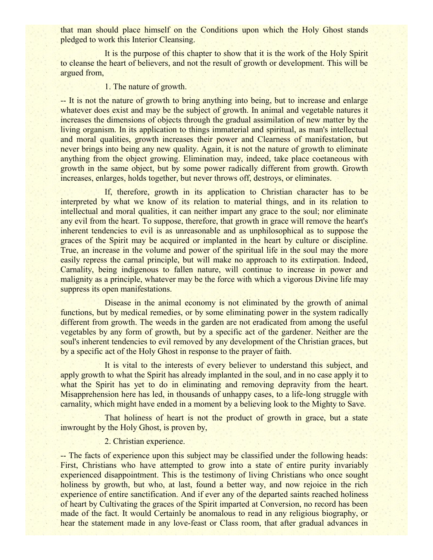that man should place himself on the Conditions upon which the Holy Ghost stands pledged to work this Interior Cleansing.

It is the purpose of this chapter to show that it is the work of the Holy Spirit to cleanse the heart of believers, and not the result of growth or development. This will be argued from,

#### 1. The nature of growth.

-- It is not the nature of growth to bring anything into being, but to increase and enlarge whatever does exist and may be the subject of growth. In animal and vegetable natures it increases the dimensions of objects through the gradual assimilation of new matter by the living organism. In its application to things immaterial and spiritual, as man's intellectual and moral qualities, growth increases their power and Clearness of manifestation, but never brings into being any new quality. Again, it is not the nature of growth to eliminate anything from the object growing. Elimination may, indeed, take place coetaneous with growth in the same object, but by some power radically different from growth. Growth increases, enlarges, holds together, but never throws off, destroys, or eliminates.

If, therefore, growth in its application to Christian character has to be interpreted by what we know of its relation to material things, and in its relation to intellectual and moral qualities, it can neither impart any grace to the soul; nor eliminate any evil from the heart. To suppose, therefore, that growth in grace will remove the heart's inherent tendencies to evil is as unreasonable and as unphilosophical as to suppose the graces of the Spirit may be acquired or implanted in the heart by culture or discipline. True, an increase in the volume and power of the spiritual life in the soul may the more easily repress the carnal principle, but will make no approach to its extirpation. Indeed, Carnality, being indigenous to fallen nature, will continue to increase in power and malignity as a principle, whatever may be the force with which a vigorous Divine life may suppress its open manifestations.

Disease in the animal economy is not eliminated by the growth of animal functions, but by medical remedies, or by some eliminating power in the system radically different from growth. The weeds in the garden are not eradicated from among the useful vegetables by any form of growth, but by a specific act of the gardener. Neither are the soul's inherent tendencies to evil removed by any development of the Christian graces, but by a specific act of the Holy Ghost in response to the prayer of faith.

It is vital to the interests of every believer to understand this subject, and apply growth to what the Spirit has already implanted in the soul, and in no case apply it to what the Spirit has yet to do in eliminating and removing depravity from the heart. Misapprehension here has led, in thousands of unhappy cases, to a life-long struggle with carnality, which might have ended in a moment by a believing look to the Mighty to Save.

That holiness of heart is not the product of growth in grace, but a state inwrought by the Holy Ghost, is proven by,

### 2. Christian experience.

-- The facts of experience upon this subject may be classified under the following heads: First, Christians who have attempted to grow into a state of entire purity invariably experienced disappointment. This is the testimony of living Christians who once sought holiness by growth, but who, at last, found a better way, and now rejoice in the rich experience of entire sanctification. And if ever any of the departed saints reached holiness of heart by Cultivating the graces of the Spirit imparted at Conversion, no record has been made of the fact. It would Certainly be anomalous to read in any religious biography, or hear the statement made in any love-feast or Class room, that after gradual advances in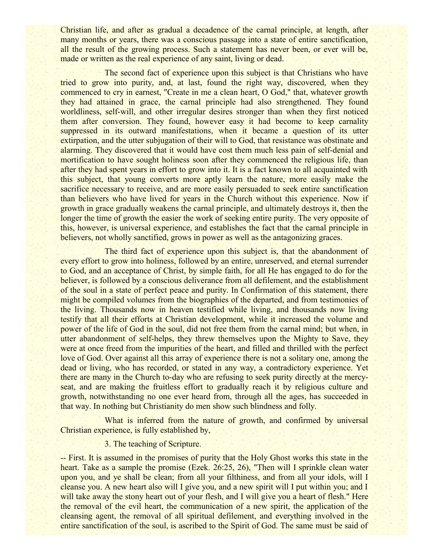Christian life, and after as gradual a decadence of the carnal principle, at length, after many months or years, there was a conscious passage into a state of entire sanctification, all the result of the growing process. Such a statement has never been, or ever will be, made or written as the real experience of any saint, living or dead.

The second fact of experience upon this subject is that Christians who have tried to grow into purity, and, at last, found the right way, discovered, when they commenced to cry in earnest, "Create in me a clean heart, O God," that, whatever growth they had attained in grace, the carnal principle had also strengthened. They found worldliness, self-will, and other irregular desires stronger than when they first noticed them after conversion. They found, however easy it had become to keep carnality suppressed in its outward manifestations, when it became a question of its utter extirpation, and the utter subjugation of their will to God, that resistance was obstinate and alarming. They discovered that it would have cost them much less pain of self-denial and mortification to have sought holiness soon after they commenced the religious life, than after they had spent years in effort to grow into it. It is a fact known to all acquainted with this subject, that young converts more aptly learn the nature, more easily make the sacrifice necessary to receive, and are more easily persuaded to seek entire sanctification than believers who have lived for years in the Church without this experience. Now if growth in grace gradually weakens the carnal principle, and ultimately destroys it, then the longer the time of growth the easier the work of seeking entire purity. The very opposite of this, however, is universal experience, and establishes the fact that the carnal principle in believers, not wholly sanctified, grows in power as well as the antagonizing graces.

The third fact of experience upon this subject is, that the abandonment of every effort to grow into holiness, followed by an entire, unreserved, and eternal surrender to God, and an acceptance of Christ, by simple faith, for all He has engaged to do for the believer, is followed by a conscious deliverance from all defilement, and the establishment of the soul in a state of perfect peace and purity. In Confirmation of this statement, there might be compiled volumes from the biographies of the departed, and from testimonies of the living. Thousands now in heaven testified while living, and thousands now living testify that all their efforts at Christian development, while it increased the volume and power of the life of God in the soul, did not free them from the carnal mind; but when, in utter abandonment of self-helps, they threw themselves upon the Mighty to Save, they were at once freed from the impurities of the heart, and filled and thrilled with the perfect love of God. Over against all this array of experience there is not a solitary one, among the dead or living, who has recorded, or stated in any way, a contradictory experience. Yet there are many in the Church to-day who are refusing to seek purity directly at the mercyseat, and are making the fruitless effort to gradually reach it by religious culture and growth, notwithstanding no one ever heard from, through all the ages, has succeeded in that way. In nothing but Christianity do men show such blindness and folly.

What is inferred from the nature of growth, and confirmed by universal Christian experience, is fully established by,

3. The teaching of Scripture.

-- First. It is assumed in the promises of purity that the Holy Ghost works this state in the heart. Take as a sample the promise (Ezek. 26:25, 26), "Then will I sprinkle clean water upon you, and ye shall be clean; from all your filthiness, and from all your idols, will I cleanse you. A new heart also will I give you, and a new spirit will I put within you; and I will take away the stony heart out of your flesh, and I will give you a heart of flesh." Here the removal of the evil heart, the communication of a new spirit, the application of the cleansing agent, the removal of all spiritual defilement, and everything involved in the entire sanctification of the soul, is ascribed to the Spirit of God. The same must be said of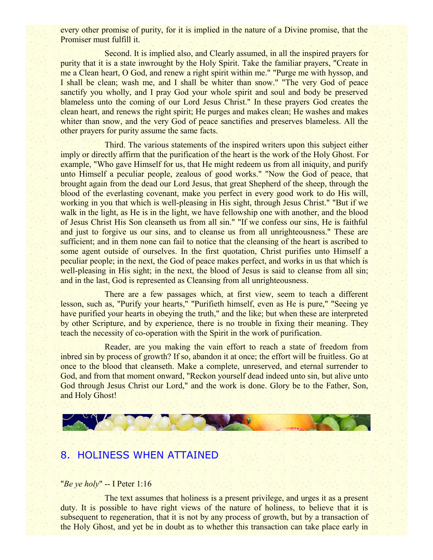every other promise of purity, for it is implied in the nature of a Divine promise, that the Promiser must fulfill it.

Second. It is implied also, and Clearly assumed, in all the inspired prayers for purity that it is a state inwrought by the Holy Spirit. Take the familiar prayers, "Create in me a Clean heart, O God, and renew a right spirit within me." "Purge me with hyssop, and I shall be clean; wash me, and I shall be whiter than snow." "The very God of peace sanctify you wholly, and I pray God your whole spirit and soul and body be preserved blameless unto the coming of our Lord Jesus Christ." In these prayers God creates the clean heart, and renews the right spirit; He purges and makes clean; He washes and makes whiter than snow, and the very God of peace sanctifies and preserves blameless. All the other prayers for purity assume the same facts.

Third. The various statements of the inspired writers upon this subject either imply or directly affirm that the purification of the heart is the work of the Holy Ghost. For example, "Who gave Himself for us, that He might redeem us from all iniquity, and purify unto Himself a peculiar people, zealous of good works." "Now the God of peace, that brought again from the dead our Lord Jesus, that great Shepherd of the sheep, through the blood of the everlasting covenant, make you perfect in every good work to do His will, working in you that which is well-pleasing in His sight, through Jesus Christ." "But if we walk in the light, as He is in the light, we have fellowship one with another, and the blood of Jesus Christ His Son cleanseth us from all sin." "If we confess our sins, He is faithful and just to forgive us our sins, and to cleanse us from all unrighteousness." These are sufficient; and in them none can fail to notice that the cleansing of the heart is ascribed to some agent outside of ourselves. In the first quotation, Christ purifies unto Himself a peculiar people; in the next, the God of peace makes perfect, and works in us that which is well-pleasing in His sight; in the next, the blood of Jesus is said to cleanse from all sin; and in the last, God is represented as Cleansing from all unrighteousness.

There are a few passages which, at first view, seem to teach a different lesson, such as, "Purify your hearts," "Purifieth himself, even as He is pure," "Seeing ye have purified your hearts in obeying the truth," and the like; but when these are interpreted by other Scripture, and by experience, there is no trouble in fixing their meaning. They teach the necessity of co-operation with the Spirit in the work of purification.

Reader, are you making the vain effort to reach a state of freedom from inbred sin by process of growth? If so, abandon it at once; the effort will be fruitless. Go at once to the blood that cleanseth. Make a complete, unreserved, and eternal surrender to God, and from that moment onward, "Reckon yourself dead indeed unto sin, but alive unto God through Jesus Christ our Lord," and the work is done. Glory be to the Father, Son, and Holy Ghost!



## 8. HOLINESS WHEN ATTAINED

## "*Be ye holy*" -- I Peter 1:16

The text assumes that holiness is a present privilege, and urges it as a present duty. It is possible to have right views of the nature of holiness, to believe that it is subsequent to regeneration, that it is not by any process of growth, but by a transaction of the Holy Ghost, and yet be in doubt as to whether this transaction can take place early in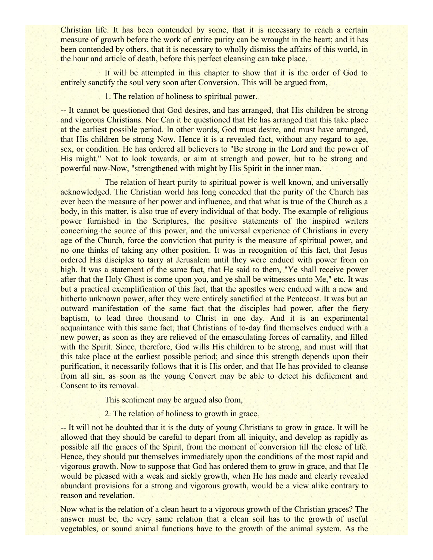Christian life. It has been contended by some, that it is necessary to reach a certain measure of growth before the work of entire purity can be wrought in the heart; and it has been contended by others, that it is necessary to wholly dismiss the affairs of this world, in the hour and article of death, before this perfect cleansing can take place.

It will be attempted in this chapter to show that it is the order of God to entirely sanctify the soul very soon after Conversion. This will be argued from,

1. The relation of holiness to spiritual power.

-- It cannot be questioned that God desires, and has arranged, that His children be strong and vigorous Christians. Nor Can it be questioned that He has arranged that this take place at the earliest possible period. In other words, God must desire, and must have arranged, that His children be strong Now. Hence it is a revealed fact, without any regard to age, sex, or condition. He has ordered all believers to "Be strong in the Lord and the power of His might." Not to look towards, or aim at strength and power, but to be strong and powerful now-Now, "strengthened with might by His Spirit in the inner man.

The relation of heart purity to spiritual power is well known, and universally acknowledged. The Christian world has long conceded that the purity of the Church has ever been the measure of her power and influence, and that what is true of the Church as a body, in this matter, is also true of every individual of that body. The example of religious power furnished in the Scriptures, the positive statements of the inspired writers concerning the source of this power, and the universal experience of Christians in every age of the Church, force the conviction that purity is the measure of spiritual power, and no one thinks of taking any other position. It was in recognition of this fact, that Jesus ordered His disciples to tarry at Jerusalem until they were endued with power from on high. It was a statement of the same fact, that He said to them, "Ye shall receive power after that the Holy Ghost is come upon you, and ye shall be witnesses unto Me," etc. It was but a practical exemplification of this fact, that the apostles were endued with a new and hitherto unknown power, after they were entirely sanctified at the Pentecost. It was but an outward manifestation of the same fact that the disciples had power, after the fiery baptism, to lead three thousand to Christ in one day. And it is an experimental acquaintance with this same fact, that Christians of to-day find themselves endued with a new power, as soon as they are relieved of the emasculating forces of carnality, and filled with the Spirit. Since, therefore, God wills His children to be strong, and must will that this take place at the earliest possible period; and since this strength depends upon their purification, it necessarily follows that it is His order, and that He has provided to cleanse from all sin, as soon as the young Convert may be able to detect his defilement and Consent to its removal.

This sentiment may be argued also from,

2. The relation of holiness to growth in grace.

-- It will not be doubted that it is the duty of young Christians to grow in grace. It will be allowed that they should be careful to depart from all iniquity, and develop as rapidly as possible all the graces of the Spirit, from the moment of conversion till the close of life. Hence, they should put themselves immediately upon the conditions of the most rapid and vigorous growth. Now to suppose that God has ordered them to grow in grace, and that He would be pleased with a weak and sickly growth, when He has made and clearly revealed abundant provisions for a strong and vigorous growth, would be a view alike contrary to reason and revelation.

Now what is the relation of a clean heart to a vigorous growth of the Christian graces? The answer must be, the very same relation that a clean soil has to the growth of useful vegetables, or sound animal functions have to the growth of the animal system. As the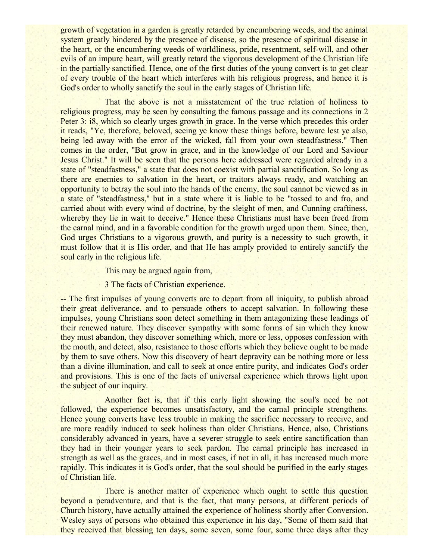growth of vegetation in a garden is greatly retarded by encumbering weeds, and the animal system greatly hindered by the presence of disease, so the presence of spiritual disease in the heart, or the encumbering weeds of worldliness, pride, resentment, self-will, and other evils of an impure heart, will greatly retard the vigorous development of the Christian life in the partially sanctified. Hence, one of the first duties of the young convert is to get clear of every trouble of the heart which interferes with his religious progress, and hence it is God's order to wholly sanctify the soul in the early stages of Christian life.

That the above is not a misstatement of the true relation of holiness to religious progress, may be seen by consulting the famous passage and its connections in 2 Peter 3: i8, which so clearly urges growth in grace. In the verse which precedes this order it reads, "Ye, therefore, beloved, seeing ye know these things before, beware lest ye also, being led away with the error of the wicked, fall from your own steadfastness." Then comes in the order, "But grow in grace, and in the knowledge of our Lord and Saviour Jesus Christ." It will be seen that the persons here addressed were regarded already in a state of "steadfastness," a state that does not coexist with partial sanctification. So long as there are enemies to salvation in the heart, or traitors always ready, and watching an opportunity to betray the soul into the hands of the enemy, the soul cannot be viewed as in a state of "steadfastness," but in a state where it is liable to be "tossed to and fro, and carried about with every wind of doctrine, by the sleight of men, and Cunning craftiness, whereby they lie in wait to deceive." Hence these Christians must have been freed from the carnal mind, and in a favorable condition for the growth urged upon them. Since, then, God urges Christians to a vigorous growth, and purity is a necessity to such growth, it must follow that it is His order, and that He has amply provided to entirely sanctify the soul early in the religious life.

This may be argued again from,

3 The facts of Christian experience.

-- The first impulses of young converts are to depart from all iniquity, to publish abroad their great deliverance, and to persuade others to accept salvation. In following these impulses, young Christians soon detect something in them antagonizing these leadings of their renewed nature. They discover sympathy with some forms of sin which they know they must abandon, they discover something which, more or less, opposes confession with the mouth, and detect, also, resistance to those efforts which they believe ought to be made by them to save others. Now this discovery of heart depravity can be nothing more or less than a divine illumination, and call to seek at once entire purity, and indicates God's order and provisions. This is one of the facts of universal experience which throws light upon the subject of our inquiry.

Another fact is, that if this early light showing the soul's need be not followed, the experience becomes unsatisfactory, and the carnal principle strengthens. Hence young converts have less trouble in making the sacrifice necessary to receive, and are more readily induced to seek holiness than older Christians. Hence, also, Christians considerably advanced in years, have a severer struggle to seek entire sanctification than they had in their younger years to seek pardon. The carnal principle has increased in strength as well as the graces, and in most cases, if not in all, it has increased much more rapidly. This indicates it is God's order, that the soul should be purified in the early stages of Christian life.

There is another matter of experience which ought to settle this question beyond a peradventure, and that is the fact, that many persons, at different periods of Church history, have actually attained the experience of holiness shortly after Conversion. Wesley says of persons who obtained this experience in his day, "Some of them said that they received that blessing ten days, some seven, some four, some three days after they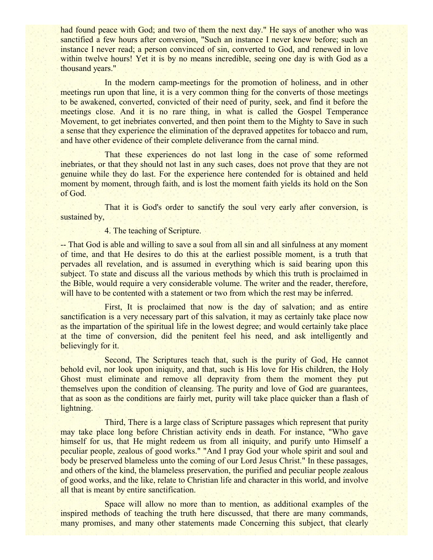had found peace with God; and two of them the next day." He says of another who was sanctified a few hours after conversion, "Such an instance I never knew before; such an instance I never read; a person convinced of sin, converted to God, and renewed in love within twelve hours! Yet it is by no means incredible, seeing one day is with God as a thousand years."

In the modern camp-meetings for the promotion of holiness, and in other meetings run upon that line, it is a very common thing for the converts of those meetings to be awakened, converted, convicted of their need of purity, seek, and find it before the meetings close. And it is no rare thing, in what is called the Gospel Temperance Movement, to get inebriates converted, and then point them to the Mighty to Save in such a sense that they experience the elimination of the depraved appetites for tobacco and rum, and have other evidence of their complete deliverance from the carnal mind.

That these experiences do not last long in the case of some reformed inebriates, or that they should not last in any such cases, does not prove that they are not genuine while they do last. For the experience here contended for is obtained and held moment by moment, through faith, and is lost the moment faith yields its hold on the Son of God.

That it is God's order to sanctify the soul very early after conversion, is sustained by,

4. The teaching of Scripture.

-- That God is able and willing to save a soul from all sin and all sinfulness at any moment of time, and that He desires to do this at the earliest possible moment, is a truth that pervades all revelation, and is assumed in everything which is said bearing upon this subject. To state and discuss all the various methods by which this truth is proclaimed in the Bible, would require a very considerable volume. The writer and the reader, therefore, will have to be contented with a statement or two from which the rest may be inferred.

First, It is proclaimed that now is the day of salvation; and as entire sanctification is a very necessary part of this salvation, it may as certainly take place now as the impartation of the spiritual life in the lowest degree; and would certainly take place at the time of conversion, did the penitent feel his need, and ask intelligently and believingly for it.

Second, The Scriptures teach that, such is the purity of God, He cannot behold evil, nor look upon iniquity, and that, such is His love for His children, the Holy Ghost must eliminate and remove all depravity from them the moment they put themselves upon the condition of cleansing. The purity and love of God are guarantees, that as soon as the conditions are fairly met, purity will take place quicker than a flash of lightning.

Third, There is a large class of Scripture passages which represent that purity may take place long before Christian activity ends in death. For instance, "Who gave himself for us, that He might redeem us from all iniquity, and purify unto Himself a peculiar people, zealous of good works." "And I pray God your whole spirit and soul and body be preserved blameless unto the coming of our Lord Jesus Christ." In these passages, and others of the kind, the blameless preservation, the purified and peculiar people zealous of good works, and the like, relate to Christian life and character in this world, and involve all that is meant by entire sanctification.

Space will allow no more than to mention, as additional examples of the inspired methods of teaching the truth here discussed, that there are many commands, many promises, and many other statements made Concerning this subject, that clearly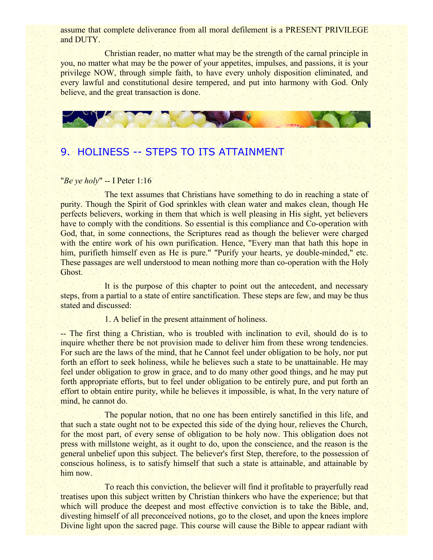assume that complete deliverance from all moral defilement is a PRESENT PRIVILEGE and DUTY.

Christian reader, no matter what may be the strength of the carnal principle in you, no matter what may be the power of your appetites, impulses, and passions, it is your privilege NOW, through simple faith, to have every unholy disposition eliminated, and every lawful and constitutional desire tempered, and put into harmony with God. Only believe, and the great transaction is done.



# 9. HOLINESS -- STEPS TO ITS ATTAINMENT

#### "*Be ye holy*" -- I Peter 1:16

The text assumes that Christians have something to do in reaching a state of purity. Though the Spirit of God sprinkles with clean water and makes clean, though He perfects believers, working in them that which is well pleasing in His sight, yet believers have to comply with the conditions. So essential is this compliance and Co-operation with God, that, in some connections, the Scriptures read as though the believer were charged with the entire work of his own purification. Hence, "Every man that hath this hope in him, purifieth himself even as He is pure." "Purify your hearts, ye double-minded," etc. These passages are well understood to mean nothing more than co-operation with the Holy Ghost.

It is the purpose of this chapter to point out the antecedent, and necessary steps, from a partial to a state of entire sanctification. These steps are few, and may be thus stated and discussed:

## 1. A belief in the present attainment of holiness.

-- The first thing a Christian, who is troubled with inclination to evil, should do is to inquire whether there be not provision made to deliver him from these wrong tendencies. For such are the laws of the mind, that he Cannot feel under obligation to be holy, nor put forth an effort to seek holiness, while he believes such a state to be unattainable. He may feel under obligation to grow in grace, and to do many other good things, and he may put forth appropriate efforts, but to feel under obligation to be entirely pure, and put forth an effort to obtain entire purity, while he believes it impossible, is what, In the very nature of mind, he cannot do.

The popular notion, that no one has been entirely sanctified in this life, and that such a state ought not to be expected this side of the dying hour, relieves the Church, for the most part, of every sense of obligation to be holy now. This obligation does not press with millstone weight, as it ought to do, upon the conscience, and the reason is the general unbelief upon this subject. The believer's first Step, therefore, to the possession of conscious holiness, is to satisfy himself that such a state is attainable, and attainable by him now.

To reach this conviction, the believer will find it profitable to prayerfully read treatises upon this subject written by Christian thinkers who have the experience; but that which will produce the deepest and most effective conviction is to take the Bible, and, divesting himself of all preconceived notions, go to the closet, and upon the knees implore Divine light upon the sacred page. This course will cause the Bible to appear radiant with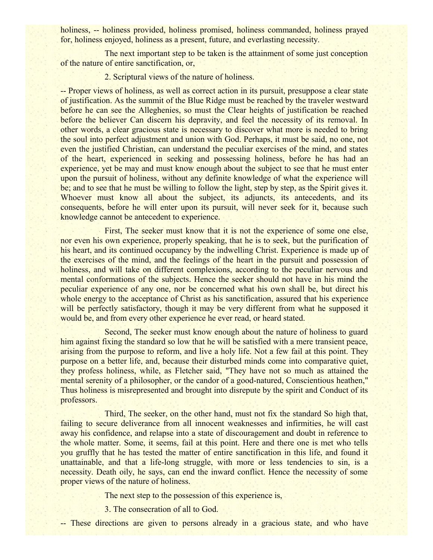holiness, -- holiness provided, holiness promised, holiness commanded, holiness prayed for, holiness enjoyed, holiness as a present, future, and everlasting necessity.

The next important step to be taken is the attainment of some just conception of the nature of entire sanctification, or,

2. Scriptural views of the nature of holiness.

-- Proper views of holiness, as well as correct action in its pursuit, presuppose a clear state of justification. As the summit of the Blue Ridge must be reached by the traveler westward before he can see the Alleghenies, so must the Clear heights of justification be reached before the believer Can discern his depravity, and feel the necessity of its removal. In other words, a clear gracious state is necessary to discover what more is needed to bring the soul into perfect adjustment and union with God. Perhaps, it must be said, no one, not even the justified Christian, can understand the peculiar exercises of the mind, and states of the heart, experienced in seeking and possessing holiness, before he has had an experience, yet be may and must know enough about the subject to see that he must enter upon the pursuit of holiness, without any definite knowledge of what the experience will be; and to see that he must be willing to follow the light, step by step, as the Spirit gives it. Whoever must know all about the subject, its adjuncts, its antecedents, and its consequents, before he will enter upon its pursuit, will never seek for it, because such knowledge cannot be antecedent to experience.

First, The seeker must know that it is not the experience of some one else, nor even his own experience, properly speaking, that he is to seek, but the purification of his heart, and its continued occupancy by the indwelling Christ. Experience is made up of the exercises of the mind, and the feelings of the heart in the pursuit and possession of holiness, and will take on different complexions, according to the peculiar nervous and mental conformations of the subjects. Hence the seeker should not have in his mind the peculiar experience of any one, nor be concerned what his own shall be, but direct his whole energy to the acceptance of Christ as his sanctification, assured that his experience will be perfectly satisfactory, though it may be very different from what he supposed it would be, and from every other experience he ever read, or heard stated.

Second, The seeker must know enough about the nature of holiness to guard him against fixing the standard so low that he will be satisfied with a mere transient peace, arising from the purpose to reform, and live a holy life. Not a few fail at this point. They purpose on a better life, and, because their disturbed minds come into comparative quiet, they profess holiness, while, as Fletcher said, "They have not so much as attained the mental serenity of a philosopher, or the candor of a good-natured, Conscientious heathen," Thus holiness is misrepresented and brought into disrepute by the spirit and Conduct of its professors.

Third, The seeker, on the other hand, must not fix the standard So high that, failing to secure deliverance from all innocent weaknesses and infirmities, he will cast away his confidence, and relapse into a state of discouragement and doubt in reference to the whole matter. Some, it seems, fail at this point. Here and there one is met who tells you gruffly that he has tested the matter of entire sanctification in this life, and found it unattainable, and that a life-long struggle, with more or less tendencies to sin, is a necessity. Death oily, he says, can end the inward conflict. Hence the necessity of some proper views of the nature of holiness.

The next step to the possession of this experience is,

3. The consecration of all to God.

-- These directions are given to persons already in a gracious state, and who have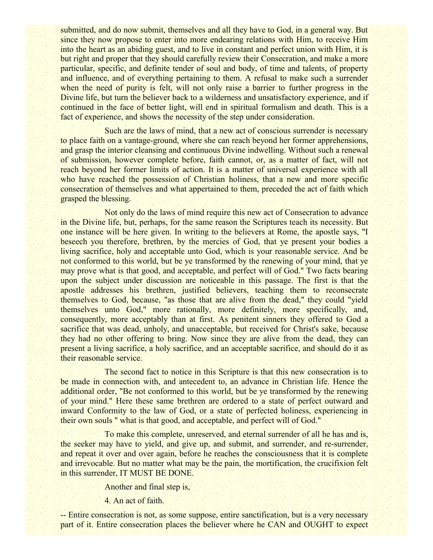submitted, and do now submit, themselves and all they have to God, in a general way. But since they now propose to enter into more endearing relations with Him, to receive Him into the heart as an abiding guest, and to live in constant and perfect union with Him, it is but right and proper that they should carefully review their Consecration, and make a more particular, specific, and definite tender of soul and body, of time and talents, of property and influence, and of everything pertaining to them. A refusal to make such a surrender when the need of purity is felt, will not only raise a barrier to further progress in the Divine life, but turn the believer back to a wilderness and unsatisfactory experience, and if continued in the face of better light, will end in spiritual formalism and death. This is a fact of experience, and shows the necessity of the step under consideration.

Such are the laws of mind, that a new act of conscious surrender is necessary to place faith on a vantage-ground, where she can reach beyond her former apprehensions, and grasp the interior cleansing and continuous Divine indwelling. Without such a renewal of submission, however complete before, faith cannot, or, as a matter of fact, will not reach beyond her former limits of action. It is a matter of universal experience with all who have reached the possession of Christian holiness, that a new and more specific consecration of themselves and what appertained to them, preceded the act of faith which grasped the blessing.

Not only do the laws of mind require this new act of Consecration to advance in the Divine life, but, perhaps, for the same reason the Scriptures teach its necessity. But one instance will be here given. In writing to the believers at Rome, the apostle says, "I beseech you therefore, brethren, by the mercies of God, that ye present your bodies a living sacrifice, holy and acceptable unto God, which is your reasonable service. And be not conformed to this world, but be ye transformed by the renewing of your mind, that ye may prove what is that good, and acceptable, and perfect will of God." Two facts bearing upon the subject under discussion are noticeable in this passage. The first is that the apostle addresses his brethren, justified believers, teaching them to reconsecrate themselves to God, because, "as those that are alive from the dead," they could "yield themselves unto God," more rationally, more definitely, more specifically, and, consequently, more acceptably than at first. As penitent sinners they offered to God a sacrifice that was dead, unholy, and unacceptable, but received for Christ's sake, because they had no other offering to bring. Now since they are alive from the dead, they can present a living sacrifice, a holy sacrifice, and an acceptable sacrifice, and should do it as their reasonable service.

The second fact to notice in this Scripture is that this new consecration is to be made in connection with, and antecedent to, an advance in Christian life. Hence the additional order, "Be not conformed to this world, but be ye transformed by the renewing of your mind." Here these same brethren are ordered to a state of perfect outward and inward Conformity to the law of God, or a state of perfected holiness, experiencing in their own souls " what is that good, and acceptable, and perfect will of God."

To make this complete, unreserved, and eternal surrender of all he has and is, the seeker may have to yield, and give up, and submit, and surrender, and re-surrender, and repeat it over and over again, before he reaches the consciousness that it is complete and irrevocable. But no matter what may be the pain, the mortification, the crucifixion felt in this surrender, IT MUST BE DONE.

Another and final step is,

4. An act of faith.

-- Entire consecration is not, as some suppose, entire sanctification, but is a very necessary part of it. Entire consecration places the believer where he CAN and OUGHT to expect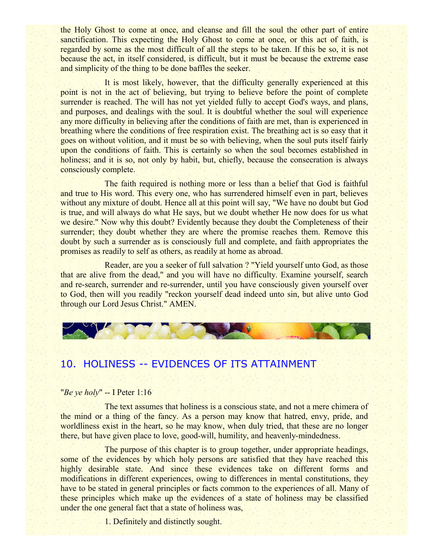the Holy Ghost to come at once, and cleanse and fill the soul the other part of entire sanctification. This expecting the Holy Ghost to come at once, or this act of faith, is regarded by some as the most difficult of all the steps to be taken. If this be so, it is not because the act, in itself considered, is difficult, but it must be because the extreme ease and simplicity of the thing to be done baffles the seeker.

It is most likely, however, that the difficulty generally experienced at this point is not in the act of believing, but trying to believe before the point of complete surrender is reached. The will has not yet yielded fully to accept God's ways, and plans, and purposes, and dealings with the soul. It is doubtful whether the soul will experience any more difficulty in believing after the conditions of faith are met, than is experienced in breathing where the conditions of free respiration exist. The breathing act is so easy that it goes on without volition, and it must be so with believing, when the soul puts itself fairly upon the conditions of faith. This is certainly so when the soul becomes established in holiness; and it is so, not only by habit, but, chiefly, because the consecration is always consciously complete.

The faith required is nothing more or less than a belief that God is faithful and true to His word. This every one, who has surrendered himself even in part, believes without any mixture of doubt. Hence all at this point will say, "We have no doubt but God is true, and will always do what He says, but we doubt whether He now does for us what we desire." Now why this doubt? Evidently because they doubt the Completeness of their surrender; they doubt whether they are where the promise reaches them. Remove this doubt by such a surrender as is consciously full and complete, and faith appropriates the promises as readily to self as others, as readily at home as abroad.

Reader, are you a seeker of full salvation ? "Yield yourself unto God, as those that are alive from the dead," and you will have no difficulty. Examine yourself, search and re-search, surrender and re-surrender, until you have consciously given yourself over to God, then will you readily "reckon yourself dead indeed unto sin, but alive unto God through our Lord Jesus Christ." AMEN.



## 10. HOLINESS -- EVIDENCES OF ITS ATTAINMENT

### "*Be ye holy*" -- I Peter 1:16

The text assumes that holiness is a conscious state, and not a mere chimera of the mind or a thing of the fancy. As a person may know that hatred, envy, pride, and worldliness exist in the heart, so he may know, when duly tried, that these are no longer there, but have given place to love, good-will, humility, and heavenly-mindedness.

The purpose of this chapter is to group together, under appropriate headings, some of the evidences by which holy persons are satisfied that they have reached this highly desirable state. And since these evidences take on different forms and modifications in different experiences, owing to differences in mental constitutions, they have to be stated in general principles or facts common to the experiences of all. Many of these principles which make up the evidences of a state of holiness may be classified under the one general fact that a state of holiness was,

1. Definitely and distinctly sought.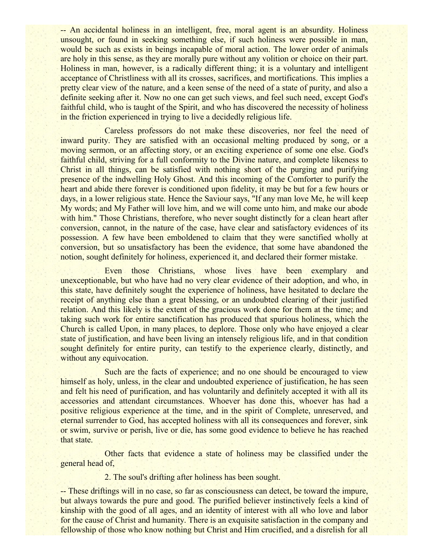-- An accidental holiness in an intelligent, free, moral agent is an absurdity. Holiness unsought, or found in seeking something else, if such holiness were possible in man, would be such as exists in beings incapable of moral action. The lower order of animals are holy in this sense, as they are morally pure without any volition or choice on their part. Holiness in man, however, is a radically different thing; it is a voluntary and intelligent acceptance of Christliness with all its crosses, sacrifices, and mortifications. This implies a pretty clear view of the nature, and a keen sense of the need of a state of purity, and also a definite seeking after it. Now no one can get such views, and feel such need, except God's faithful child, who is taught of the Spirit, and who has discovered the necessity of holiness in the friction experienced in trying to live a decidedly religious life.

Careless professors do not make these discoveries, nor feel the need of inward purity. They are satisfied with an occasional melting produced by song, or a moving sermon, or an affecting story, or an exciting experience of some one else. God's faithful child, striving for a full conformity to the Divine nature, and complete likeness to Christ in all things, can be satisfied with nothing short of the purging and purifying presence of the indwelling Holy Ghost. And this incoming of the Comforter to purify the heart and abide there forever is conditioned upon fidelity, it may be but for a few hours or days, in a lower religious state. Hence the Saviour says, "If any man love Me, he will keep My words; and My Father will love him, and we will come unto him, and make our abode with him." Those Christians, therefore, who never sought distinctly for a clean heart after conversion, cannot, in the nature of the case, have clear and satisfactory evidences of its possession. A few have been emboldened to claim that they were sanctified wholly at conversion, but so unsatisfactory has been the evidence, that some have abandoned the notion, sought definitely for holiness, experienced it, and declared their former mistake.

Even those Christians, whose lives have been exemplary and unexceptionable, but who have had no very clear evidence of their adoption, and who, in this state, have definitely sought the experience of holiness, have hesitated to declare the receipt of anything else than a great blessing, or an undoubted clearing of their justified relation. And this likely is the extent of the gracious work done for them at the time; and taking such work for entire sanctification has produced that spurious holiness, which the Church is called Upon, in many places, to deplore. Those only who have enjoyed a clear state of justification, and have been living an intensely religious life, and in that condition sought definitely for entire purity, can testify to the experience clearly, distinctly, and without any equivocation.

Such are the facts of experience; and no one should be encouraged to view himself as holy, unless, in the clear and undoubted experience of justification, he has seen and felt his need of purification, and has voluntarily and definitely accepted it with all its accessories and attendant circumstances. Whoever has done this, whoever has had a positive religious experience at the time, and in the spirit of Complete, unreserved, and eternal surrender to God, has accepted holiness with all its consequences and forever, sink or swim, survive or perish, live or die, has some good evidence to believe he has reached that state.

Other facts that evidence a state of holiness may be classified under the general head of,

2. The soul's drifting after holiness has been sought.

-- These driftings will in no case, so far as consciousness can detect, be toward the impure, but always towards the pure and good. The purified believer instinctively feels a kind of kinship with the good of all ages, and an identity of interest with all who love and labor for the cause of Christ and humanity. There is an exquisite satisfaction in the company and fellowship of those who know nothing but Christ and Him crucified, and a disrelish for all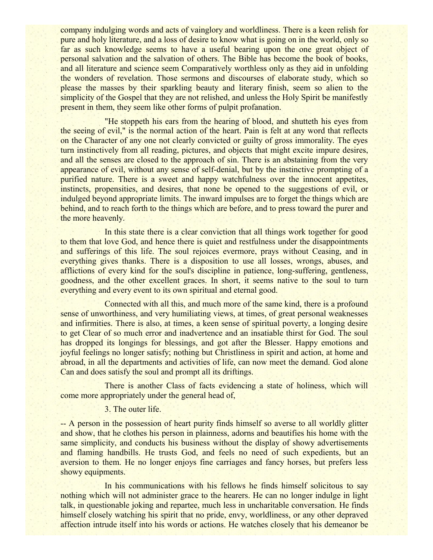company indulging words and acts of vainglory and worldliness. There is a keen relish for pure and holy literature, and a loss of desire to know what is going on in the world, only so far as such knowledge seems to have a useful bearing upon the one great object of personal salvation and the salvation of others. The Bible has become the book of books, and all literature and science seem Comparatively worthless only as they aid in unfolding the wonders of revelation. Those sermons and discourses of elaborate study, which so please the masses by their sparkling beauty and literary finish, seem so alien to the simplicity of the Gospel that they are not relished, and unless the Holy Spirit be manifestly present in them, they seem like other forms of pulpit profanation.

"He stoppeth his ears from the hearing of blood, and shutteth his eyes from the seeing of evil," is the normal action of the heart. Pain is felt at any word that reflects on the Character of any one not clearly convicted or guilty of gross immorality. The eyes turn instinctively from all reading, pictures, and objects that might excite impure desires, and all the senses are closed to the approach of sin. There is an abstaining from the very appearance of evil, without any sense of self-denial, but by the instinctive prompting of a purified nature. There is a sweet and happy watchfulness over the innocent appetites, instincts, propensities, and desires, that none be opened to the suggestions of evil, or indulged beyond appropriate limits. The inward impulses are to forget the things which are behind, and to reach forth to the things which are before, and to press toward the purer and the more heavenly.

In this state there is a clear conviction that all things work together for good to them that love God, and hence there is quiet and restfulness under the disappointments and sufferings of this life. The soul rejoices evermore, prays without Ceasing, and in everything gives thanks. There is a disposition to use all losses, wrongs, abuses, and afflictions of every kind for the soul's discipline in patience, long-suffering, gentleness, goodness, and the other excellent graces. In short, it seems native to the soul to turn everything and every event to its own spiritual and eternal good.

Connected with all this, and much more of the same kind, there is a profound sense of unworthiness, and very humiliating views, at times, of great personal weaknesses and infirmities. There is also, at times, a keen sense of spiritual poverty, a longing desire to get Clear of so much error and inadvertence and an insatiable thirst for God. The soul has dropped its longings for blessings, and got after the Blesser. Happy emotions and joyful feelings no longer satisfy; nothing but Christliness in spirit and action, at home and abroad, in all the departments and activities of life, can now meet the demand. God alone Can and does satisfy the soul and prompt all its driftings.

There is another Class of facts evidencing a state of holiness, which will come more appropriately under the general head of,

3. The outer life.

-- A person in the possession of heart purity finds himself so averse to all worldly glitter and show, that he clothes his person in plainness, adorns and beautifies his home with the same simplicity, and conducts his business without the display of showy advertisements and flaming handbills. He trusts God, and feels no need of such expedients, but an aversion to them. He no longer enjoys fine carriages and fancy horses, but prefers less showy equipments.

In his communications with his fellows he finds himself solicitous to say nothing which will not administer grace to the hearers. He can no longer indulge in light talk, in questionable joking and repartee, much less in uncharitable conversation. He finds himself closely watching his spirit that no pride, envy, worldliness, or any other depraved affection intrude itself into his words or actions. He watches closely that his demeanor be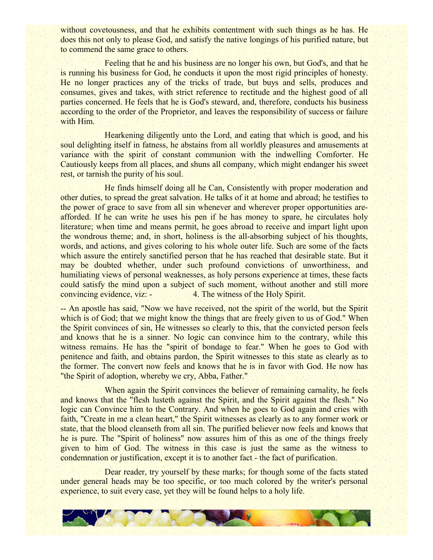without covetousness, and that he exhibits contentment with such things as he has. He does this not only to please God, and satisfy the native longings of his purified nature, but to commend the same grace to others.

Feeling that he and his business are no longer his own, but God's, and that he is running his business for God, he conducts it upon the most rigid principles of honesty. He no longer practices any of the tricks of trade, but buys and sells, produces and consumes, gives and takes, with strict reference to rectitude and the highest good of all parties concerned. He feels that he is God's steward, and, therefore, conducts his business according to the order of the Proprietor, and leaves the responsibility of success or failure with Him.

Hearkening diligently unto the Lord, and eating that which is good, and his soul delighting itself in fatness, he abstains from all worldly pleasures and amusements at variance with the spirit of constant communion with the indwelling Comforter. He Cautiously keeps from all places, and shuns all company, which might endanger his sweet rest, or tarnish the purity of his soul.

He finds himself doing all he Can, Consistently with proper moderation and other duties, to spread the great salvation. He talks of it at home and abroad; he testifies to the power of grace to save from all sin whenever and wherever proper opportunities areafforded. If he can write he uses his pen if he has money to spare, he circulates holy literature; when time and means permit, he goes abroad to receive and impart light upon the wondrous theme; and, in short, holiness is the all-absorbing subject of his thoughts, words, and actions, and gives coloring to his whole outer life. Such are some of the facts which assure the entirely sanctified person that he has reached that desirable state. But it may be doubted whether, under such profound convictions of unworthiness, and humiliating views of personal weaknesses, as holy persons experience at times, these facts could satisfy the mind upon a subject of such moment, without another and still more convincing evidence, viz: - 4. The witness of the Holy Spirit.

-- An apostle has said, "Now we have received, not the spirit of the world, but the Spirit which is of God; that we might know the things that are freely given to us of God." When the Spirit convinces of sin, He witnesses so clearly to this, that the convicted person feels and knows that he is a sinner. No logic can convince him to the contrary, while this witness remains. He has the "spirit of bondage to fear." When he goes to God with penitence and faith, and obtains pardon, the Spirit witnesses to this state as clearly as to the former. The convert now feels and knows that he is in favor with God. He now has "the Spirit of adoption, whereby we cry, Abba, Father."

When again the Spirit convinces the believer of remaining carnality, he feels and knows that the "flesh lusteth against the Spirit, and the Spirit against the flesh." No logic can Convince him to the Contrary. And when he goes to God again and cries with faith, "Create in me a clean heart," the Spirit witnesses as clearly as to any former work or state, that the blood cleanseth from all sin. The purified believer now feels and knows that he is pure. The "Spirit of holiness" now assures him of this as one of the things freely given to him of God. The witness in this case is just the same as the witness to condemnation or justification, except it is to another fact - the fact of purification.

Dear reader, try yourself by these marks; for though some of the facts stated under general heads may be too specific, or too much colored by the writer's personal experience, to suit every case, yet they will be found helps to a holy life.

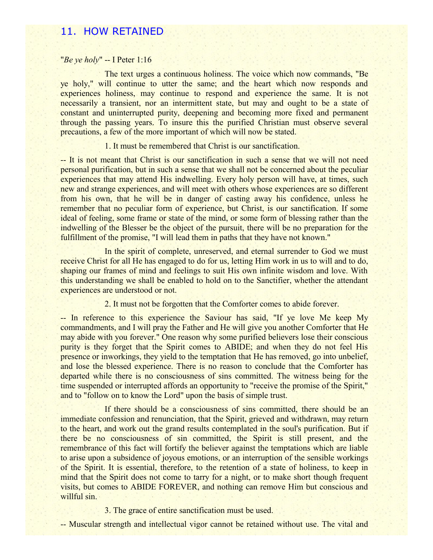## 11. HOW RETAINED

### "*Be ye holy*" -- I Peter 1:16

The text urges a continuous holiness. The voice which now commands, "Be ye holy," will continue to utter the same; and the heart which now responds and experiences holiness, may continue to respond and experience the same. It is not necessarily a transient, nor an intermittent state, but may and ought to be a state of constant and uninterrupted purity, deepening and becoming more fixed and permanent through the passing years. To insure this the purified Christian must observe several precautions, a few of the more important of which will now be stated.

### 1. It must be remembered that Christ is our sanctification.

-- It is not meant that Christ is our sanctification in such a sense that we will not need personal purification, but in such a sense that we shall not be concerned about the peculiar experiences that may attend His indwelling. Every holy person will have, at times, such new and strange experiences, and will meet with others whose experiences are so different from his own, that he will be in danger of casting away his confidence, unless he remember that no peculiar form of experience, but Christ, is our sanctification. If some ideal of feeling, some frame or state of the mind, or some form of blessing rather than the indwelling of the Blesser be the object of the pursuit, there will be no preparation for the fulfillment of the promise, "I will lead them in paths that they have not known."

In the spirit of complete, unreserved, and eternal surrender to God we must receive Christ for all He has engaged to do for us, letting Him work in us to will and to do, shaping our frames of mind and feelings to suit His own infinite wisdom and love. With this understanding we shall be enabled to hold on to the Sanctifier, whether the attendant experiences are understood or not.

2. It must not be forgotten that the Comforter comes to abide forever.

-- In reference to this experience the Saviour has said, "If ye love Me keep My commandments, and I will pray the Father and He will give you another Comforter that He may abide with you forever." One reason why some purified believers lose their conscious purity is they forget that the Spirit comes to ABIDE; and when they do not feel His presence or inworkings, they yield to the temptation that He has removed, go into unbelief, and lose the blessed experience. There is no reason to conclude that the Comforter has departed while there is no consciousness of sins committed. The witness being for the time suspended or interrupted affords an opportunity to "receive the promise of the Spirit," and to "follow on to know the Lord" upon the basis of simple trust.

If there should be a consciousness of sins committed, there should be an immediate confession and renunciation, that the Spirit, grieved and withdrawn, may return to the heart, and work out the grand results contemplated in the soul's purification. But if there be no consciousness of sin committed, the Spirit is still present, and the remembrance of this fact will fortify the believer against the temptations which are liable to arise upon a subsidence of joyous emotions, or an interruption of the sensible workings of the Spirit. It is essential, therefore, to the retention of a state of holiness, to keep in mind that the Spirit does not come to tarry for a night, or to make short though frequent visits, but comes to ABIDE FOREVER, and nothing can remove Him but conscious and willful sin.

3. The grace of entire sanctification must be used.

-- Muscular strength and intellectual vigor cannot be retained without use. The vital and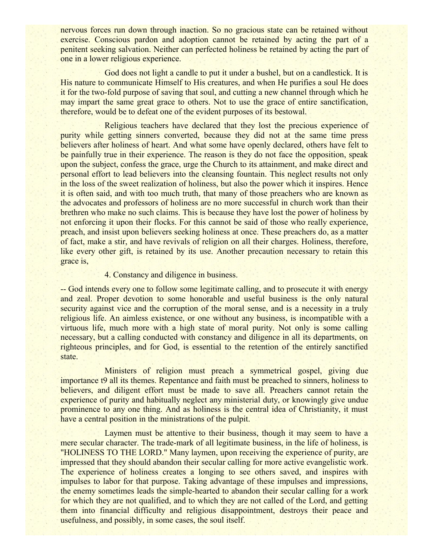nervous forces run down through inaction. So no gracious state can be retained without exercise. Conscious pardon and adoption cannot be retained by acting the part of a penitent seeking salvation. Neither can perfected holiness be retained by acting the part of one in a lower religious experience.

God does not light a candle to put it under a bushel, but on a candlestick. It is His nature to communicate Himself to His creatures, and when He purifies a soul He does it for the two-fold purpose of saving that soul, and cutting a new channel through which he may impart the same great grace to others. Not to use the grace of entire sanctification, therefore, would be to defeat one of the evident purposes of its bestowal.

Religious teachers have declared that they lost the precious experience of purity while getting sinners converted, because they did not at the same time press believers after holiness of heart. And what some have openly declared, others have felt to be painfully true in their experience. The reason is they do not face the opposition, speak upon the subject, confess the grace, urge the Church to its attainment, and make direct and personal effort to lead believers into the cleansing fountain. This neglect results not only in the loss of the sweet realization of holiness, but also the power which it inspires. Hence it is often said, and with too much truth, that many of those preachers who are known as the advocates and professors of holiness are no more successful in church work than their brethren who make no such claims. This is because they have lost the power of holiness by not enforcing it upon their flocks. For this cannot be said of those who really experience, preach, and insist upon believers seeking holiness at once. These preachers do, as a matter of fact, make a stir, and have revivals of religion on all their charges. Holiness, therefore, like every other gift, is retained by its use. Another precaution necessary to retain this grace is,

### 4. Constancy and diligence in business.

-- God intends every one to follow some legitimate calling, and to prosecute it with energy and zeal. Proper devotion to some honorable and useful business is the only natural security against vice and the corruption of the moral sense, and is a necessity in a truly religious life. An aimless existence, or one without any business, is incompatible with a virtuous life, much more with a high state of moral purity. Not only is some calling necessary, but a calling conducted with constancy and diligence in all its departments, on righteous principles, and for God, is essential to the retention of the entirely sanctified state.

Ministers of religion must preach a symmetrical gospel, giving due importance t9 all its themes. Repentance and faith must be preached to sinners, holiness to believers, and diligent effort must be made to save all. Preachers cannot retain the experience of purity and habitually neglect any ministerial duty, or knowingly give undue prominence to any one thing. And as holiness is the central idea of Christianity, it must have a central position in the ministrations of the pulpit.

Laymen must be attentive to their business, though it may seem to have a mere secular character. The trade-mark of all legitimate business, in the life of holiness, is "HOLINESS TO THE LORD." Many laymen, upon receiving the experience of purity, are impressed that they should abandon their secular calling for more active evangelistic work. The experience of holiness creates a longing to see others saved, and inspires with impulses to labor for that purpose. Taking advantage of these impulses and impressions, the enemy sometimes leads the simple-hearted to abandon their secular calling for a work for which they are not qualified, and to which they are not called of the Lord, and getting them into financial difficulty and religious disappointment, destroys their peace and usefulness, and possibly, in some cases, the soul itself.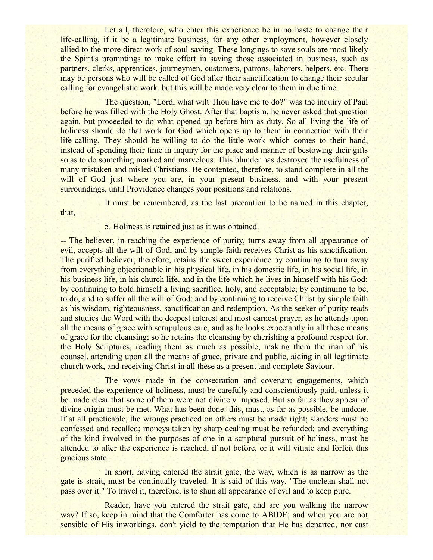Let all, therefore, who enter this experience be in no haste to change their life-calling, if it be a legitimate business, for any other employment, however closely allied to the more direct work of soul-saving. These longings to save souls are most likely the Spirit's promptings to make effort in saving those associated in business, such as partners, clerks, apprentices, journeymen, customers, patrons, laborers, helpers, etc. There may be persons who will be called of God after their sanctification to change their secular calling for evangelistic work, but this will be made very clear to them in due time.

The question, "Lord, what wilt Thou have me to do?" was the inquiry of Paul before he was filled with the Holy Ghost. After that baptism, he never asked that question again, but proceeded to do what opened up before him as duty. So all living the life of holiness should do that work for God which opens up to them in connection with their life-calling. They should be willing to do the little work which comes to their hand, instead of spending their time in inquiry for the place and manner of bestowing their gifts so as to do something marked and marvelous. This blunder has destroyed the usefulness of many mistaken and misled Christians. Be contented, therefore, to stand complete in all the will of God just where you are, in your present business, and with your present surroundings, until Providence changes your positions and relations.

that,

It must be remembered, as the last precaution to be named in this chapter,

5. Holiness is retained just as it was obtained.

-- The believer, in reaching the experience of purity, turns away from all appearance of evil, accepts all the will of God, and by simple faith receives Christ as his sanctification. The purified believer, therefore, retains the sweet experience by continuing to turn away from everything objectionable in his physical life, in his domestic life, in his social life, in his business life, in his church life, and in the life which he lives in himself with his God; by continuing to hold himself a living sacrifice, holy, and acceptable; by continuing to be, to do, and to suffer all the will of God; and by continuing to receive Christ by simple faith as his wisdom, righteousness, sanctification and redemption. As the seeker of purity reads and studies the Word with the deepest interest and most earnest prayer, as he attends upon all the means of grace with scrupulous care, and as he looks expectantly in all these means of grace for the cleansing; so he retains the cleansing by cherishing a profound respect for. the Holy Scriptures, reading them as much as possible, making them the man of his counsel, attending upon all the means of grace, private and public, aiding in all legitimate church work, and receiving Christ in all these as a present and complete Saviour.

The vows made in the consecration and covenant engagements, which preceded the experience of holiness, must be carefully and conscientiously paid, unless it be made clear that some of them were not divinely imposed. But so far as they appear of divine origin must be met. What has been done: this, must, as far as possible, be undone. If at all practicable, the wrongs practiced on others must be made right; slanders must be confessed and recalled; moneys taken by sharp dealing must be refunded; and everything of the kind involved in the purposes of one in a scriptural pursuit of holiness, must be attended to after the experience is reached, if not before, or it will vitiate and forfeit this gracious state.

In short, having entered the strait gate, the way, which is as narrow as the gate is strait, must be continually traveled. It is said of this way, "The unclean shall not pass over it." To travel it, therefore, is to shun all appearance of evil and to keep pure.

Reader, have you entered the strait gate, and are you walking the narrow way? If so, keep in mind that the Comforter has come to ABIDE; and when you are not sensible of His inworkings, don't yield to the temptation that He has departed, nor cast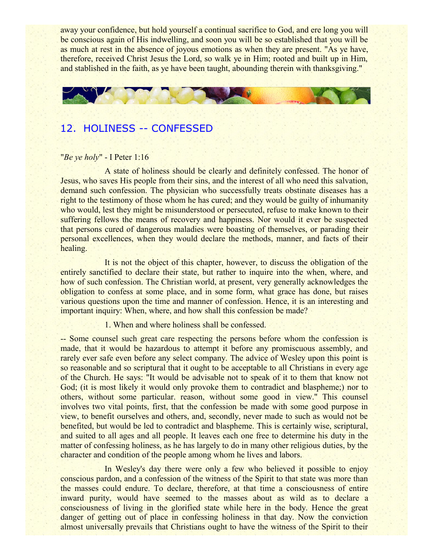away your confidence, but hold yourself a continual sacrifice to God, and ere long you will be conscious again of His indwelling, and soon you will be so established that you will be as much at rest in the absence of joyous emotions as when they are present. "As ye have, therefore, received Christ Jesus the Lord, so walk ye in Him; rooted and built up in Him, and stablished in the faith, as ye have been taught, abounding therein with thanksgiving."



## 12. HOLINESS -- CONFESSED

## "*Be ye holy*" - I Peter 1:16

A state of holiness should be clearly and definitely confessed. The honor of Jesus, who saves His people from their sins, and the interest of all who need this salvation, demand such confession. The physician who successfully treats obstinate diseases has a right to the testimony of those whom he has cured; and they would be guilty of inhumanity who would, lest they might be misunderstood or persecuted, refuse to make known to their suffering fellows the means of recovery and happiness. Nor would it ever be suspected that persons cured of dangerous maladies were boasting of themselves, or parading their personal excellences, when they would declare the methods, manner, and facts of their healing.

It is not the object of this chapter, however, to discuss the obligation of the entirely sanctified to declare their state, but rather to inquire into the when, where, and how of such confession. The Christian world, at present, very generally acknowledges the obligation to confess at some place, and in some form, what grace has done, but raises various questions upon the time and manner of confession. Hence, it is an interesting and important inquiry: When, where, and how shall this confession be made?

1. When and where holiness shall be confessed.

-- Some counsel such great care respecting the persons before whom the confession is made, that it would be hazardous to attempt it before any promiscuous assembly, and rarely ever safe even before any select company. The advice of Wesley upon this point is so reasonable and so scriptural that it ought to be acceptable to all Christians in every age of the Church. He says: "It would be advisable not to speak of it to them that know not God; (it is most likely it would only provoke them to contradict and blaspheme;) nor to others, without some particular. reason, without some good in view." This counsel involves two vital points, first, that the confession be made with some good purpose in view, to benefit ourselves and others, and, secondly, never made to such as would not be benefited, but would be led to contradict and blaspheme. This is certainly wise, scriptural, and suited to all ages and all people. It leaves each one free to determine his duty in the matter of confessing holiness, as he has largely to do in many other religious duties, by the character and condition of the people among whom he lives and labors.

In Wesley's day there were only a few who believed it possible to enjoy conscious pardon, and a confession of the witness of the Spirit to that state was more than the masses could endure. To declare, therefore, at that time a consciousness of entire inward purity, would have seemed to the masses about as wild as to declare a consciousness of living in the glorified state while here in the body. Hence the great danger of getting out of place in confessing holiness in that day. Now the conviction almost universally prevails that Christians ought to have the witness of the Spirit to their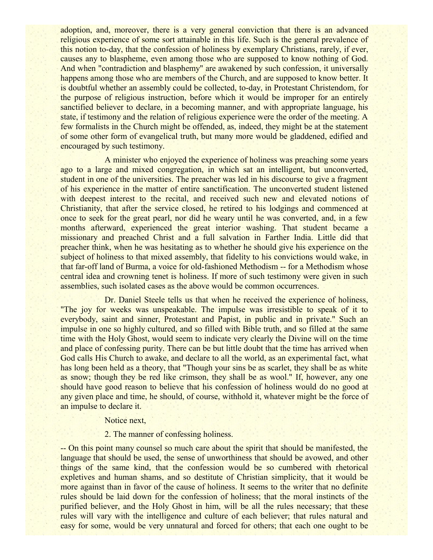adoption, and, moreover, there is a very general conviction that there is an advanced religious experience of some sort attainable in this life. Such is the general prevalence of this notion to-day, that the confession of holiness by exemplary Christians, rarely, if ever, causes any to blaspheme, even among those who are supposed to know nothing of God. And when "contradiction and blasphemy" are awakened by such confession, it universally happens among those who are members of the Church, and are supposed to know better. It is doubtful whether an assembly could be collected, to-day, in Protestant Christendom, for the purpose of religious instruction, before which it would be improper for an entirely sanctified believer to declare, in a becoming manner, and with appropriate language, his state, if testimony and the relation of religious experience were the order of the meeting. A few formalists in the Church might be offended, as, indeed, they might be at the statement of some other form of evangelical truth, but many more would be gladdened, edified and encouraged by such testimony.

A minister who enjoyed the experience of holiness was preaching some years ago to a large and mixed congregation, in which sat an intelligent, but unconverted, student in one of the universities. The preacher was led in his discourse to give a fragment of his experience in the matter of entire sanctification. The unconverted student listened with deepest interest to the recital, and received such new and elevated notions of Christianity, that after the service closed, he retired to his lodgings and commenced at once to seek for the great pearl, nor did he weary until he was converted, and, in a few months afterward, experienced the great interior washing. That student became a missionary and preached Christ and a full salvation in Farther India. Little did that preacher think, when he was hesitating as to whether he should give his experience on the subject of holiness to that mixed assembly, that fidelity to his convictions would wake, in that far-off land of Burma, a voice for old-fashioned Methodism -- for a Methodism whose central idea and crowning tenet is holiness. If more of such testimony were given in such assemblies, such isolated cases as the above would be common occurrences.

Dr. Daniel Steele tells us that when he received the experience of holiness, "The joy for weeks was unspeakable. The impulse was irresistible to speak of it to everybody, saint and sinner, Protestant and Papist, in public and in private." Such an impulse in one so highly cultured, and so filled with Bible truth, and so filled at the same time with the Holy Ghost, would seem to indicate very clearly the Divine will on the time and place of confessing purity. There can be but little doubt that the time has arrived when God calls His Church to awake, and declare to all the world, as an experimental fact, what has long been held as a theory, that "Though your sins be as scarlet, they shall be as white as snow; though they be red like crimson, they shall be as wool." If, however, any one should have good reason to believe that his confession of holiness would do no good at any given place and time, he should, of course, withhold it, whatever might be the force of an impulse to declare it.

### Notice next,

### 2. The manner of confessing holiness.

-- On this point many counsel so much care about the spirit that should be manifested, the language that should be used, the sense of unworthiness that should be avowed, and other things of the same kind, that the confession would be so cumbered with rhetorical expletives and human shams, and so destitute of Christian simplicity, that it would be more against than in favor of the cause of holiness. It seems to the writer that no definite rules should be laid down for the confession of holiness; that the moral instincts of the purified believer, and the Holy Ghost in him, will be all the rules necessary; that these rules will vary with the intelligence and culture of each believer; that rules natural and easy for some, would be very unnatural and forced for others; that each one ought to be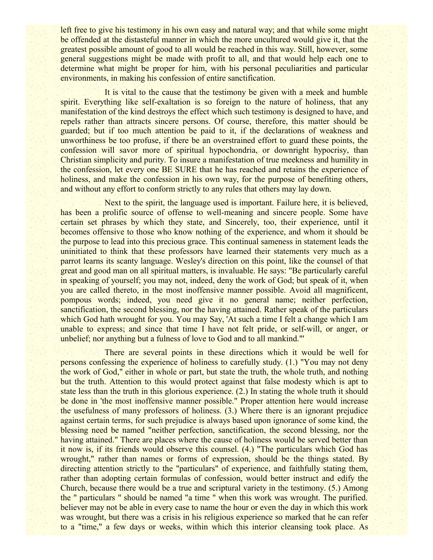left free to give his testimony in his own easy and natural way; and that while some might be offended at the distasteful manner in which the more uncultured would give it, that the greatest possible amount of good to all would be reached in this way. Still, however, some general suggestions might be made with profit to all, and that would help each one to determine what might be proper for him, with his personal peculiarities and particular environments, in making his confession of entire sanctification.

It is vital to the cause that the testimony be given with a meek and humble spirit. Everything like self-exaltation is so foreign to the nature of holiness, that any manifestation of the kind destroys the effect which such testimony is designed to have, and repels rather than attracts sincere persons. Of course, therefore, this matter should be guarded; but if too much attention be paid to it, if the declarations of weakness and unworthiness be too profuse, if there be an overstrained effort to guard these points, the confession will savor more of spiritual hypochondria, or downright hypocrisy, than Christian simplicity and purity. To insure a manifestation of true meekness and humility in the confession, let every one BE SURE that he has reached and retains the experience of holiness, and make the confession in his own way, for the purpose of benefiting others, and without any effort to conform strictly to any rules that others may lay down.

Next to the spirit, the language used is important. Failure here, it is believed, has been a prolific source of offense to well-meaning and sincere people. Some have certain set phrases by which they state, and Sincerely, too, their experience, until it becomes offensive to those who know nothing of the experience, and whom it should be the purpose to lead into this precious grace. This continual sameness in statement leads the uninitiated to think that these professors have learned their statements very much as a parrot learns its scanty language. Wesley's direction on this point, like the counsel of that great and good man on all spiritual matters, is invaluable. He says: "Be particularly careful in speaking of yourself; you may not, indeed, deny the work of God; but speak of it, when you are called thereto, in the most inoffensive manner possible. Avoid all magnificent, pompous words; indeed, you need give it no general name; neither perfection, sanctification, the second blessing, nor the having attained. Rather speak of the particulars which God hath wrought for you. You may Say, 'At such a time I felt a change which I am unable to express; and since that time I have not felt pride, or self-will, or anger, or unbelief; nor anything but a fulness of love to God and to all mankind."'

There are several points in these directions which it would be well for persons confessing the experience of holiness to carefully study. (1.) "You may not deny the work of God," either in whole or part, but state the truth, the whole truth, and nothing but the truth. Attention to this would protect against that false modesty which is apt to state less than the truth in this glorious experience. (2.) In stating the whole truth it should be done in 'the most inoffensive manner possible." Proper attention here would increase the usefulness of many professors of holiness. (3.) Where there is an ignorant prejudice against certain terms, for such prejudice is always based upon ignorance of some kind, the blessing need be named "neither perfection, sanctification, the second blessing, nor the having attained." There are places where the cause of holiness would be served better than it now is, if its friends would observe this counsel. (4.) "The particulars which God has wrought," rather than names or forms of expression, should be the things stated. By directing attention strictly to the "particulars" of experience, and faithfully stating them, rather than adopting certain formulas of confession, would better instruct and edify the Church, because there would be a true and scriptural variety in the testimony. (5.) Among the " particulars " should be named "a time " when this work was wrought. The purified. believer may not be able in every case to name the hour or even the day in which this work was wrought, but there was a crisis in his religious experience so marked that he can refer to a "time," a few days or weeks, within which this interior cleansing took place. As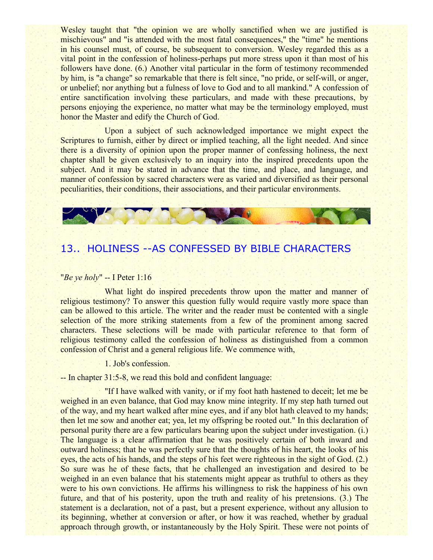Wesley taught that "the opinion we are wholly sanctified when we are justified is mischievous" and "is attended with the most fatal consequences," the "time" he mentions in his counsel must, of course, be subsequent to conversion. Wesley regarded this as a vital point in the confession of holiness-perhaps put more stress upon it than most of his followers have done. (6.) Another vital particular in the form of testimony recommended by him, is "a change" so remarkable that there is felt since, "no pride, or self-will, or anger, or unbelief; nor anything but a fulness of love to God and to all mankind." A confession of entire sanctification involving these particulars, and made with these precautions, by persons enjoying the experience, no matter what may be the terminology employed, must honor the Master and edify the Church of God.

Upon a subject of such acknowledged importance we might expect the Scriptures to furnish, either by direct or implied teaching, all the light needed. And since there is a diversity of opinion upon the proper manner of confessing holiness, the next chapter shall be given exclusively to an inquiry into the inspired precedents upon the subject. And it may be stated in advance that the time, and place, and language, and manner of confession by sacred characters were as varied and diversified as their personal peculiarities, their conditions, their associations, and their particular environments.



# 13.. HOLINESS --AS CONFESSED BY BIBLE CHARACTERS

### "*Be ye holy*" -- I Peter 1:16

What light do inspired precedents throw upon the matter and manner of religious testimony? To answer this question fully would require vastly more space than can be allowed to this article. The writer and the reader must be contented with a single selection of the more striking statements from a few of the prominent among sacred characters. These selections will be made with particular reference to that form of religious testimony called the confession of holiness as distinguished from a common confession of Christ and a general religious life. We commence with,

1. Job's confession.

-- In chapter 31:5-8, we read this bold and confident language:

"If I have walked with vanity, or if my foot hath hastened to deceit; let me be weighed in an even balance, that God may know mine integrity. If my step hath turned out of the way, and my heart walked after mine eyes, and if any blot hath cleaved to my hands; then let me sow and another eat; yea, let my offspring be rooted out." In this declaration of personal purity there are a few particulars bearing upon the subject under investigation. (i.) The language is a clear affirmation that he was positively certain of both inward and outward holiness; that he was perfectly sure that the thoughts of his heart, the looks of his eyes, the acts of his hands, and the steps of his feet were righteous in the sight of God. (2.) So sure was he of these facts, that he challenged an investigation and desired to be weighed in an even balance that his statements might appear as truthful to others as they were to his own convictions. He affirms his willingness to risk the happiness of his own future, and that of his posterity, upon the truth and reality of his pretensions. (3.) The statement is a declaration, not of a past, but a present experience, without any allusion to its beginning, whether at conversion or after, or how it was reached, whether by gradual approach through growth, or instantaneously by the Holy Spirit. These were not points of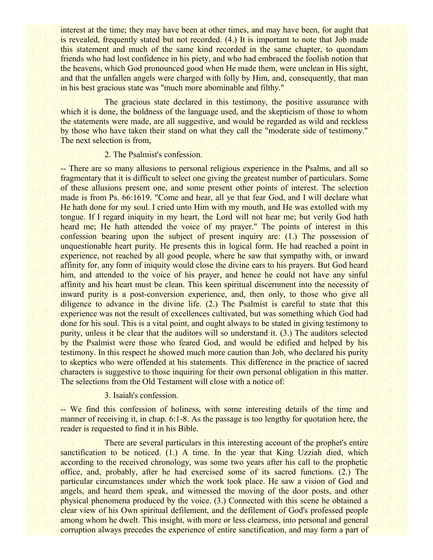interest at the time; they may have been at other times, and may have been, for aught that is revealed, frequently stated but not recorded. (4.) It is important to note that Job made this statement and much of the same kind recorded in the same chapter, to quondam friends who had lost confidence in his piety, and who had embraced the foolish notion that the heavens, which God pronounced good when He made them, were unclean in His sight, and that the unfallen angels were charged with folly by Him, and, consequently, that man in his best gracious state was "much more abominable and filthy."

The gracious state declared in this testimony, the positive assurance with which it is done, the boldness of the language used, and the skepticism of those to whom the statements were made, are all suggestive, and would be regarded as wild and reckless by those who have taken their stand on what they call the "moderate side of testimony." The next selection is from,

### 2. The Psalmist's confession.

-- There are so many allusions to personal religious experience in the Psalms, and all so fragmentary that it is difficult to select one giving the greatest number of particulars. Some of these allusions present one, and some present other points of interest. The selection made is from Ps. 66:1619. "Come and hear, all ye that fear God, and I will declare what He hath done for my soul. I cried unto Him with my mouth, and He was extolled with my tongue. If I regard iniquity in my heart, the Lord will not hear me; but verily God hath heard me; He hath attended the voice of my prayer." The points of interest in this confession bearing upon the subject of present inquiry are: (1.) The possession of unquestionable heart purity. He presents this in logical form. He had reached a point in experience, not reached by all good people, where he saw that sympathy with, or inward affinity for, any form of iniquity would close the divine ears to his prayers. But God heard him, and attended to the voice of his prayer, and hence he could not have any sinful affinity and his heart must be clean. This keen spiritual discernment into the necessity of inward purity is a post-conversion experience, and, then only, to those who give all diligence to advance in the divine life. (2.) The Psalmist is careful to state that this experience was not the result of excellences cultivated, but was something which God had done for his soul. This is a vital point, and ought always to be stated in giving testimony to purity, unless it be clear that the auditors will so understand it. (3.) The auditors selected by the Psalmist were those who feared God, and would be edified and helped by his testimony. In this respect he showed much more caution than Job, who declared his purity to skeptics who were offended at his statements. This difference in the practice of sacred characters is suggestive to those inquiring for their own personal obligation in this matter. The selections from the Old Testament will close with a notice of:

### 3. Isaiah's confession.

-- We find this confession of holiness, with some interesting details of the time and manner of receiving it, in chap. 6:1-8. As the passage is too lengthy for quotation here, the reader is requested to find it in his Bible.

There are several particulars in this interesting account of the prophet's entire sanctification to be noticed. (1.) A time. In the year that King Uzziah died, which according to the received chronology, was some two years after his call to the prophetic office, and, probably, after he had exercised some of its sacred functions. (2.) The particular circumstances under which the work took place. He saw a vision of God and angels, and heard them speak, and witnessed the moving of the door posts, and other physical phenomena produced by the voice. (3.) Connected with this scene he obtained a clear view of his Own spiritual defilement, and the defilement of God's professed people among whom he dwelt. This insight, with more or less clearness, into personal and general corruption always precedes the experience of entire sanctification, and may form a part of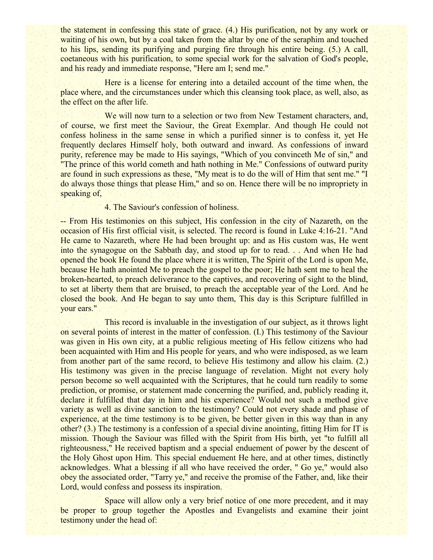the statement in confessing this state of grace. (4.) His purification, not by any work or waiting of his own, but by a coal taken from the altar by one of the seraphim and touched to his lips, sending its purifying and purging fire through his entire being. (5.) A call, coetaneous with his purification, to some special work for the salvation of God's people, and his ready and immediate response, "Here am I; send me."

Here is a license for entering into a detailed account of the time when, the place where, and the circumstances under which this cleansing took place, as well, also, as the effect on the after life.

We will now turn to a selection or two from New Testament characters, and, of course, we first meet the Saviour, the Great Exemplar. And though He could not confess holiness in the same sense in which a purified sinner is to confess it, yet He frequently declares Himself holy, both outward and inward. As confessions of inward purity, reference may be made to His sayings, "Which of you convinceth Me of sin," and "The prince of this world cometh and hath nothing in Me." Confessions of outward purity are found in such expressions as these, "My meat is to do the will of Him that sent me." "I do always those things that please Him," and so on. Hence there will be no impropriety in speaking of,

### 4. The Saviour's confession of holiness.

-- From His testimonies on this subject, His confession in the city of Nazareth, on the occasion of His first official visit, is selected. The record is found in Luke 4:16-21. "And He came to Nazareth, where He had been brought up: and as His custom was, He went into the synagogue on the Sabbath day, and stood up for to read. . . And when He had opened the book He found the place where it is written, The Spirit of the Lord is upon Me, because He hath anointed Me to preach the gospel to the poor; He hath sent me to heal the broken-hearted, to preach deliverance to the captives, and recovering of sight to the blind, to set at liberty them that are bruised, to preach the acceptable year of the Lord. And he closed the book. And He began to say unto them, This day is this Scripture fulfilled in your ears."

This record is invaluable in the investigation of our subject, as it throws light on several points of interest in the matter of confession. (I.) This testimony of the Saviour was given in His own city, at a public religious meeting of His fellow citizens who had been acquainted with Him and His people for years, and who were indisposed, as we learn from another part of the same record, to believe His testimony and allow his claim. (2.) His testimony was given in the precise language of revelation. Might not every holy person become so well acquainted with the Scriptures, that he could turn readily to some prediction, or promise, or statement made concerning the purified, and, publicly reading it, declare it fulfilled that day in him and his experience? Would not such a method give variety as well as divine sanction to the testimony? Could not every shade and phase of experience, at the time testimony is to be given, be better given in this way than in any other? (3.) The testimony is a confession of a special divine anointing, fitting Him for IT is mission. Though the Saviour was filled with the Spirit from His birth, yet "to fulfill all righteousness," He received baptism and a special enduement of power by the descent of the Holy Ghost upon Him. This special enduement He here, and at other times, distinctly acknowledges. What a blessing if all who have received the order, " Go ye," would also obey the associated order, "Tarry ye," and receive the promise of the Father, and, like their Lord, would confess and possess its inspiration.

Space will allow only a very brief notice of one more precedent, and it may be proper to group together the Apostles and Evangelists and examine their joint testimony under the head of: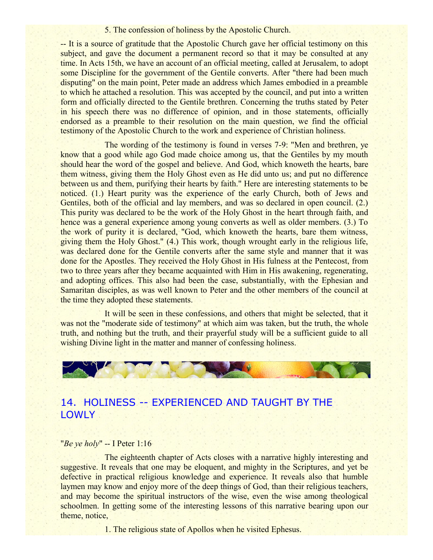### 5. The confession of holiness by the Apostolic Church.

-- It is a source of gratitude that the Apostolic Church gave her official testimony on this subject, and gave the document a permanent record so that it may be consulted at any time. In Acts 15th, we have an account of an official meeting, called at Jerusalem, to adopt some Discipline for the government of the Gentile converts. After "there had been much disputing" on the main point, Peter made an address which James embodied in a preamble to which he attached a resolution. This was accepted by the council, and put into a written form and officially directed to the Gentile brethren. Concerning the truths stated by Peter in his speech there was no difference of opinion, and in those statements, officially endorsed as a preamble to their resolution on the main question, we find the official testimony of the Apostolic Church to the work and experience of Christian holiness.

The wording of the testimony is found in verses 7-9: "Men and brethren, ye know that a good while ago God made choice among us, that the Gentiles by my mouth should hear the word of the gospel and believe. And God, which knoweth the hearts, bare them witness, giving them the Holy Ghost even as He did unto us; and put no difference between us and them, purifying their hearts by faith." Here are interesting statements to be noticed. (1.) Heart purity was the experience of the early Church, both of Jews and Gentiles, both of the official and lay members, and was so declared in open council. (2.) This purity was declared to be the work of the Holy Ghost in the heart through faith, and hence was a general experience among young converts as well as older members. (3.) To the work of purity it is declared, "God, which knoweth the hearts, bare them witness, giving them the Holy Ghost." (4.) This work, though wrought early in the religious life, was declared done for the Gentile converts after the same style and manner that it was done for the Apostles. They received the Holy Ghost in His fulness at the Pentecost, from two to three years after they became acquainted with Him in His awakening, regenerating, and adopting offices. This also had been the case, substantially, with the Ephesian and Samaritan disciples, as was well known to Peter and the other members of the council at the time they adopted these statements.

It will be seen in these confessions, and others that might be selected, that it was not the "moderate side of testimony" at which aim was taken, but the truth, the whole truth, and nothing but the truth, and their prayerful study will be a sufficient guide to all wishing Divine light in the matter and manner of confessing holiness.



# 14. HOLINESS -- EXPERIENCED AND TAUGHT BY THE LOWLY .

### "*Be ye holy*" -- I Peter 1:16

The eighteenth chapter of Acts closes with a narrative highly interesting and suggestive. It reveals that one may be eloquent, and mighty in the Scriptures, and yet be defective in practical religious knowledge and experience. It reveals also that humble laymen may know and enjoy more of the deep things of God, than their religious teachers, and may become the spiritual instructors of the wise, even the wise among theological schoolmen. In getting some of the interesting lessons of this narrative bearing upon our theme, notice,

1. The religious state of Apollos when he visited Ephesus.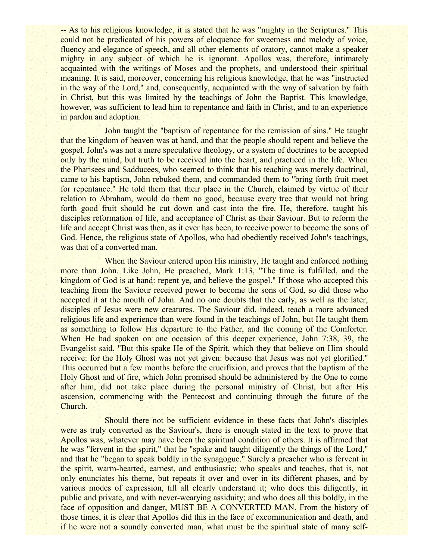-- As to his religious knowledge, it is stated that he was "mighty in the Scriptures." This could not be predicated of his powers of eloquence for sweetness and melody of voice, fluency and elegance of speech, and all other elements of oratory, cannot make a speaker mighty in any subject of which he is ignorant. Apollos was, therefore, intimately acquainted with the writings of Moses and the prophets, and understood their spiritual meaning. It is said, moreover, concerning his religious knowledge, that he was "instructed in the way of the Lord," and, consequently, acquainted with the way of salvation by faith in Christ, but this was limited by the teachings of John the Baptist. This knowledge, however, was sufficient to lead him to repentance and faith in Christ, and to an experience in pardon and adoption.

John taught the "baptism of repentance for the remission of sins." He taught that the kingdom of heaven was at hand, and that the people should repent and believe the gospel. John's was not a mere speculative theology, or a system of doctrines to be accepted only by the mind, but truth to be received into the heart, and practiced in the life. When the Pharisees and Sadducees, who seemed to think that his teaching was merely doctrinal, came to his baptism, John rebuked them, and commanded them to "bring forth fruit meet for repentance." He told them that their place in the Church, claimed by virtue of their relation to Abraham, would do them no good, because every tree that would not bring forth good fruit should be cut down and cast into the fire. He, therefore, taught his disciples reformation of life, and acceptance of Christ as their Saviour. But to reform the life and accept Christ was then, as it ever has been, to receive power to become the sons of God. Hence, the religious state of Apollos, who had obediently received John's teachings, was that of a converted man.

When the Saviour entered upon His ministry, He taught and enforced nothing more than John. Like John, He preached, Mark 1:13, "The time is fulfilled, and the kingdom of God is at hand: repent ye, and believe the gospel." If those who accepted this teaching from the Saviour received power to become the sons of God, so did those who accepted it at the mouth of John. And no one doubts that the early, as well as the later, disciples of Jesus were new creatures. The Saviour did, indeed, teach a more advanced religious life and experience than were found in the teachings of John, but He taught them as something to follow His departure to the Father, and the coming of the Comforter. When He had spoken on one occasion of this deeper experience, John 7:38, 39, the Evangelist said, "But this spake He of the Spirit, which they that believe on Him should receive: for the Holy Ghost was not yet given: because that Jesus was not yet glorified." This occurred but a few months before the crucifixion, and proves that the baptism of the Holy Ghost and of fire, which John promised should be administered by the One to come after him, did not take place during the personal ministry of Christ, but after His ascension, commencing with the Pentecost and continuing through the future of the Church.

Should there not be sufficient evidence in these facts that John's disciples were as truly converted as the Saviour's, there is enough stated in the text to prove that Apollos was, whatever may have been the spiritual condition of others. It is affirmed that he was "fervent in the spirit," that he "spake and taught diligently the things of the Lord," and that he "began to speak boldly in the synagogue." Surely a preacher who is fervent in the spirit, warm-hearted, earnest, and enthusiastic; who speaks and teaches, that is, not only enunciates his theme, but repeats it over and over in its different phases, and by various modes of expression, till all clearly understand it; who does this diligently, in public and private, and with never-wearying assiduity; and who does all this boldly, in the face of opposition and danger, MUST BE A CONVERTED MAN. From the history of those times, it is clear that Apollos did this in the face of excommunication and death, and if he were not a soundly converted man, what must be the spiritual state of many self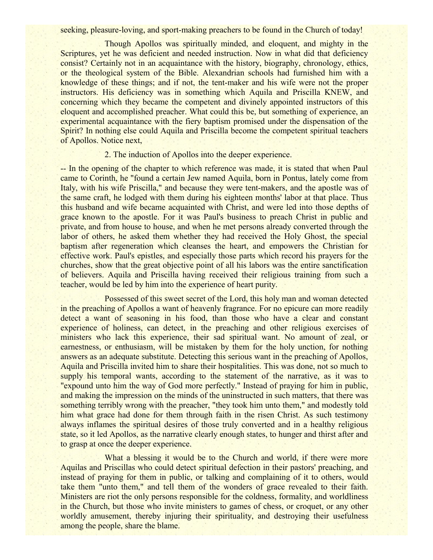seeking, pleasure-loving, and sport-making preachers to be found in the Church of today!

Though Apollos was spiritually minded, and eloquent, and mighty in the Scriptures, yet he was deficient and needed instruction. Now in what did that deficiency consist? Certainly not in an acquaintance with the history, biography, chronology, ethics, or the theological system of the Bible. Alexandrian schools had furnished him with a knowledge of these things; and if not, the tent-maker and his wife were not the proper instructors. His deficiency was in something which Aquila and Priscilla KNEW, and concerning which they became the competent and divinely appointed instructors of this eloquent and accomplished preacher. What could this be, but something of experience, an experimental acquaintance with the fiery baptism promised under the dispensation of the Spirit? In nothing else could Aquila and Priscilla become the competent spiritual teachers of Apollos. Notice next,

### 2. The induction of Apollos into the deeper experience.

-- In the opening of the chapter to which reference was made, it is stated that when Paul came to Corinth, he "found a certain Jew named Aquila, born in Pontus, lately come from Italy, with his wife Priscilla," and because they were tent-makers, and the apostle was of the same craft, he lodged with them during his eighteen months' labor at that place. Thus this husband and wife became acquainted with Christ, and were led into those depths of grace known to the apostle. For it was Paul's business to preach Christ in public and private, and from house to house, and when he met persons already converted through the labor of others, he asked them whether they had received the Holy Ghost, the special baptism after regeneration which cleanses the heart, and empowers the Christian for effective work. Paul's epistles, and especially those parts which record his prayers for the churches, show that the great objective point of all his labors was the entire sanctification of believers. Aquila and Priscilla having received their religious training from such a teacher, would be led by him into the experience of heart purity.

Possessed of this sweet secret of the Lord, this holy man and woman detected in the preaching of Apollos a want of heavenly fragrance. For no epicure can more readily detect a want of seasoning in his food, than those who have a clear and constant experience of holiness, can detect, in the preaching and other religious exercises of ministers who lack this experience, their sad spiritual want. No amount of zeal, or earnestness, or enthusiasm, will be mistaken by them for the holy unction, for nothing answers as an adequate substitute. Detecting this serious want in the preaching of Apollos, Aquila and Priscilla invited him to share their hospitalities. This was done, not so much to supply his temporal wants, according to the statement of the narrative, as it was to "expound unto him the way of God more perfectly." Instead of praying for him in public, and making the impression on the minds of the uninstructed in such matters, that there was something terribly wrong with the preacher, "they took him unto them," and modestly told him what grace had done for them through faith in the risen Christ. As such testimony always inflames the spiritual desires of those truly converted and in a healthy religious state, so it led Apollos, as the narrative clearly enough states, to hunger and thirst after and to grasp at once the deeper experience.

What a blessing it would be to the Church and world, if there were more Aquilas and Priscillas who could detect spiritual defection in their pastors' preaching, and instead of praying for them in public, or talking and complaining of it to others, would take them "unto them," and tell them of the wonders of grace revealed to their faith. Ministers are riot the only persons responsible for the coldness, formality, and worldliness in the Church, but those who invite ministers to games of chess, or croquet, or any other worldly amusement, thereby injuring their spirituality, and destroying their usefulness among the people, share the blame.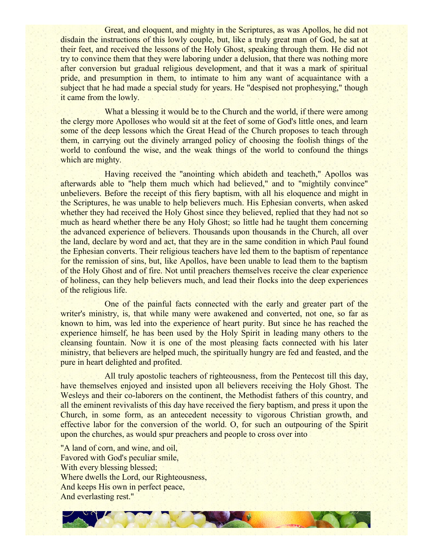Great, and eloquent, and mighty in the Scriptures, as was Apollos, he did not disdain the instructions of this lowly couple, but, like a truly great man of God, he sat at their feet, and received the lessons of the Holy Ghost, speaking through them. He did not try to convince them that they were laboring under a delusion, that there was nothing more after conversion but gradual religious development, and that it was a mark of spiritual pride, and presumption in them, to intimate to him any want of acquaintance with a subject that he had made a special study for years. He "despised not prophesying," though it came from the lowly.

What a blessing it would be to the Church and the world, if there were among the clergy more Apolloses who would sit at the feet of some of God's little ones, and learn some of the deep lessons which the Great Head of the Church proposes to teach through them, in carrying out the divinely arranged policy of choosing the foolish things of the world to confound the wise, and the weak things of the world to confound the things which are mighty.

Having received the "anointing which abideth and teacheth," Apollos was afterwards able to "help them much which had believed," and to "mightily convince" unbelievers. Before the receipt of this fiery baptism, with all his eloquence and might in the Scriptures, he was unable to help believers much. His Ephesian converts, when asked whether they had received the Holy Ghost since they believed, replied that they had not so much as heard whether there be any Holy Ghost; so little had he taught them concerning the advanced experience of believers. Thousands upon thousands in the Church, all over the land, declare by word and act, that they are in the same condition in which Paul found the Ephesian converts. Their religious teachers have led them to the baptism of repentance for the remission of sins, but, like Apollos, have been unable to lead them to the baptism of the Holy Ghost and of fire. Not until preachers themselves receive the clear experience of holiness, can they help believers much, and lead their flocks into the deep experiences of the religious life.

One of the painful facts connected with the early and greater part of the writer's ministry, is, that while many were awakened and converted, not one, so far as known to him, was led into the experience of heart purity. But since he has reached the experience himself, he has been used by the Holy Spirit in leading many others to the cleansing fountain. Now it is one of the most pleasing facts connected with his later ministry, that believers are helped much, the spiritually hungry are fed and feasted, and the pure in heart delighted and profited.

All truly apostolic teachers of righteousness, from the Pentecost till this day, have themselves enjoyed and insisted upon all believers receiving the Holy Ghost. The Wesleys and their co-laborers on the continent, the Methodist fathers of this country, and all the eminent revivalists of this day have received the fiery baptism, and press it upon the Church, in some form, as an antecedent necessity to vigorous Christian growth, and effective labor for the conversion of the world. O, for such an outpouring of the Spirit upon the churches, as would spur preachers and people to cross over into

"A land of corn, and wine, and oil, Favored with God's peculiar smile, With every blessing blessed; Where dwells the Lord, our Righteousness, And keeps His own in perfect peace, And everlasting rest."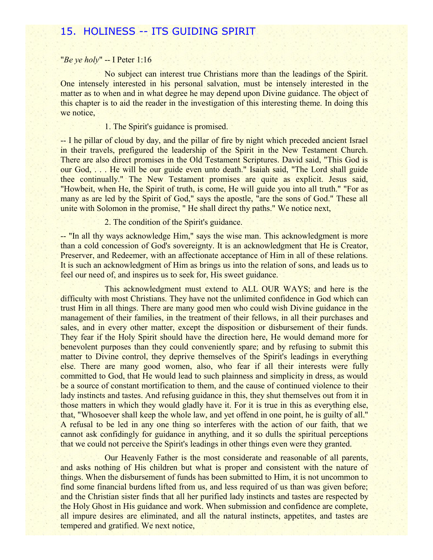## 15. HOLINESS -- ITS GUIDING SPIRIT

### "*Be ye holy*" -- I Peter 1:16

No subject can interest true Christians more than the leadings of the Spirit. One intensely interested in his personal salvation, must be intensely interested in the matter as to when and in what degree he may depend upon Divine guidance. The object of this chapter is to aid the reader in the investigation of this interesting theme. In doing this we notice,

### 1. The Spirit's guidance is promised.

-- I he pillar of cloud by day, and the pillar of fire by night which preceded ancient Israel in their travels, prefigured the leadership of the Spirit in the New Testament Church. There are also direct promises in the Old Testament Scriptures. David said, "This God is our God, . . . He will be our guide even unto death." Isaiah said, "The Lord shall guide thee continually." The New Testament promises are quite as explicit. Jesus said, "Howbeit, when He, the Spirit of truth, is come, He will guide you into all truth." "For as many as are led by the Spirit of God," says the apostle, "are the sons of God." These all unite with Solomon in the promise, " He shall direct thy paths." We notice next,

### 2. The condition of the Spirit's guidance.

-- "In all thy ways acknowledge Him," says the wise man. This acknowledgment is more than a cold concession of God's sovereignty. It is an acknowledgment that He is Creator, Preserver, and Redeemer, with an affectionate acceptance of Him in all of these relations. It is such an acknowledgment of Him as brings us into the relation of sons, and leads us to feel our need of, and inspires us to seek for, His sweet guidance.

This acknowledgment must extend to ALL OUR WAYS; and here is the difficulty with most Christians. They have not the unlimited confidence in God which can trust Him in all things. There are many good men who could wish Divine guidance in the management of their families, in the treatment of their fellows, in all their purchases and sales, and in every other matter, except the disposition or disbursement of their funds. They fear if the Holy Spirit should have the direction here, He would demand more for benevolent purposes than they could conveniently spare; and by refusing to submit this matter to Divine control, they deprive themselves of the Spirit's leadings in everything else. There are many good women, also, who fear if all their interests were fully committed to God, that He would lead to such plainness and simplicity in dress, as would be a source of constant mortification to them, and the cause of continued violence to their lady instincts and tastes. And refusing guidance in this, they shut themselves out from it in those matters in which they would gladly have it. For it is true in this as everything else, that, "Whosoever shall keep the whole law, and yet offend in one point, he is guilty of all." A refusal to be led in any one thing so interferes with the action of our faith, that we cannot ask confidingly for guidance in anything, and it so dulls the spiritual perceptions that we could not perceive the Spirit's leadings in other things even were they granted.

Our Heavenly Father is the most considerate and reasonable of all parents, and asks nothing of His children but what is proper and consistent with the nature of things. When the disbursement of funds has been submitted to Him, it is not uncommon to find some financial burdens lifted from us, and less required of us than was given before; and the Christian sister finds that all her purified lady instincts and tastes are respected by the Holy Ghost in His guidance and work. When submission and confidence are complete, all impure desires are eliminated, and all the natural instincts, appetites, and tastes are tempered and gratified. We next notice,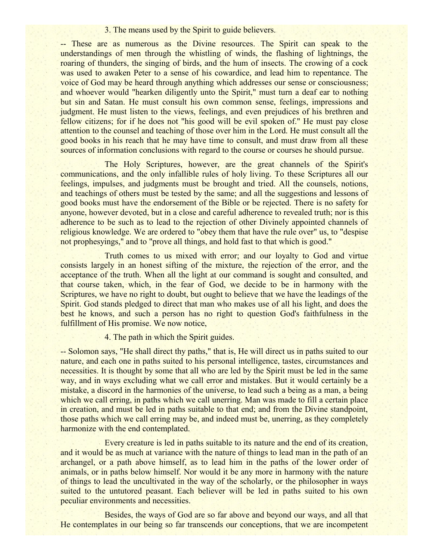### 3. The means used by the Spirit to guide believers.

-- These are as numerous as the Divine resources. The Spirit can speak to the understandings of men through the whistling of winds, the flashing of lightnings, the roaring of thunders, the singing of birds, and the hum of insects. The crowing of a cock was used to awaken Peter to a sense of his cowardice, and lead him to repentance. The voice of God may be heard through anything which addresses our sense or consciousness; and whoever would "hearken diligently unto the Spirit," must turn a deaf ear to nothing but sin and Satan. He must consult his own common sense, feelings, impressions and judgment. He must listen to the views, feelings, and even prejudices of his brethren and fellow citizens; for if he does not "his good will be evil spoken of." He must pay close attention to the counsel and teaching of those over him in the Lord. He must consult all the good books in his reach that he may have time to consult, and must draw from all these sources of information conclusions with regard to the course or courses he should pursue.

The Holy Scriptures, however, are the great channels of the Spirit's communications, and the only infallible rules of holy living. To these Scriptures all our feelings, impulses, and judgments must be brought and tried. All the counsels, notions, and teachings of others must be tested by the same; and all the suggestions and lessons of good books must have the endorsement of the Bible or be rejected. There is no safety for anyone, however devoted, but in a close and careful adherence to revealed truth; nor is this adherence to be such as to lead to the rejection of other Divinely appointed channels of religious knowledge. We are ordered to "obey them that have the rule over" us, to "despise not prophesyings," and to "prove all things, and hold fast to that which is good."

Truth comes to us mixed with error; and our loyalty to God and virtue consists largely in an honest sifting of the mixture, the rejection of the error, and the acceptance of the truth. When all the light at our command is sought and consulted, and that course taken, which, in the fear of God, we decide to be in harmony with the Scriptures, we have no right to doubt, but ought to believe that we have the leadings of the Spirit. God stands pledged to direct that man who makes use of all his light, and does the best he knows, and such a person has no right to question God's faithfulness in the fulfillment of His promise. We now notice,

4. The path in which the Spirit guides.

-- Solomon says, "He shall direct thy paths," that is, He will direct us in paths suited to our nature, and each one in paths suited to his personal intelligence, tastes, circumstances and necessities. It is thought by some that all who are led by the Spirit must be led in the same way, and in ways excluding what we call error and mistakes. But it would certainly be a mistake, a discord in the harmonies of the universe, to lead such a being as a man, a being which we call erring, in paths which we call unerring. Man was made to fill a certain place in creation, and must be led in paths suitable to that end; and from the Divine standpoint, those paths which we call erring may be, and indeed must be, unerring, as they completely harmonize with the end contemplated.

Every creature is led in paths suitable to its nature and the end of its creation, and it would be as much at variance with the nature of things to lead man in the path of an archangel, or a path above himself, as to lead him in the paths of the lower order of animals, or in paths below himself. Nor would it be any more in harmony with the nature of things to lead the uncultivated in the way of the scholarly, or the philosopher in ways suited to the untutored peasant. Each believer will be led in paths suited to his own peculiar environments and necessities.

Besides, the ways of God are so far above and beyond our ways, and all that He contemplates in our being so far transcends our conceptions, that we are incompetent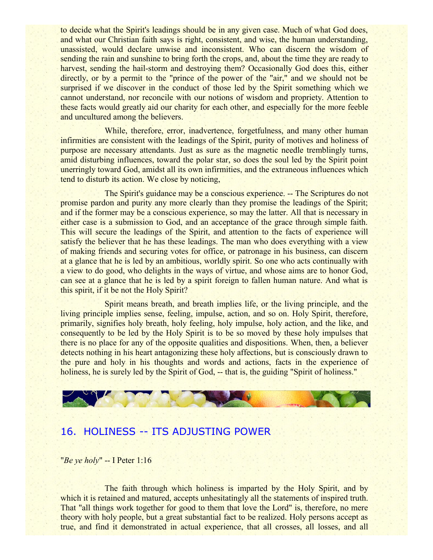to decide what the Spirit's leadings should be in any given case. Much of what God does, and what our Christian faith says is right, consistent, and wise, the human understanding, unassisted, would declare unwise and inconsistent. Who can discern the wisdom of sending the rain and sunshine to bring forth the crops, and, about the time they are ready to harvest, sending the hail-storm and destroying them? Occasionally God does this, either directly, or by a permit to the "prince of the power of the "air," and we should not be surprised if we discover in the conduct of those led by the Spirit something which we cannot understand, nor reconcile with our notions of wisdom and propriety. Attention to these facts would greatly aid our charity for each other, and especially for the more feeble and uncultured among the believers.

While, therefore, error, inadvertence, forgetfulness, and many other human infirmities are consistent with the leadings of the Spirit, purity of motives and holiness of purpose are necessary attendants. Just as sure as the magnetic needle tremblingly turns, amid disturbing influences, toward the polar star, so does the soul led by the Spirit point unerringly toward God, amidst all its own infirmities, and the extraneous influences which tend to disturb its action. We close by noticing,

The Spirit's guidance may be a conscious experience. -- The Scriptures do not promise pardon and purity any more clearly than they promise the leadings of the Spirit; and if the former may be a conscious experience, so may the latter. All that is necessary in either case is a submission to God, and an acceptance of the grace through simple faith. This will secure the leadings of the Spirit, and attention to the facts of experience will satisfy the believer that he has these leadings. The man who does everything with a view of making friends and securing votes for office, or patronage in his business, can discern at a glance that he is led by an ambitious, worldly spirit. So one who acts continually with a view to do good, who delights in the ways of virtue, and whose aims are to honor God, can see at a glance that he is led by a spirit foreign to fallen human nature. And what is this spirit, if it be not the Holy Spirit?

Spirit means breath, and breath implies life, or the living principle, and the living principle implies sense, feeling, impulse, action, and so on. Holy Spirit, therefore, primarily, signifies holy breath, holy feeling, holy impulse, holy action, and the like, and consequently to be led by the Holy Spirit is to be so moved by these holy impulses that there is no place for any of the opposite qualities and dispositions. When, then, a believer detects nothing in his heart antagonizing these holy affections, but is consciously drawn to the pure and holy in his thoughts and words and actions, facts in the experience of holiness, he is surely led by the Spirit of God, -- that is, the guiding "Spirit of holiness."

## 16. HOLINESS -- ITS ADJUSTING POWER

"*Be ye holy*" -- I Peter 1:16

The faith through which holiness is imparted by the Holy Spirit, and by which it is retained and matured, accepts unhesitatingly all the statements of inspired truth. That "all things work together for good to them that love the Lord" is, therefore, no mere theory with holy people, but a great substantial fact to be realized. Holy persons accept as true, and find it demonstrated in actual experience, that all crosses, all losses, and all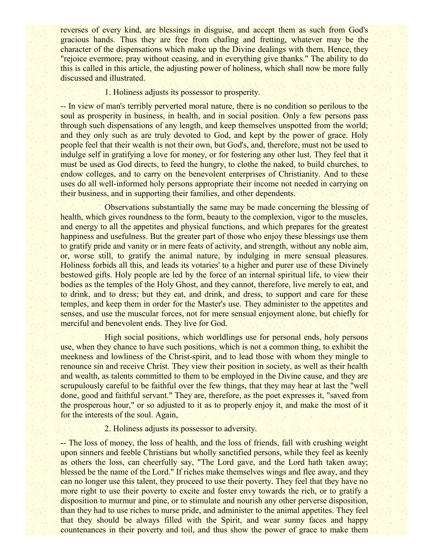reverses of every kind, are blessings in disguise, and accept them as such from God's gracious hands. Thus they are free from chafing and fretting, whatever may be the character of the dispensations which make up the Divine dealings with them. Hence, they "rejoice evermore, pray without ceasing, and in everything give thanks." The ability to do this is called in this article, the adjusting power of holiness, which shall now be more fully discussed and illustrated.

### 1. Holiness adjusts its possessor to prosperity.

-- In view of man's terribly perverted moral nature, there is no condition so perilous to the soul as prosperity in business, in health, and in social position. Only a few persons pass through such dispensations of any length, and keep themselves unspotted from the world; and they only such as are truly devoted to God, and kept by the power of grace. Holy people feel that their wealth is not their own, but God's, and, therefore, must not be used to indulge self in gratifying a love for money, or for fostering any other lust. They feel that it must be used as God directs, to feed the hungry, to clothe the naked, to build churches, to endow colleges, and to carry on the benevolent enterprises of Christianity. And to these uses do all well-informed holy persons appropriate their income not needed in carrying on their business, and in supporting their families, and other dependents.

Observations substantially the same may be made concerning the blessing of health, which gives roundness to the form, beauty to the complexion, vigor to the muscles, and energy to all the appetites and physical functions, and which prepares for the greatest happiness and usefulness. But the greater part of those who enjoy these blessings use them to gratify pride and vanity or in mere feats of activity, and strength, without any noble aim, or, worse still, to gratify the animal nature, by indulging in mere sensual pleasures. Holiness forbids all this, and leads its votaries' to a higher and purer use of these Divinely bestowed gifts. Holy people are led by the force of an internal spiritual life, to view their bodies as the temples of the Holy Ghost, and they cannot, therefore, live merely to eat, and to drink, and to dress; but they eat, and drink, and dress, to support and care for these temples, and keep them in order for the Master's use. They administer to the appetites and senses, and use the muscular forces, not for mere sensual enjoyment alone, but chiefly for merciful and benevolent ends. They live for God.

High social positions, which worldlings use for personal ends, holy persons use, when they chance to have such positions, which is not a common thing, to exhibit the meekness and lowliness of the Christ-spirit, and to lead those with whom they mingle to renounce sin and receive Christ. They view their position in society, as well as their health and wealth, as talents committed to them to be employed in the Divine cause, and they are scrupulously careful to be faithful over the few things, that they may hear at last the "well done, good and faithful servant." They are, therefore, as the poet expresses it, "saved from the prosperous hour," or so adjusted to it as to properly enjoy it, and make the most of it for the interests of the soul. Again,

### 2. Holiness adjusts its possessor to adversity.

-- The loss of money, the loss of health, and the loss of friends, fall with crushing weight upon sinners and feeble Christians but wholly sanctified persons, while they feel as keenly as others the loss, can cheerfully say, "The Lord gave, and the Lord hath taken away; blessed be the name of the Lord." If riches make themselves wings and flee away, and they can no longer use this talent, they proceed to use their poverty. They feel that they have no more right to use their poverty to excite and foster envy towards the rich, or to gratify a disposition to murmur and pine, or to stimulate and nourish any other perverse disposition, than they had to use riches to nurse pride, and administer to the animal appetites. They feel that they should be always filled with the Spirit, and wear sunny faces and happy countenances in their poverty and toil, and thus show the power of grace to make them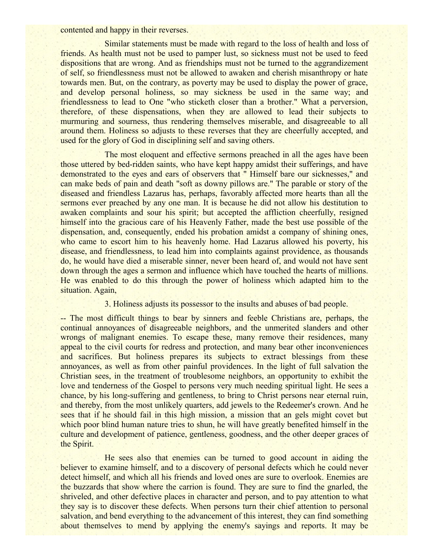contented and happy in their reverses.

Similar statements must be made with regard to the loss of health and loss of friends. As health must not be used to pamper lust, so sickness must not be used to feed dispositions that are wrong. And as friendships must not be turned to the aggrandizement of self, so friendlessness must not be allowed to awaken and cherish misanthropy or hate towards men. But, on the contrary, as poverty may be used to display the power of grace, and develop personal holiness, so may sickness be used in the same way; and friendlessness to lead to One "who sticketh closer than a brother." What a perversion, therefore, of these dispensations, when they are allowed to lead their subjects to murmuring and sourness, thus rendering themselves miserable, and disagreeable to all around them. Holiness so adjusts to these reverses that they are cheerfully accepted, and used for the glory of God in disciplining self and saving others.

The most eloquent and effective sermons preached in all the ages have been those uttered by bed-ridden saints, who have kept happy amidst their sufferings, and have demonstrated to the eyes and ears of observers that " Himself bare our sicknesses," and can make beds of pain and death "soft as downy pillows are." The parable or story of the diseased and friendless Lazarus has, perhaps, favorably affected more hearts than all the sermons ever preached by any one man. It is because he did not allow his destitution to awaken complaints and sour his spirit; but accepted the affliction cheerfully, resigned himself into the gracious care of his Heavenly Father, made the best use possible of the dispensation, and, consequently, ended his probation amidst a company of shining ones, who came to escort him to his heavenly home. Had Lazarus allowed his poverty, his disease, and friendlessness, to lead him into complaints against providence, as thousands do, he would have died a miserable sinner, never been heard of, and would not have sent down through the ages a sermon and influence which have touched the hearts of millions. He was enabled to do this through the power of holiness which adapted him to the situation. Again,

### 3. Holiness adjusts its possessor to the insults and abuses of bad people.

-- The most difficult things to bear by sinners and feeble Christians are, perhaps, the continual annoyances of disagreeable neighbors, and the unmerited slanders and other wrongs of malignant enemies. To escape these, many remove their residences, many appeal to the civil courts for redress and protection, and many bear other inconveniences and sacrifices. But holiness prepares its subjects to extract blessings from these annoyances, as well as from other painful providences. In the light of full salvation the Christian sees, in the treatment of troublesome neighbors, an opportunity to exhibit the love and tenderness of the Gospel to persons very much needing spiritual light. He sees a chance, by his long-suffering and gentleness, to bring to Christ persons near eternal ruin, and thereby, from the most unlikely quarters, add jewels to the Redeemer's crown. And he sees that if he should fail in this high mission, a mission that an gels might covet but which poor blind human nature tries to shun, he will have greatly benefited himself in the culture and development of patience, gentleness, goodness, and the other deeper graces of the Spirit.

He sees also that enemies can be turned to good account in aiding the believer to examine himself, and to a discovery of personal defects which he could never detect himself, and which all his friends and loved ones are sure to overlook. Enemies are the buzzards that show where the carrion is found. They are sure to find the gnarled, the shriveled, and other defective places in character and person, and to pay attention to what they say is to discover these defects. When persons turn their chief attention to personal salvation, and bend everything to the advancement of this interest, they can find something about themselves to mend by applying the enemy's sayings and reports. It may be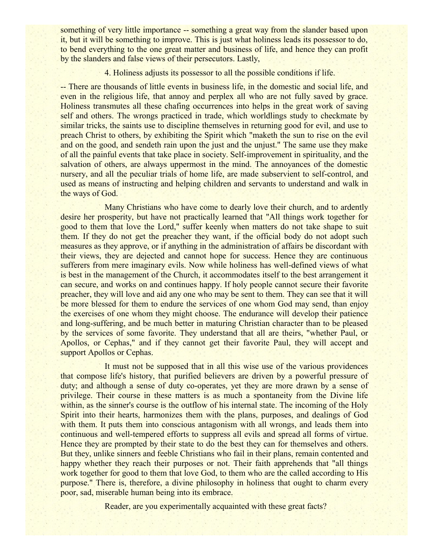something of very little importance -- something a great way from the slander based upon it, but it will be something to improve. This is just what holiness leads its possessor to do, to bend everything to the one great matter and business of life, and hence they can profit by the slanders and false views of their persecutors. Lastly,

4. Holiness adjusts its possessor to all the possible conditions if life.

-- There are thousands of little events in business life, in the domestic and social life, and even in the religious life, that annoy and perplex all who are not fully saved by grace. Holiness transmutes all these chafing occurrences into helps in the great work of saving self and others. The wrongs practiced in trade, which worldlings study to checkmate by similar tricks, the saints use to discipline themselves in returning good for evil, and use to preach Christ to others, by exhibiting the Spirit which "maketh the sun to rise on the evil and on the good, and sendeth rain upon the just and the unjust." The same use they make of all the painful events that take place in society. Self-improvement in spirituality, and the salvation of others, are always uppermost in the mind. The annoyances of the domestic nursery, and all the peculiar trials of home life, are made subservient to self-control, and used as means of instructing and helping children and servants to understand and walk in the ways of God.

Many Christians who have come to dearly love their church, and to ardently desire her prosperity, but have not practically learned that "All things work together for good to them that love the Lord," suffer keenly when matters do not take shape to suit them. If they do not get the preacher they want, if the official body do not adopt such measures as they approve, or if anything in the administration of affairs be discordant with their views, they are dejected and cannot hope for success. Hence they are continuous sufferers from mere imaginary evils. Now while holiness has well-defined views of what is best in the management of the Church, it accommodates itself to the best arrangement it can secure, and works on and continues happy. If holy people cannot secure their favorite preacher, they will love and aid any one who may be sent to them. They can see that it will be more blessed for them to endure the services of one whom God may send, than enjoy the exercises of one whom they might choose. The endurance will develop their patience and long-suffering, and be much better in maturing Christian character than to be pleased by the services of some favorite. They understand that all are theirs, "whether Paul, or Apollos, or Cephas," and if they cannot get their favorite Paul, they will accept and support Apollos or Cephas.

It must not be supposed that in all this wise use of the various providences that compose life's history, that purified believers are driven by a powerful pressure of duty; and although a sense of duty co-operates, yet they are more drawn by a sense of privilege. Their course in these matters is as much a spontaneity from the Divine life within, as the sinner's course is the outflow of his internal state. The incoming of the Holy Spirit into their hearts, harmonizes them with the plans, purposes, and dealings of God with them. It puts them into conscious antagonism with all wrongs, and leads them into continuous and well-tempered efforts to suppress all evils and spread all forms of virtue. Hence they are prompted by their state to do the best they can for themselves and others. But they, unlike sinners and feeble Christians who fail in their plans, remain contented and happy whether they reach their purposes or not. Their faith apprehends that "all things" work together for good to them that love God, to them who are the called according to His purpose." There is, therefore, a divine philosophy in holiness that ought to charm every poor, sad, miserable human being into its embrace.

Reader, are you experimentally acquainted with these great facts?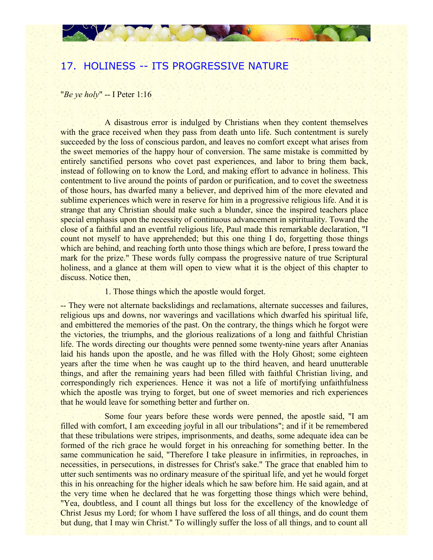# 17. HOLINESS -- ITS PROGRESSIVE NATURE

"*Be ye holy*" -- I Peter 1:16

A disastrous error is indulged by Christians when they content themselves with the grace received when they pass from death unto life. Such contentment is surely succeeded by the loss of conscious pardon, and leaves no comfort except what arises from the sweet memories of the happy hour of conversion. The same mistake is committed by entirely sanctified persons who covet past experiences, and labor to bring them back, instead of following on to know the Lord, and making effort to advance in holiness. This contentment to live around the points of pardon or purification, and to covet the sweetness of those hours, has dwarfed many a believer, and deprived him of the more elevated and sublime experiences which were in reserve for him in a progressive religious life. And it is strange that any Christian should make such a blunder, since the inspired teachers place special emphasis upon the necessity of continuous advancement in spirituality. Toward the close of a faithful and an eventful religious life, Paul made this remarkable declaration, "I count not myself to have apprehended; but this one thing I do, forgetting those things which are behind, and reaching forth unto those things which are before, I press toward the mark for the prize." These words fully compass the progressive nature of true Scriptural holiness, and a glance at them will open to view what it is the object of this chapter to discuss. Notice then,

### 1. Those things which the apostle would forget.

-- They were not alternate backslidings and reclamations, alternate successes and failures, religious ups and downs, nor waverings and vacillations which dwarfed his spiritual life, and embittered the memories of the past. On the contrary, the things which he forgot were the victories, the triumphs, and the glorious realizations of a long and faithful Christian life. The words directing our thoughts were penned some twenty-nine years after Ananias laid his hands upon the apostle, and he was filled with the Holy Ghost; some eighteen years after the time when he was caught up to the third heaven, and heard unutterable things, and after the remaining years had been filled with faithful Christian living, and correspondingly rich experiences. Hence it was not a life of mortifying unfaithfulness which the apostle was trying to forget, but one of sweet memories and rich experiences that he would leave for something better and further on.

Some four years before these words were penned, the apostle said, "I am filled with comfort, I am exceeding joyful in all our tribulations"; and if it be remembered that these tribulations were stripes, imprisonments, and deaths, some adequate idea can be formed of the rich grace he would forget in his onreaching for something better. In the same communication he said, "Therefore I take pleasure in infirmities, in reproaches, in necessities, in persecutions, in distresses for Christ's sake." The grace that enabled him to utter such sentiments was no ordinary measure of the spiritual life, and yet he would forget this in his onreaching for the higher ideals which he saw before him. He said again, and at the very time when he declared that he was forgetting those things which were behind, "Yea, doubtless, and I count all things but loss for the excellency of the knowledge of Christ Jesus my Lord; for whom I have suffered the loss of all things, and do count them but dung, that I may win Christ." To willingly suffer the loss of all things, and to count all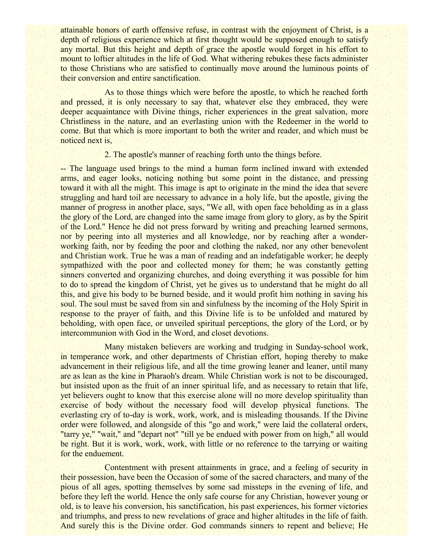attainable honors of earth offensive refuse, in contrast with the enjoyment of Christ, is a depth of religious experience which at first thought would be supposed enough to satisfy any mortal. But this height and depth of grace the apostle would forget in his effort to mount to loftier altitudes in the life of God. What withering rebukes these facts administer to those Christians who are satisfied to continually move around the luminous points of their conversion and entire sanctification.

As to those things which were before the apostle, to which he reached forth and pressed, it is only necessary to say that, whatever else they embraced, they were deeper acquaintance with Divine things, richer experiences in the great salvation, more Christliness in the nature, and an everlasting union with the Redeemer in the world to come. But that which is more important to both the writer and reader, and which must be noticed next is,

### 2. The apostle's manner of reaching forth unto the things before.

-- The language used brings to the mind a human form inclined inward with extended arms, and eager looks, noticing nothing but some point in the distance, and pressing toward it with all the might. This image is apt to originate in the mind the idea that severe struggling and hard toil are necessary to advance in a holy life, but the apostle, giving the manner of progress in another place, says, "We all, with open face beholding as in a glass the glory of the Lord, are changed into the same image from glory to glory, as by the Spirit of the Lord." Hence he did not press forward by writing and preaching learned sermons, nor by peering into all mysteries and all knowledge, nor by reaching after a wonderworking faith, nor by feeding the poor and clothing the naked, nor any other benevolent and Christian work. True he was a man of reading and an indefatigable worker; he deeply sympathized with the poor and collected money for them; he was constantly getting sinners converted and organizing churches, and doing everything it was possible for him to do to spread the kingdom of Christ, yet he gives us to understand that he might do all this, and give his body to be burned beside, and it would profit him nothing in saving his soul. The soul must be saved from sin and sinfulness by the incoming of the Holy Spirit in response to the prayer of faith, and this Divine life is to be unfolded and matured by beholding, with open face, or unveiled spiritual perceptions, the glory of the Lord, or by intercommunion with God in the Word, and closet devotions.

Many mistaken believers are working and trudging in Sunday-school work, in temperance work, and other departments of Christian effort, hoping thereby to make advancement in their religious life, and all the time growing leaner and leaner, until many are as lean as the kine in Pharaoh's dream. While Christian work is not to be discouraged, but insisted upon as the fruit of an inner spiritual life, and as necessary to retain that life, yet believers ought to know that this exercise alone will no more develop spirituality than exercise of body without the necessary food will develop physical functions. The everlasting cry of to-day is work, work, work, and is misleading thousands. If the Divine order were followed, and alongside of this "go and work," were laid the collateral orders, "tarry ye," "wait," and "depart not" "till ye be endued with power from on high," all would be right. But it is work, work, work, with little or no reference to the tarrying or waiting for the enduement.

Contentment with present attainments in grace, and a feeling of security in their possession, have been the Occasion of some of the sacred characters, and many of the pious of all ages, spotting themselves by some sad missteps in the evening of life, and before they left the world. Hence the only safe course for any Christian, however young or old, is to leave his conversion, his sanctification, his past experiences, his former victories and triumphs, and press to new revelations of grace and higher altitudes in the life of faith. And surely this is the Divine order. God commands sinners to repent and believe; He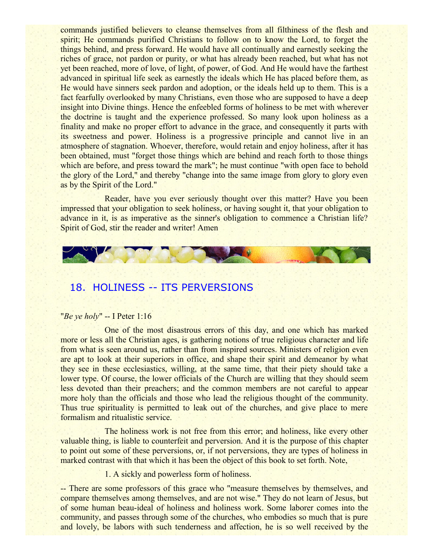commands justified believers to cleanse themselves from all filthiness of the flesh and spirit; He commands purified Christians to follow on to know the Lord, to forget the things behind, and press forward. He would have all continually and earnestly seeking the riches of grace, not pardon or purity, or what has already been reached, but what has not yet been reached, more of love, of light, of power, of God. And He would have the farthest advanced in spiritual life seek as earnestly the ideals which He has placed before them, as He would have sinners seek pardon and adoption, or the ideals held up to them. This is a fact fearfully overlooked by many Christians, even those who are supposed to have a deep insight into Divine things. Hence the enfeebled forms of holiness to be met with wherever the doctrine is taught and the experience professed. So many look upon holiness as a finality and make no proper effort to advance in the grace, and consequently it parts with its sweetness and power. Holiness is a progressive principle and cannot live in an atmosphere of stagnation. Whoever, therefore, would retain and enjoy holiness, after it has been obtained, must "forget those things which are behind and reach forth to those things which are before, and press toward the mark"; he must continue "with open face to behold the glory of the Lord," and thereby "change into the same image from glory to glory even as by the Spirit of the Lord."

Reader, have you ever seriously thought over this matter? Have you been impressed that your obligation to seek holiness, or having sought it, that your obligation to advance in it, is as imperative as the sinner's obligation to commence a Christian life? Spirit of God, stir the reader and writer! Amen



# 18. HOLINESS -- ITS PERVERSIONS

### "*Be ye holy*" -- I Peter 1:16

One of the most disastrous errors of this day, and one which has marked more or less all the Christian ages, is gathering notions of true religious character and life from what is seen around us, rather than from inspired sources. Ministers of religion even are apt to look at their superiors in office, and shape their spirit and demeanor by what they see in these ecclesiastics, willing, at the same time, that their piety should take a lower type. Of course, the lower officials of the Church are willing that they should seem less devoted than their preachers; and the common members are not careful to appear more holy than the officials and those who lead the religious thought of the community. Thus true spirituality is permitted to leak out of the churches, and give place to mere formalism and ritualistic service.

The holiness work is not free from this error; and holiness, like every other valuable thing, is liable to counterfeit and perversion. And it is the purpose of this chapter to point out some of these perversions, or, if not perversions, they are types of holiness in marked contrast with that which it has been the object of this book to set forth. Note,

1. A sickly and powerless form of holiness.

-- There are some professors of this grace who "measure themselves by themselves, and compare themselves among themselves, and are not wise." They do not learn of Jesus, but of some human beau-ideal of holiness and holiness work. Some laborer comes into the community, and passes through some of the churches, who embodies so much that is pure and lovely, be labors with such tenderness and affection, he is so well received by the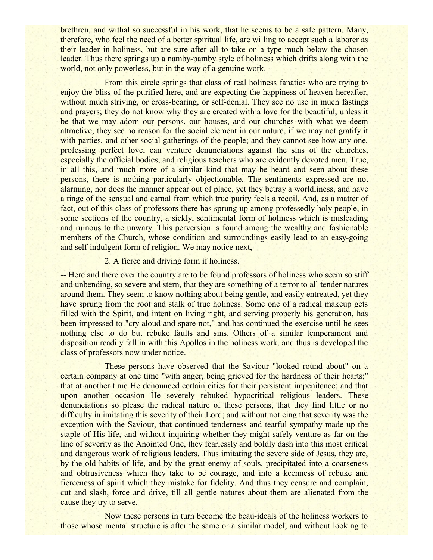brethren, and withal so successful in his work, that he seems to be a safe pattern. Many, therefore, who feel the need of a better spiritual life, are willing to accept such a laborer as their leader in holiness, but are sure after all to take on a type much below the chosen leader. Thus there springs up a namby-pamby style of holiness which drifts along with the world, not only powerless, but in the way of a genuine work.

From this circle springs that class of real holiness fanatics who are trying to enjoy the bliss of the purified here, and are expecting the happiness of heaven hereafter, without much striving, or cross-bearing, or self-denial. They see no use in much fastings and prayers; they do not know why they are created with a love for the beautiful, unless it be that we may adorn our persons, our houses, and our churches with what we deem attractive; they see no reason for the social element in our nature, if we may not gratify it with parties, and other social gatherings of the people; and they cannot see how any one, professing perfect love, can venture denunciations against the sins of the churches, especially the official bodies, and religious teachers who are evidently devoted men. True, in all this, and much more of a similar kind that may be heard and seen about these persons, there is nothing particularly objectionable. The sentiments expressed are not alarming, nor does the manner appear out of place, yet they betray a worldliness, and have a tinge of the sensual and carnal from which true purity feels a recoil. And, as a matter of fact, out of this class of professors there has sprung up among professedly holy people, in some sections of the country, a sickly, sentimental form of holiness which is misleading and ruinous to the unwary. This perversion is found among the wealthy and fashionable members of the Church, whose condition and surroundings easily lead to an easy-going and self-indulgent form of religion. We may notice next,

### 2. A fierce and driving form if holiness.

-- Here and there over the country are to be found professors of holiness who seem so stiff and unbending, so severe and stern, that they are something of a terror to all tender natures around them. They seem to know nothing about being gentle, and easily entreated, yet they have sprung from the root and stalk of true holiness. Some one of a radical makeup gets filled with the Spirit, and intent on living right, and serving properly his generation, has been impressed to "cry aloud and spare not," and has continued the exercise until he sees nothing else to do but rebuke faults and sins. Others of a similar temperament and disposition readily fall in with this Apollos in the holiness work, and thus is developed the class of professors now under notice.

These persons have observed that the Saviour "looked round about" on a certain company at one time "with anger, being grieved for the hardness of their hearts;" that at another time He denounced certain cities for their persistent impenitence; and that upon another occasion He severely rebuked hypocritical religious leaders. These denunciations so please the radical nature of these persons, that they find little or no difficulty in imitating this severity of their Lord; and without noticing that severity was the exception with the Saviour, that continued tenderness and tearful sympathy made up the staple of His life, and without inquiring whether they might safely venture as far on the line of severity as the Anointed One, they fearlessly and boldly dash into this most critical and dangerous work of religious leaders. Thus imitating the severe side of Jesus, they are, by the old habits of life, and by the great enemy of souls, precipitated into a coarseness and obtrusiveness which they take to be courage, and into a keenness of rebuke and fierceness of spirit which they mistake for fidelity. And thus they censure and complain, cut and slash, force and drive, till all gentle natures about them are alienated from the cause they try to serve.

Now these persons in turn become the beau-ideals of the holiness workers to those whose mental structure is after the same or a similar model, and without looking to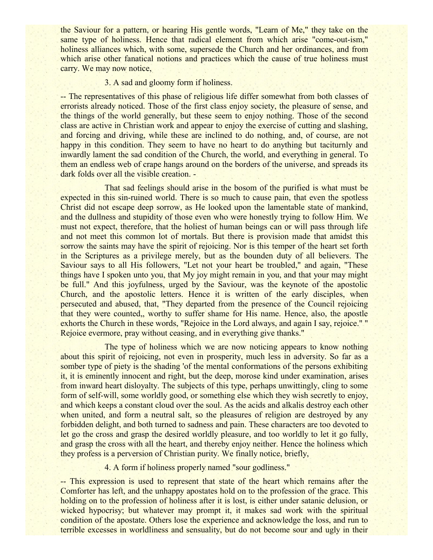the Saviour for a pattern, or hearing His gentle words, "Learn of Me," they take on the same type of holiness. Hence that radical element from which arise "come-out-ism," holiness alliances which, with some, supersede the Church and her ordinances, and from which arise other fanatical notions and practices which the cause of true holiness must carry. We may now notice,

### 3. A sad and gloomy form if holiness.

-- The representatives of this phase of religious life differ somewhat from both classes of errorists already noticed. Those of the first class enjoy society, the pleasure of sense, and the things of the world generally, but these seem to enjoy nothing. Those of the second class are active in Christian work and appear to enjoy the exercise of cutting and slashing, and forcing and driving, while these are inclined to do nothing, and, of course, are not happy in this condition. They seem to have no heart to do anything but taciturnly and inwardly lament the sad condition of the Church, the world, and everything in general. To them an endless web of crape hangs around on the borders of the universe, and spreads its dark folds over all the visible creation. -

That sad feelings should arise in the bosom of the purified is what must be expected in this sin-ruined world. There is so much to cause pain, that even the spotless Christ did not escape deep sorrow, as He looked upon the lamentable state of mankind, and the dullness and stupidity of those even who were honestly trying to follow Him. We must not expect, therefore, that the holiest of human beings can or will pass through life and not meet this common lot of mortals. But there is provision made that amidst this sorrow the saints may have the spirit of rejoicing. Nor is this temper of the heart set forth in the Scriptures as a privilege merely, but as the bounden duty of all believers. The Saviour says to all His followers, "Let not your heart be troubled," and again, "These things have I spoken unto you, that My joy might remain in you, and that your may might be full." And this joyfulness, urged by the Saviour, was the keynote of the apostolic Church, and the apostolic letters. Hence it is written of the early disciples, when persecuted and abused, that, "They departed from the presence of the Council rejoicing that they were counted,, worthy to suffer shame for His name. Hence, also, the apostle exhorts the Church in these words, "Rejoice in the Lord always, and again I say, rejoice." " Rejoice evermore, pray without ceasing, and in everything give thanks."

The type of holiness which we are now noticing appears to know nothing about this spirit of rejoicing, not even in prosperity, much less in adversity. So far as a somber type of piety is the shading 'of the mental conformations of the persons exhibiting it, it is eminently innocent and right, but the deep, morose kind under examination, arises from inward heart disloyalty. The subjects of this type, perhaps unwittingly, cling to some form of self-will, some worldly good, or something else which they wish secretly to enjoy, and which keeps a constant cloud over the soul. As the acids and alkalis destroy each other when united, and form a neutral salt, so the pleasures of religion are destroyed by any forbidden delight, and both turned to sadness and pain. These characters are too devoted to let go the cross and grasp the desired worldly pleasure, and too worldly to let it go fully, and grasp the cross with all the heart, and thereby enjoy neither. Hence the holiness which they profess is a perversion of Christian purity. We finally notice, briefly,

4. A form if holiness properly named "sour godliness."

-- This expression is used to represent that state of the heart which remains after the Comforter has left, and the unhappy apostates hold on to the profession of the grace. This holding on to the profession of holiness after it is lost, is either under satanic delusion, or wicked hypocrisy; but whatever may prompt it, it makes sad work with the spiritual condition of the apostate. Others lose the experience and acknowledge the loss, and run to terrible excesses in worldliness and sensuality, but do not become sour and ugly in their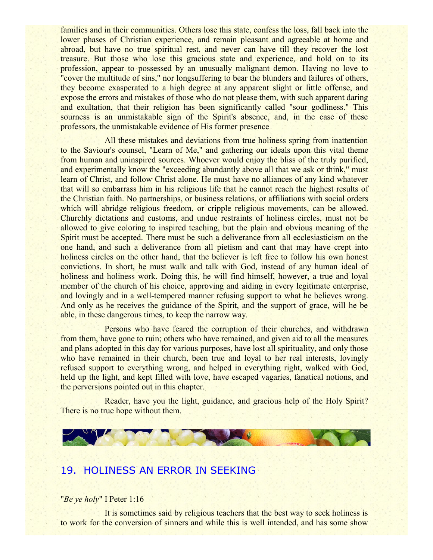families and in their communities. Others lose this state, confess the loss, fall back into the lower phases of Christian experience, and remain pleasant and agreeable at home and abroad, but have no true spiritual rest, and never can have till they recover the lost treasure. But those who lose this gracious state and experience, and hold on to its profession, appear to possessed by an unusually malignant demon. Having no love to "cover the multitude of sins," nor longsuffering to bear the blunders and failures of others, they become exasperated to a high degree at any apparent slight or little offense, and expose the errors and mistakes of those who do not please them, with such apparent daring and exultation, that their religion has been significantly called "sour godliness." This sourness is an unmistakable sign of the Spirit's absence, and, in the case of these professors, the unmistakable evidence of His former presence

All these mistakes and deviations from true holiness spring from inattention to the Saviour's counsel, "Learn of Me," and gathering our ideals upon this vital theme from human and uninspired sources. Whoever would enjoy the bliss of the truly purified, and experimentally know the "exceeding abundantly above all that we ask or think," must learn of Christ, and follow Christ alone. He must have no alliances of any kind whatever that will so embarrass him in his religious life that he cannot reach the highest results of the Christian faith. No partnerships, or business relations, or affiliations with social orders which will abridge religious freedom, or cripple religious movements, can be allowed. Churchly dictations and customs, and undue restraints of holiness circles, must not be allowed to give coloring to inspired teaching, but the plain and obvious meaning of the Spirit must be accepted. There must be such a deliverance from all ecclesiasticism on the one hand, and such a deliverance from all pietism and cant that may have crept into holiness circles on the other hand, that the believer is left free to follow his own honest convictions. In short, he must walk and talk with God, instead of any human ideal of holiness and holiness work. Doing this, he will find himself, however, a true and loyal member of the church of his choice, approving and aiding in every legitimate enterprise, and lovingly and in a well-tempered manner refusing support to what he believes wrong. And only as he receives the guidance of the Spirit, and the support of grace, will he be able, in these dangerous times, to keep the narrow way.

Persons who have feared the corruption of their churches, and withdrawn from them, have gone to ruin; others who have remained, and given aid to all the measures and plans adopted in this day for various purposes, have lost all spirituality, and only those who have remained in their church, been true and loyal to her real interests, lovingly refused support to everything wrong, and helped in everything right, walked with God, held up the light, and kept filled with love, have escaped vagaries, fanatical notions, and the perversions pointed out in this chapter.

Reader, have you the light, guidance, and gracious help of the Holy Spirit? There is no true hope without them.



## 19. HOLINESS AN ERROR IN SEEKING

### "*Be ye holy*" I Peter 1:16

It is sometimes said by religious teachers that the best way to seek holiness is to work for the conversion of sinners and while this is well intended, and has some show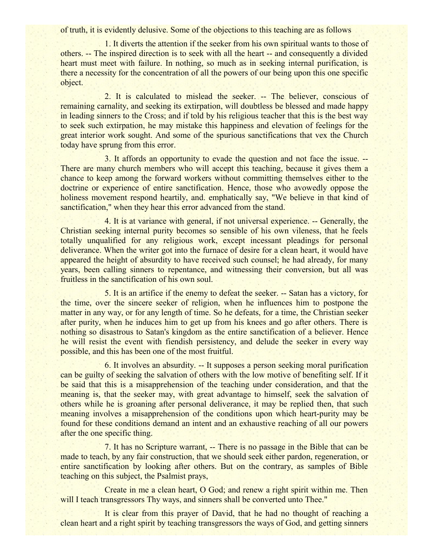of truth, it is evidently delusive. Some of the objections to this teaching are as follows

1. It diverts the attention if the seeker from his own spiritual wants to those of others. -- The inspired direction is to seek with all the heart -- and consequently a divided heart must meet with failure. In nothing, so much as in seeking internal purification, is there a necessity for the concentration of all the powers of our being upon this one specific object.

2. It is calculated to mislead the seeker. -- The believer, conscious of remaining carnality, and seeking its extirpation, will doubtless be blessed and made happy in leading sinners to the Cross; and if told by his religious teacher that this is the best way to seek such extirpation, he may mistake this happiness and elevation of feelings for the great interior work sought. And some of the spurious sanctifications that vex the Church today have sprung from this error.

3. It affords an opportunity to evade the question and not face the issue. -- There are many church members who will accept this teaching, because it gives them a chance to keep among the forward workers without committing themselves either to the doctrine or experience of entire sanctification. Hence, those who avowedly oppose the holiness movement respond heartily, and. emphatically say, "We believe in that kind of sanctification," when they hear this error advanced from the stand.

4. It is at variance with general, if not universal experience. -- Generally, the Christian seeking internal purity becomes so sensible of his own vileness, that he feels totally unqualified for any religious work, except incessant pleadings for personal deliverance. When the writer got into the furnace of desire for a clean heart, it would have appeared the height of absurdity to have received such counsel; he had already, for many years, been calling sinners to repentance, and witnessing their conversion, but all was fruitless in the sanctification of his own soul.

5. It is an artifice if the enemy to defeat the seeker. -- Satan has a victory, for the time, over the sincere seeker of religion, when he influences him to postpone the matter in any way, or for any length of time. So he defeats, for a time, the Christian seeker after purity, when he induces him to get up from his knees and go after others. There is nothing so disastrous to Satan's kingdom as the entire sanctification of a believer. Hence he will resist the event with fiendish persistency, and delude the seeker in every way possible, and this has been one of the most fruitful.

6. It involves an absurdity. -- It supposes a person seeking moral purification can be guilty of seeking the salvation of others with the low motive of benefiting self. If it be said that this is a misapprehension of the teaching under consideration, and that the meaning is, that the seeker may, with great advantage to himself, seek the salvation of others while he is groaning after personal deliverance, it may be replied then, that such meaning involves a misapprehension of the conditions upon which heart-purity may be found for these conditions demand an intent and an exhaustive reaching of all our powers after the one specific thing.

7. It has no Scripture warrant, -- There is no passage in the Bible that can be made to teach, by any fair construction, that we should seek either pardon, regeneration, or entire sanctification by looking after others. But on the contrary, as samples of Bible teaching on this subject, the Psalmist prays,

Create in me a clean heart, O God; and renew a right spirit within me. Then will I teach transgressors Thy ways, and sinners shall be converted unto Thee."

It is clear from this prayer of David, that he had no thought of reaching a clean heart and a right spirit by teaching transgressors the ways of God, and getting sinners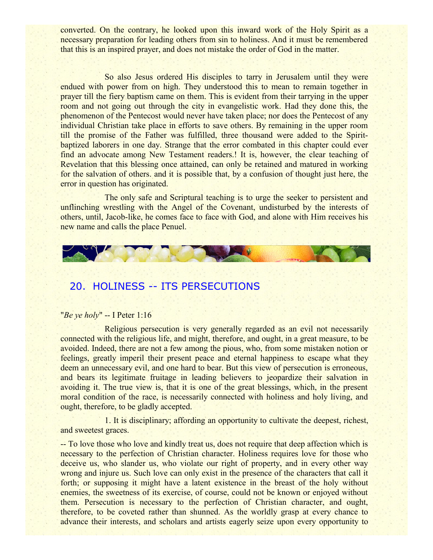converted. On the contrary, he looked upon this inward work of the Holy Spirit as a necessary preparation for leading others from sin to holiness. And it must be remembered that this is an inspired prayer, and does not mistake the order of God in the matter.

So also Jesus ordered His disciples to tarry in Jerusalem until they were endued with power from on high. They understood this to mean to remain together in prayer till the fiery baptism came on them. This is evident from their tarrying in the upper room and not going out through the city in evangelistic work. Had they done this, the phenomenon of the Pentecost would never have taken place; nor does the Pentecost of any individual Christian take place in efforts to save others. By remaining in the upper room till the promise of the Father was fulfilled, three thousand were added to the Spiritbaptized laborers in one day. Strange that the error combated in this chapter could ever find an advocate among New Testament readers.! It is, however, the clear teaching of Revelation that this blessing once attained, can only be retained and matured in working for the salvation of others. and it is possible that, by a confusion of thought just here, the error in question has originated.

The only safe and Scriptural teaching is to urge the seeker to persistent and unflinching wrestling with the Angel of the Covenant, undisturbed by the interests of others, until, Jacob-like, he comes face to face with God, and alone with Him receives his new name and calls the place Penuel.



# 20. HOLINESS -- ITS PERSECUTIONS

### "*Be ye holy*" -- I Peter 1:16

Religious persecution is very generally regarded as an evil not necessarily connected with the religious life, and might, therefore, and ought, in a great measure, to be avoided. Indeed, there are not a few among the pious, who, from some mistaken notion or feelings, greatly imperil their present peace and eternal happiness to escape what they deem an unnecessary evil, and one hard to bear. But this view of persecution is erroneous, and bears its legitimate fruitage in leading believers to jeopardize their salvation in avoiding it. The true view is, that it is one of the great blessings, which, in the present moral condition of the race, is necessarily connected with holiness and holy living, and ought, therefore, to be gladly accepted.

1. It is disciplinary; affording an opportunity to cultivate the deepest, richest, and sweetest graces.

-- To love those who love and kindly treat us, does not require that deep affection which is necessary to the perfection of Christian character. Holiness requires love for those who deceive us, who slander us, who violate our right of property, and in every other way wrong and injure us. Such love can only exist in the presence of the characters that call it forth; or supposing it might have a latent existence in the breast of the holy without enemies, the sweetness of its exercise, of course, could not be known or enjoyed without them. Persecution is necessary to the perfection of Christian character, and ought, therefore, to be coveted rather than shunned. As the worldly grasp at every chance to advance their interests, and scholars and artists eagerly seize upon every opportunity to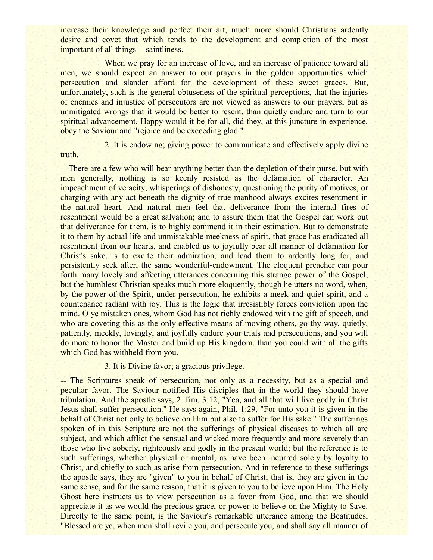increase their knowledge and perfect their art, much more should Christians ardently desire and covet that which tends to the development and completion of the most important of all things -- saintliness.

When we pray for an increase of love, and an increase of patience toward all men, we should expect an answer to our prayers in the golden opportunities which persecution and slander afford for the development of these sweet graces. But, unfortunately, such is the general obtuseness of the spiritual perceptions, that the injuries of enemies and injustice of persecutors are not viewed as answers to our prayers, but as unmitigated wrongs that it would be better to resent, than quietly endure and turn to our spiritual advancement. Happy would it be for all, did they, at this juncture in experience, obey the Saviour and "rejoice and be exceeding glad."

2. It is endowing; giving power to communicate and effectively apply divine

-- There are a few who will bear anything better than the depletion of their purse, but with men generally, nothing is so keenly resisted as the defamation of character. An impeachment of veracity, whisperings of dishonesty, questioning the purity of motives, or charging with any act beneath the dignity of true manhood always excites resentment in the natural heart. And natural men feel that deliverance from the internal fires of resentment would be a great salvation; and to assure them that the Gospel can work out that deliverance for them, is to highly commend it in their estimation. But to demonstrate it to them by actual life and unmistakable meekness of spirit, that grace has eradicated all resentment from our hearts, and enabled us to joyfully bear all manner of defamation for Christ's sake, is to excite their admiration, and lead them to ardently long for, and persistently seek after, the same wonderful-endowment. The eloquent preacher can pour forth many lovely and affecting utterances concerning this strange power of the Gospel, but the humblest Christian speaks much more eloquently, though he utters no word, when, by the power of the Spirit, under persecution, he exhibits a meek and quiet spirit, and a countenance radiant with joy. This is the logic that irresistibly forces conviction upon the mind. O ye mistaken ones, whom God has not richly endowed with the gift of speech, and who are coveting this as the only effective means of moving others, go thy way, quietly, patiently, meekly, lovingly, and joyfully endure your trials and persecutions, and you will do more to honor the Master and build up His kingdom, than you could with all the gifts which God has withheld from you.

### 3. It is Divine favor; a gracious privilege.

truth.

-- The Scriptures speak of persecution, not only as a necessity, but as a special and peculiar favor. The Saviour notified His disciples that in the world they should have tribulation. And the apostle says, 2 Tim. 3:12, "Yea, and all that will live godly in Christ Jesus shall suffer persecution." He says again, Phil. 1:29, "For unto you it is given in the behalf of Christ not only to believe on Him but also to suffer for His sake." The sufferings spoken of in this Scripture are not the sufferings of physical diseases to which all are subject, and which afflict the sensual and wicked more frequently and more severely than those who live soberly, righteously and godly in the present world; but the reference is to such sufferings, whether physical or mental, as have been incurred solely by loyalty to Christ, and chiefly to such as arise from persecution. And in reference to these sufferings the apostle says, they are "given" to you in behalf of Christ; that is, they are given in the same sense, and for the same reason, that it is given to you to believe upon Him. The Holy Ghost here instructs us to view persecution as a favor from God, and that we should appreciate it as we would the precious grace, or power to believe on the Mighty to Save. Directly to the same point, is the Saviour's remarkable utterance among the Beatitudes, "Blessed are ye, when men shall revile you, and persecute you, and shall say all manner of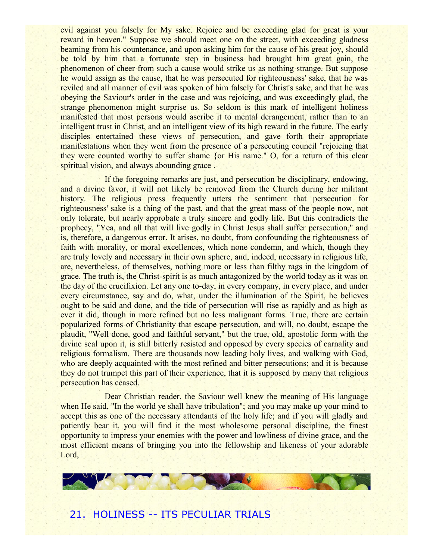evil against you falsely for My sake. Rejoice and be exceeding glad for great is your reward in heaven." Suppose we should meet one on the street, with exceeding gladness beaming from his countenance, and upon asking him for the cause of his great joy, should be told by him that a fortunate step in business had brought him great gain, the phenomenon of cheer from such a cause would strike us as nothing strange. But suppose he would assign as the cause, that he was persecuted for righteousness' sake, that he was reviled and all manner of evil was spoken of him falsely for Christ's sake, and that he was obeying the Saviour's order in the case and was rejoicing, and was exceedingly glad, the strange phenomenon might surprise us. So seldom is this mark of intelligent holiness manifested that most persons would ascribe it to mental derangement, rather than to an intelligent trust in Christ, and an intelligent view of its high reward in the future. The early disciples entertained these views of persecution, and gave forth their appropriate manifestations when they went from the presence of a persecuting council "rejoicing that they were counted worthy to suffer shame {or His name." O, for a return of this clear spiritual vision, and always abounding grace.

If the foregoing remarks are just, and persecution be disciplinary, endowing, and a divine favor, it will not likely be removed from the Church during her militant history. The religious press frequently utters the sentiment that persecution for righteousness' sake is a thing of the past, and that the great mass of the people now, not only tolerate, but nearly approbate a truly sincere and godly life. But this contradicts the prophecy, "Yea, and all that will live godly in Christ Jesus shall suffer persecution," and is, therefore, a dangerous error. It arises, no doubt, from confounding the righteousness of faith with morality, or moral excellences, which none condemn, and which, though they are truly lovely and necessary in their own sphere, and, indeed, necessary in religious life, are, nevertheless, of themselves, nothing more or less than filthy rags in the kingdom of grace. The truth is, the Christ-spirit is as much antagonized by the world today as it was on the day of the crucifixion. Let any one to-day, in every company, in every place, and under every circumstance, say and do, what, under the illumination of the Spirit, he believes ought to be said and done, and the tide of persecution will rise as rapidly and as high as ever it did, though in more refined but no less malignant forms. True, there are certain popularized forms of Christianity that escape persecution, and will, no doubt, escape the plaudit, "Well done, good and faithful servant," but the true, old, apostolic form with the divine seal upon it, is still bitterly resisted and opposed by every species of carnality and religious formalism. There are thousands now leading holy lives, and walking with God, who are deeply acquainted with the most refined and bitter persecutions; and it is because they do not trumpet this part of their experience, that it is supposed by many that religious persecution has ceased.

Dear Christian reader, the Saviour well knew the meaning of His language when He said, "In the world ye shall have tribulation"; and you may make up your mind to accept this as one of the necessary attendants of the holy life; and if you will gladly and patiently bear it, you will find it the most wholesome personal discipline, the finest opportunity to impress your enemies with the power and lowliness of divine grace, and the most efficient means of bringing you into the fellowship and likeness of your adorable Lord,

# 21. HOLINESS -- ITS PECULIAR TRIALS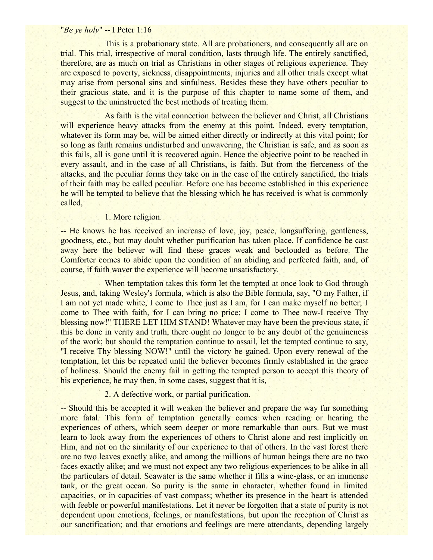### "*Be ye holy*" -- I Peter 1:16

This is a probationary state. All are probationers, and consequently all are on trial. This trial, irrespective of moral condition, lasts through life. The entirely sanctified, therefore, are as much on trial as Christians in other stages of religious experience. They are exposed to poverty, sickness, disappointments, injuries and all other trials except what may arise from personal sins and sinfulness. Besides these they have others peculiar to their gracious state, and it is the purpose of this chapter to name some of them, and suggest to the uninstructed the best methods of treating them.

As faith is the vital connection between the believer and Christ, all Christians will experience heavy attacks from the enemy at this point. Indeed, every temptation, whatever its form may be, will be aimed either directly or indirectly at this vital point; for so long as faith remains undisturbed and unwavering, the Christian is safe, and as soon as this fails, all is gone until it is recovered again. Hence the objective point to be reached in every assault, and in the case of all Christians, is faith. But from the fierceness of the attacks, and the peculiar forms they take on in the case of the entirely sanctified, the trials of their faith may be called peculiar. Before one has become established in this experience he will be tempted to believe that the blessing which he has received is what is commonly called,

1. More religion.

-- He knows he has received an increase of love, joy, peace, longsuffering, gentleness, goodness, etc., but may doubt whether purification has taken place. If confidence be cast away here the believer will find these graces weak and beclouded as before. The Comforter comes to abide upon the condition of an abiding and perfected faith, and, of course, if faith waver the experience will become unsatisfactory.

When temptation takes this form let the tempted at once look to God through Jesus, and, taking Wesley's formula, which is also the Bible formula, say, "O my Father, if I am not yet made white, I come to Thee just as I am, for I can make myself no better; I come to Thee with faith, for I can bring no price; I come to Thee now-I receive Thy blessing now!" THERE LET HIM STAND! Whatever may have been the previous state, if this be done in verity and truth, there ought no longer to be any doubt of the genuineness of the work; but should the temptation continue to assail, let the tempted continue to say, "I receive Thy blessing NOW!" until the victory be gained. Upon every renewal of the temptation, let this be repeated until the believer becomes firmly established in the grace of holiness. Should the enemy fail in getting the tempted person to accept this theory of his experience, he may then, in some cases, suggest that it is,

### 2. A defective work, or partial purification.

-- Should this be accepted it will weaken the believer and prepare the way fur something more fatal. This form of temptation generally comes when reading or hearing the experiences of others, which seem deeper or more remarkable than ours. But we must learn to look away from the experiences of others to Christ alone and rest implicitly on Him, and not on the similarity of our experience to that of others. In the vast forest there are no two leaves exactly alike, and among the millions of human beings there are no two faces exactly alike; and we must not expect any two religious experiences to be alike in all the particulars of detail. Seawater is the same whether it fills a wine-glass, or an immense tank, or the great ocean. So purity is the same in character, whether found in limited capacities, or in capacities of vast compass; whether its presence in the heart is attended with feeble or powerful manifestations. Let it never be forgotten that a state of purity is not dependent upon emotions, feelings, or manifestations, but upon the reception of Christ as our sanctification; and that emotions and feelings are mere attendants, depending largely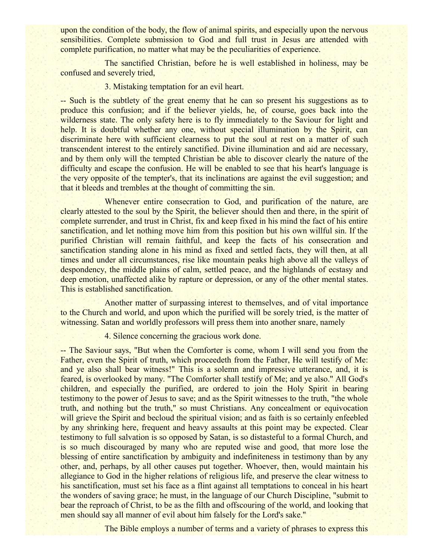upon the condition of the body, the flow of animal spirits, and especially upon the nervous sensibilities. Complete submission to God and full trust in Jesus are attended with complete purification, no matter what may be the peculiarities of experience.

The sanctified Christian, before he is well established in holiness, may be confused and severely tried,

### 3. Mistaking temptation for an evil heart.

-- Such is the subtlety of the great enemy that he can so present his suggestions as to produce this confusion; and if the believer yields, he, of course, goes back into the wilderness state. The only safety here is to fly immediately to the Saviour for light and help. It is doubtful whether any one, without special illumination by the Spirit, can discriminate here with sufficient clearness to put the soul at rest on a matter of such transcendent interest to the entirely sanctified. Divine illumination and aid are necessary, and by them only will the tempted Christian be able to discover clearly the nature of the difficulty and escape the confusion. He will be enabled to see that his heart's language is the very opposite of the tempter's, that its inclinations are against the evil suggestion; and that it bleeds and trembles at the thought of committing the sin.

Whenever entire consecration to God, and purification of the nature, are clearly attested to the soul by the Spirit, the believer should then and there, in the spirit of complete surrender, and trust in Christ, fix and keep fixed in his mind the fact of his entire sanctification, and let nothing move him from this position but his own willful sin. If the purified Christian will remain faithful, and keep the facts of his consecration and sanctification standing alone in his mind as fixed and settled facts, they will then, at all times and under all circumstances, rise like mountain peaks high above all the valleys of despondency, the middle plains of calm, settled peace, and the highlands of ecstasy and deep emotion, unaffected alike by rapture or depression, or any of the other mental states. This is established sanctification.

Another matter of surpassing interest to themselves, and of vital importance to the Church and world, and upon which the purified will be sorely tried, is the matter of witnessing. Satan and worldly professors will press them into another snare, namely

4. Silence concerning the gracious work done.

-- The Saviour says, "But when the Comforter is come, whom I will send you from the Father, even the Spirit of truth, which proceedeth from the Father, He will testify of Me: and ye also shall bear witness!" This is a solemn and impressive utterance, and, it is feared, is overlooked by many. "The Comforter shall testify of Me; and ye also." All God's children, and especially the purified, are ordered to join the Holy Spirit in bearing testimony to the power of Jesus to save; and as the Spirit witnesses to the truth, "the whole truth, and nothing but the truth," so must Christians. Any concealment or equivocation will grieve the Spirit and becloud the spiritual vision; and as faith is so certainly enfeebled by any shrinking here, frequent and heavy assaults at this point may be expected. Clear testimony to full salvation is so opposed by Satan, is so distasteful to a formal Church, and is so much discouraged by many who are reputed wise and good, that more lose the blessing of entire sanctification by ambiguity and indefiniteness in testimony than by any other, and, perhaps, by all other causes put together. Whoever, then, would maintain his allegiance to God in the higher relations of religious life, and preserve the clear witness to his sanctification, must set his face as a flint against all temptations to conceal in his heart the wonders of saving grace; he must, in the language of our Church Discipline, "submit to bear the reproach of Christ, to be as the filth and offscouring of the world, and looking that men should say all manner of evil about him falsely for the Lord's sake."

The Bible employs a number of terms and a variety of phrases to express this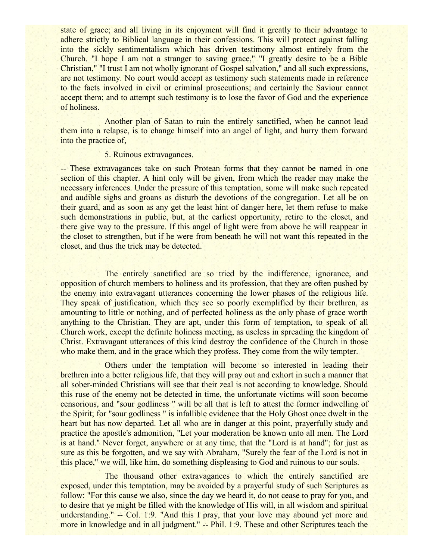state of grace; and all living in its enjoyment will find it greatly to their advantage to adhere strictly to Biblical language in their confessions. This will protect against falling into the sickly sentimentalism which has driven testimony almost entirely from the Church. "I hope I am not a stranger to saving grace," "I greatly desire to be a Bible Christian," "I trust I am not wholly ignorant of Gospel salvation," and all such expressions, are not testimony. No court would accept as testimony such statements made in reference to the facts involved in civil or criminal prosecutions; and certainly the Saviour cannot accept them; and to attempt such testimony is to lose the favor of God and the experience of holiness.

Another plan of Satan to ruin the entirely sanctified, when he cannot lead them into a relapse, is to change himself into an angel of light, and hurry them forward into the practice of,

#### 5. Ruinous extravagances.

-- These extravagances take on such Protean forms that they cannot be named in one section of this chapter. A hint only will be given, from which the reader may make the necessary inferences. Under the pressure of this temptation, some will make such repeated and audible sighs and groans as disturb the devotions of the congregation. Let all be on their guard, and as soon as any get the least hint of danger here, let them refuse to make such demonstrations in public, but, at the earliest opportunity, retire to the closet, and there give way to the pressure. If this angel of light were from above he will reappear in the closet to strengthen, but if he were from beneath he will not want this repeated in the closet, and thus the trick may be detected.

The entirely sanctified are so tried by the indifference, ignorance, and opposition of church members to holiness and its profession, that they are often pushed by the enemy into extravagant utterances concerning the lower phases of the religious life. They speak of justification, which they see so poorly exemplified by their brethren, as amounting to little or nothing, and of perfected holiness as the only phase of grace worth anything to the Christian. They are apt, under this form of temptation, to speak of all Church work, except the definite holiness meeting, as useless in spreading the kingdom of Christ. Extravagant utterances of this kind destroy the confidence of the Church in those who make them, and in the grace which they profess. They come from the wily tempter.

Others under the temptation will become so interested in leading their brethren into a better religious life, that they will pray out and exhort in such a manner that all sober-minded Christians will see that their zeal is not according to knowledge. Should this ruse of the enemy not be detected in time, the unfortunate victims will soon become censorious, and "sour godliness " will be all that is left to attest the former indwelling of the Spirit; for "sour godliness " is infallible evidence that the Holy Ghost once dwelt in the heart but has now departed. Let all who are in danger at this point, prayerfully study and practice the apostle's admonition, "Let your moderation be known unto all men. The Lord is at hand." Never forget, anywhere or at any time, that the "Lord is at hand"; for just as sure as this be forgotten, and we say with Abraham, "Surely the fear of the Lord is not in this place," we will, like him, do something displeasing to God and ruinous to our souls.

The thousand other extravagances to which the entirely sanctified are exposed, under this temptation, may be avoided by a prayerful study of such Scriptures as follow: "For this cause we also, since the day we heard it, do not cease to pray for you, and to desire that ye might be filled with the knowledge of His will, in all wisdom and spiritual understanding." -- Col. 1:9. "And this I pray, that your love may abound yet more and more in knowledge and in all judgment." -- Phil. 1:9. These and other Scriptures teach the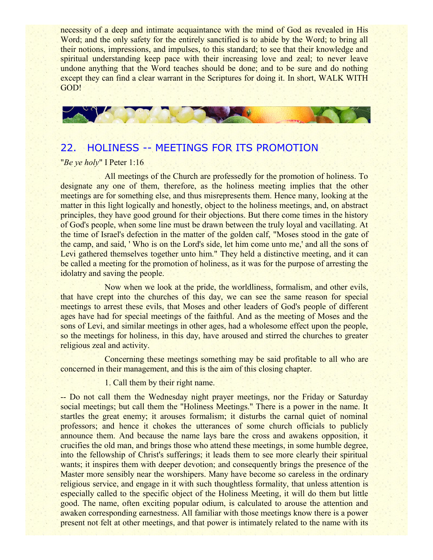necessity of a deep and intimate acquaintance with the mind of God as revealed in His Word; and the only safety for the entirely sanctified is to abide by the Word; to bring all their notions, impressions, and impulses, to this standard; to see that their knowledge and spiritual understanding keep pace with their increasing love and zeal; to never leave undone anything that the Word teaches should be done; and to be sure and do nothing except they can find a clear warrant in the Scriptures for doing it. In short, WALK WITH GOD!



# 22. HOLINESS -- MEETINGS FOR ITS PROMOTION

#### "*Be ye holy*" I Peter 1:16

All meetings of the Church are professedly for the promotion of holiness. To designate any one of them, therefore, as the holiness meeting implies that the other meetings are for something else, and thus misrepresents them. Hence many, looking at the matter in this light logically and honestly, object to the holiness meetings, and, on abstract principles, they have good ground for their objections. But there come times in the history of God's people, when some line must be drawn between the truly loyal and vacillating. At the time of Israel's defection in the matter of the golden calf, "Moses stood in the gate of the camp, and said, ' Who is on the Lord's side, let him come unto me,' and all the sons of Levi gathered themselves together unto him." They held a distinctive meeting, and it can be called a meeting for the promotion of holiness, as it was for the purpose of arresting the idolatry and saving the people.

Now when we look at the pride, the worldliness, formalism, and other evils, that have crept into the churches of this day, we can see the same reason for special meetings to arrest these evils, that Moses and other leaders of God's people of different ages have had for special meetings of the faithful. And as the meeting of Moses and the sons of Levi, and similar meetings in other ages, had a wholesome effect upon the people, so the meetings for holiness, in this day, have aroused and stirred the churches to greater religious zeal and activity.

Concerning these meetings something may be said profitable to all who are concerned in their management, and this is the aim of this closing chapter.

1. Call them by their right name.

-- Do not call them the Wednesday night prayer meetings, nor the Friday or Saturday social meetings; but call them the "Holiness Meetings." There is a power in the name. It startles the great enemy; it arouses formalism; it disturbs the carnal quiet of nominal professors; and hence it chokes the utterances of some church officials to publicly announce them. And because the name lays bare the cross and awakens opposition, it crucifies the old man, and brings those who attend these meetings, in some humble degree, into the fellowship of Christ's sufferings; it leads them to see more clearly their spiritual wants; it inspires them with deeper devotion; and consequently brings the presence of the Master more sensibly near the worshipers. Many have become so careless in the ordinary religious service, and engage in it with such thoughtless formality, that unless attention is especially called to the specific object of the Holiness Meeting, it will do them but little good. The name, often exciting popular odium, is calculated to arouse the attention and awaken corresponding earnestness. All familiar with those meetings know there is a power present not felt at other meetings, and that power is intimately related to the name with its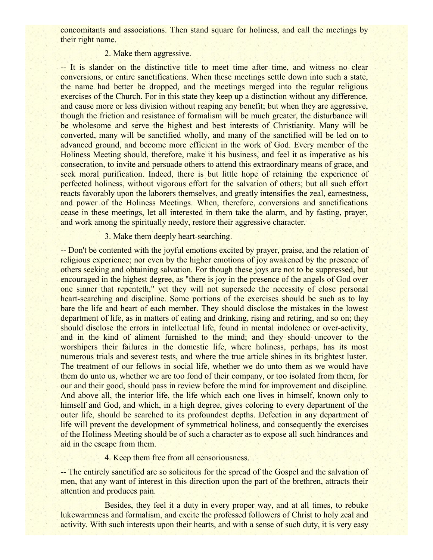concomitants and associations. Then stand square for holiness, and call the meetings by their right name.

## 2. Make them aggressive.

-- It is slander on the distinctive title to meet time after time, and witness no clear conversions, or entire sanctifications. When these meetings settle down into such a state, the name had better be dropped, and the meetings merged into the regular religious exercises of the Church. For in this state they keep up a distinction without any difference, and cause more or less division without reaping any benefit; but when they are aggressive, though the friction and resistance of formalism will be much greater, the disturbance will be wholesome and serve the highest and best interests of Christianity. Many will be converted, many will be sanctified wholly, and many of the sanctified will be led on to advanced ground, and become more efficient in the work of God. Every member of the Holiness Meeting should, therefore, make it his business, and feel it as imperative as his consecration, to invite and persuade others to attend this extraordinary means of grace, and seek moral purification. Indeed, there is but little hope of retaining the experience of perfected holiness, without vigorous effort for the salvation of others; but all such effort reacts favorably upon the laborers themselves, and greatly intensifies the zeal, earnestness, and power of the Holiness Meetings. When, therefore, conversions and sanctifications cease in these meetings, let all interested in them take the alarm, and by fasting, prayer, and work among the spiritually needy, restore their aggressive character.

## 3. Make them deeply heart-searching.

-- Don't be contented with the joyful emotions excited by prayer, praise, and the relation of religious experience; nor even by the higher emotions of joy awakened by the presence of others seeking and obtaining salvation. For though these joys are not to be suppressed, but encouraged in the highest degree, as "there is joy in the presence of the angels of God over one sinner that repenteth," yet they will not supersede the necessity of close personal heart-searching and discipline. Some portions of the exercises should be such as to lay bare the life and heart of each member. They should disclose the mistakes in the lowest department of life, as in matters of eating and drinking, rising and retiring, and so on; they should disclose the errors in intellectual life, found in mental indolence or over-activity, and in the kind of aliment furnished to the mind; and they should uncover to the worshipers their failures in the domestic life, where holiness, perhaps, has its most numerous trials and severest tests, and where the true article shines in its brightest luster. The treatment of our fellows in social life, whether we do unto them as we would have them do unto us, whether we are too fond of their company, or too isolated from them, for our and their good, should pass in review before the mind for improvement and discipline. And above all, the interior life, the life which each one lives in himself, known only to himself and God, and which, in a high degree, gives coloring to every department of the outer life, should be searched to its profoundest depths. Defection in any department of life will prevent the development of symmetrical holiness, and consequently the exercises of the Holiness Meeting should be of such a character as to expose all such hindrances and aid in the escape from them.

## 4. Keep them free from all censoriousness.

-- The entirely sanctified are so solicitous for the spread of the Gospel and the salvation of men, that any want of interest in this direction upon the part of the brethren, attracts their attention and produces pain.

Besides, they feel it a duty in every proper way, and at all times, to rebuke lukewarmness and formalism, and excite the professed followers of Christ to holy zeal and activity. With such interests upon their hearts, and with a sense of such duty, it is very easy